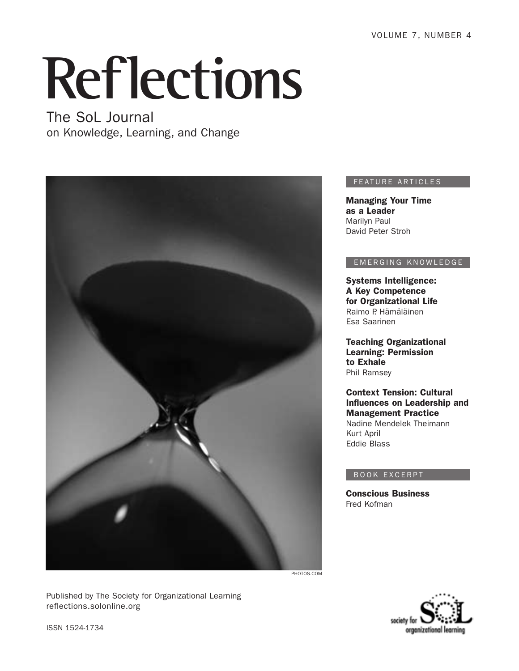VOLUME 7, NUMBER 4

# **Reflections**

The SoL Journal on Knowledge, Learning, and Change



Published by The Society for Organizational Learning reflections.solonline.org

#### FEATURE ARTICLES

Managing Your Time as a Leader Marilyn Paul David Peter Stroh

#### EMERGING KNOWLEDGE

Systems Intelligence: A Key Competence for Organizational Life Raimo P. Hämäläinen Esa Saarinen

Teaching Organizational Learning: Permission to Exhale Phil Ramsey

Context Tension: Cultural Influences on Leadership and Management Practice Nadine Mendelek Theimann Kurt April Eddie Blass

#### BOOK EXCERPT

Conscious Business Fred Kofman



ISSN 1524-1734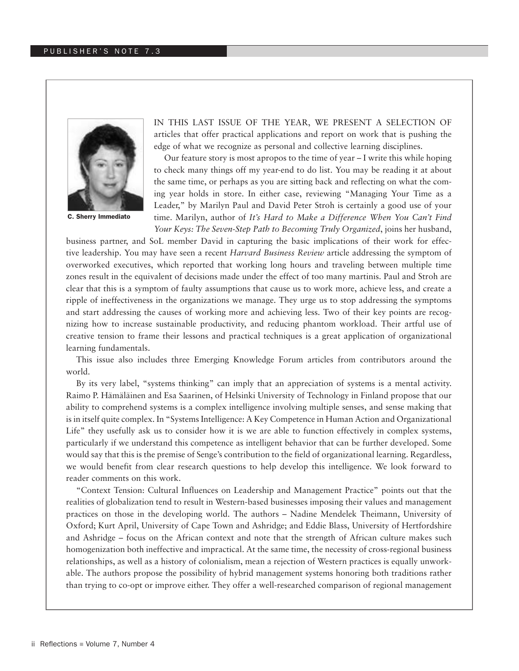

C. Sherry Immediato

In this last issue of the year, we present a selection of articles that offer practical applications and report on work that is pushing the edge of what we recognize as personal and collective learning disciplines.

Our feature story is most apropos to the time of year – I write this while hoping to check many things off my year-end to do list. You may be reading it at about the same time, or perhaps as you are sitting back and reflecting on what the coming year holds in store. In either case, reviewing "Managing Your Time as a Leader," by Marilyn Paul and David Peter Stroh is certainly a good use of your time. Marilyn, author of *It's Hard to Make a Difference When You Can't Find Your Keys: The Seven-Step Path to Becoming Truly Organized*, joins her husband,

business partner, and SoL member David in capturing the basic implications of their work for effective leadership. You may have seen a recent *Harvard Business Review* article addressing the symptom of overworked executives, which reported that working long hours and traveling between multiple time zones result in the equivalent of decisions made under the effect of too many martinis. Paul and Stroh are clear that this is a symptom of faulty assumptions that cause us to work more, achieve less, and create a ripple of ineffectiveness in the organizations we manage. They urge us to stop addressing the symptoms and start addressing the causes of working more and achieving less. Two of their key points are recognizing how to increase sustainable productivity, and reducing phantom workload. Their artful use of creative tension to frame their lessons and practical techniques is a great application of organizational learning fundamentals.

This issue also includes three Emerging Knowledge Forum articles from contributors around the world.

By its very label, "systems thinking" can imply that an appreciation of systems is a mental activity. Raimo P. Hämäläinen and Esa Saarinen, of Helsinki University of Technology in Finland propose that our ability to comprehend systems is a complex intelligence involving multiple senses, and sense making that is in itself quite complex. In "Systems Intelligence: A Key Competence in Human Action and Organizational Life" they usefully ask us to consider how it is we are able to function effectively in complex systems, particularly if we understand this competence as intelligent behavior that can be further developed. Some would say that this is the premise of Senge's contribution to the field of organizational learning. Regardless, we would benefit from clear research questions to help develop this intelligence. We look forward to reader comments on this work.

"Context Tension: Cultural Influences on Leadership and Management Practice" points out that the realities of globalization tend to result in Western-based businesses imposing their values and management practices on those in the developing world. The authors – Nadine Mendelek Theimann, University of Oxford; Kurt April, University of Cape Town and Ashridge; and Eddie Blass, University of Hertfordshire and Ashridge – focus on the African context and note that the strength of African culture makes such homogenization both ineffective and impractical. At the same time, the necessity of cross-regional business relationships, as well as a history of colonialism, mean a rejection of Western practices is equally unworkable. The authors propose the possibility of hybrid management systems honoring both traditions rather than trying to co-opt or improve either. They offer a well-researched comparison of regional management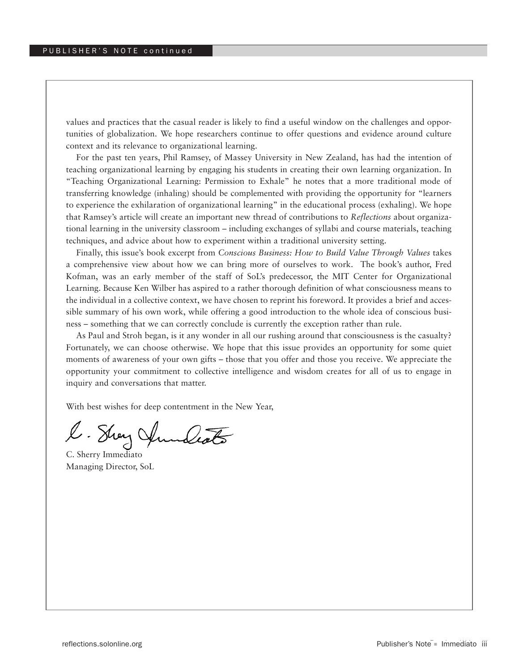values and practices that the casual reader is likely to find a useful window on the challenges and opportunities of globalization. We hope researchers continue to offer questions and evidence around culture context and its relevance to organizational learning.

For the past ten years, Phil Ramsey, of Massey University in New Zealand, has had the intention of teaching organizational learning by engaging his students in creating their own learning organization. In "Teaching Organizational Learning: Permission to Exhale" he notes that a more traditional mode of transferring knowledge (inhaling) should be complemented with providing the opportunity for "learners to experience the exhilaration of organizational learning" in the educational process (exhaling). We hope that Ramsey's article will create an important new thread of contributions to *Reflections* about organizational learning in the university classroom – including exchanges of syllabi and course materials, teaching techniques, and advice about how to experiment within a traditional university setting.

Finally, this issue's book excerpt from *Conscious Business: How to Build Value Through Values* takes a comprehensive view about how we can bring more of ourselves to work. The book's author, Fred Kofman, was an early member of the staff of SoL's predecessor, the MIT Center for Organizational Learning. Because Ken Wilber has aspired to a rather thorough definition of what consciousness means to the individual in a collective context, we have chosen to reprint his foreword. It provides a brief and accessible summary of his own work, while offering a good introduction to the whole idea of conscious business – something that we can correctly conclude is currently the exception rather than rule.

As Paul and Stroh began, is it any wonder in all our rushing around that consciousness is the casualty? Fortunately, we can choose otherwise. We hope that this issue provides an opportunity for some quiet moments of awareness of your own gifts – those that you offer and those you receive. We appreciate the opportunity your commitment to collective intelligence and wisdom creates for all of us to engage in inquiry and conversations that matter.

With best wishes for deep contentment in the New Year,

l. Shay Jundeats

Managing Director, SoL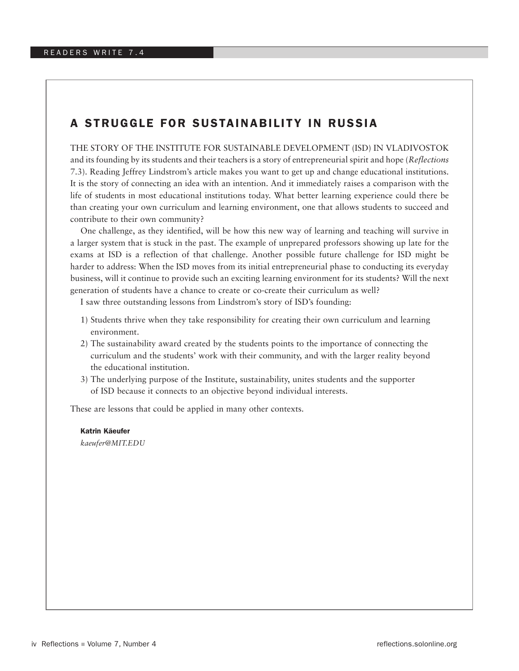## A Struggle for Sustainability in Russia

#### The story of the Institute for Sustainable Development (ISD) in Vladivostok

and its founding by its students and their teachers is a story of entrepreneurial spirit and hope (*Reflections* 7.3). Reading Jeffrey Lindstrom's article makes you want to get up and change educational institutions. It is the story of connecting an idea with an intention. And it immediately raises a comparison with the life of students in most educational institutions today. What better learning experience could there be than creating your own curriculum and learning environment, one that allows students to succeed and contribute to their own community?

One challenge, as they identified, will be how this new way of learning and teaching will survive in a larger system that is stuck in the past. The example of unprepared professors showing up late for the exams at ISD is a reflection of that challenge. Another possible future challenge for ISD might be harder to address: When the ISD moves from its initial entrepreneurial phase to conducting its everyday business, will it continue to provide such an exciting learning environment for its students? Will the next generation of students have a chance to create or co-create their curriculum as well?

I saw three outstanding lessons from Lindstrom's story of ISD's founding:

- 1) Students thrive when they take responsibility for creating their own curriculum and learning environment.
- 2) The sustainability award created by the students points to the importance of connecting the curriculum and the students' work with their community, and with the larger reality beyond the educational institution.
- 3) The underlying purpose of the Institute, sustainability, unites students and the supporter of ISD because it connects to an objective beyond individual interests.

These are lessons that could be applied in many other contexts.

Katrin Käeufer *kaeufer@MIT.EDU*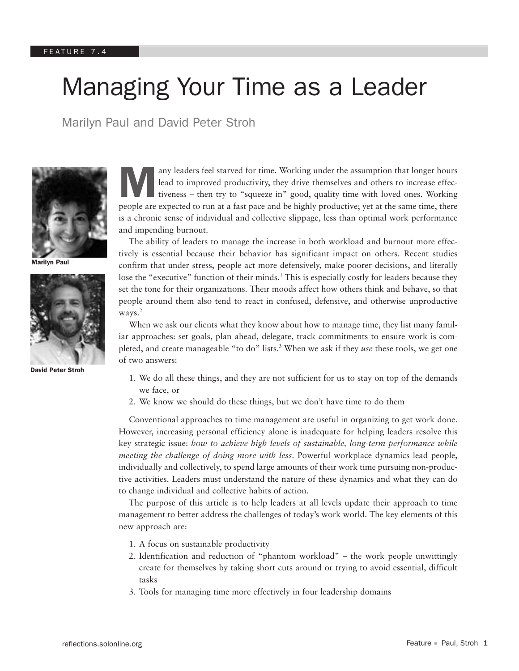# Managing Your Time as a Leader

Marilyn Paul and David Peter Stroh



Marilyn Paul



David Peter Stroh

any leaders feel starved for time. Working under the assumption that longer hours<br>lead to improved productivity, they drive themselves and others to increase effec-<br>tiveness – then try to "squeeze in" good, quality time wi lead to improved productivity, they drive themselves and others to increase effectiveness – then try to "squeeze in" good, quality time with loved ones. Working people are expected to run at a fast pace and be highly productive; yet at the same time, there is a chronic sense of individual and collective slippage, less than optimal work performance and impending burnout.

The ability of leaders to manage the increase in both workload and burnout more effectively is essential because their behavior has significant impact on others. Recent studies confirm that under stress, people act more defensively, make poorer decisions, and literally lose the "executive" function of their minds.<sup>1</sup> This is especially costly for leaders because they set the tone for their organizations. Their moods affect how others think and behave, so that people around them also tend to react in confused, defensive, and otherwise unproductive ways.<sup>2</sup>

When we ask our clients what they know about how to manage time, they list many familiar approaches: set goals, plan ahead, delegate, track commitments to ensure work is completed, and create manageable "to do" lists.<sup>3</sup> When we ask if they *use* these tools, we get one of two answers:

- 1. We do all these things, and they are not sufficient for us to stay on top of the demands we face, or
- 2. We know we should do these things, but we don't have time to do them

Conventional approaches to time management are useful in organizing to get work done. However, increasing personal efficiency alone is inadequate for helping leaders resolve this key strategic issue: *how to achieve high levels of sustainable, long-term performance while meeting the challenge of doing more with less*. Powerful workplace dynamics lead people, individually and collectively, to spend large amounts of their work time pursuing non-productive activities. Leaders must understand the nature of these dynamics and what they can do to change individual and collective habits of action.

The purpose of this article is to help leaders at all levels update their approach to time management to better address the challenges of today's work world. The key elements of this new approach are:

- 1. A focus on sustainable productivity
- 2. Identification and reduction of "phantom workload" the work people unwittingly create for themselves by taking short cuts around or trying to avoid essential, difficult tasks
- 3. Tools for managing time more effectively in four leadership domains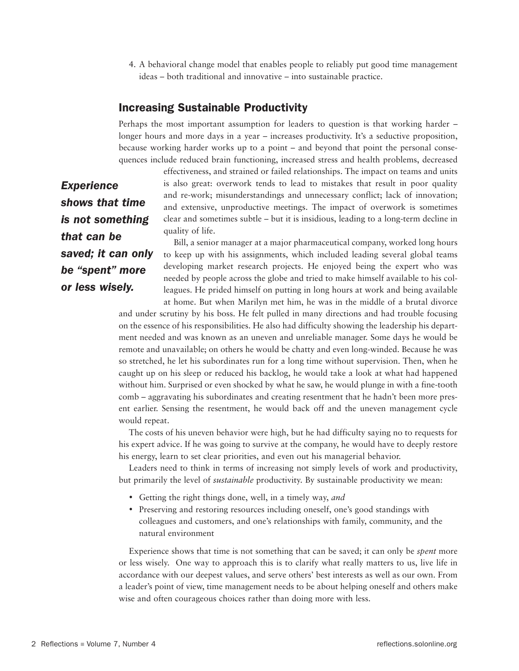4. A behavioral change model that enables people to reliably put good time management ideas – both traditional and innovative – into sustainable practice.

## Increasing Sustainable Productivity

Perhaps the most important assumption for leaders to question is that working harder – longer hours and more days in a year – increases productivity. It's a seductive proposition, because working harder works up to a point – and beyond that point the personal consequences include reduced brain functioning, increased stress and health problems, decreased

*Experience shows that time is not something that can be saved; it can only be "spent" more or less wisely.*

effectiveness, and strained or failed relationships. The impact on teams and units is also great: overwork tends to lead to mistakes that result in poor quality and re-work; misunderstandings and unnecessary conflict; lack of innovation; and extensive, unproductive meetings. The impact of overwork is sometimes clear and sometimes subtle – but it is insidious, leading to a long-term decline in quality of life.

Bill, a senior manager at a major pharmaceutical company, worked long hours to keep up with his assignments, which included leading several global teams developing market research projects. He enjoyed being the expert who was needed by people across the globe and tried to make himself available to his colleagues. He prided himself on putting in long hours at work and being available at home. But when Marilyn met him, he was in the middle of a brutal divorce

and under scrutiny by his boss. He felt pulled in many directions and had trouble focusing on the essence of his responsibilities. He also had difficulty showing the leadership his department needed and was known as an uneven and unreliable manager. Some days he would be remote and unavailable; on others he would be chatty and even long-winded. Because he was so stretched, he let his subordinates run for a long time without supervision. Then, when he caught up on his sleep or reduced his backlog, he would take a look at what had happened without him. Surprised or even shocked by what he saw, he would plunge in with a fine-tooth comb – aggravating his subordinates and creating resentment that he hadn't been more present earlier. Sensing the resentment, he would back off and the uneven management cycle would repeat.

The costs of his uneven behavior were high, but he had difficulty saying no to requests for his expert advice. If he was going to survive at the company, he would have to deeply restore his energy, learn to set clear priorities, and even out his managerial behavior.

Leaders need to think in terms of increasing not simply levels of work and productivity, but primarily the level of *sustainable* productivity. By sustainable productivity we mean:

- Getting the right things done, well, in a timely way, *and*
- Preserving and restoring resources including oneself, one's good standings with colleagues and customers, and one's relationships with family, community, and the natural environment

Experience shows that time is not something that can be saved; it can only be *spent* more or less wisely. One way to approach this is to clarify what really matters to us, live life in accordance with our deepest values, and serve others' best interests as well as our own. From a leader's point of view, time management needs to be about helping oneself and others make wise and often courageous choices rather than doing more with less.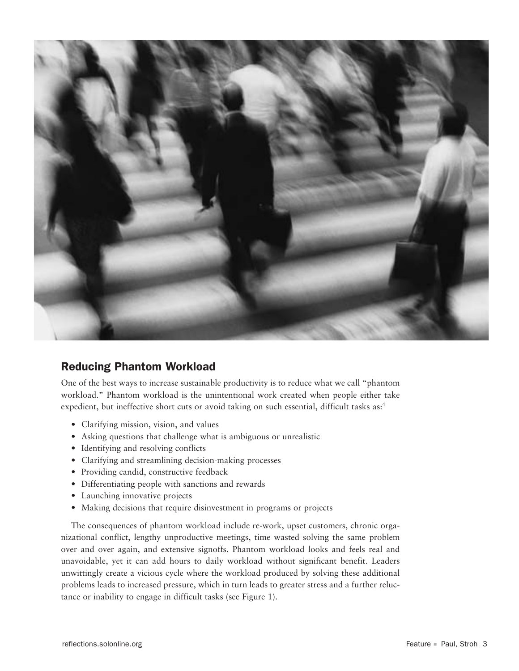

## Reducing Phantom Workload

One of the best ways to increase sustainable productivity is to reduce what we call "phantom workload." Phantom workload is the unintentional work created when people either take expedient, but ineffective short cuts or avoid taking on such essential, difficult tasks as:<sup>4</sup>

- Clarifying mission, vision, and values
- Asking questions that challenge what is ambiguous or unrealistic
- Identifying and resolving conflicts
- Clarifying and streamlining decision-making processes
- Providing candid, constructive feedback
- Differentiating people with sanctions and rewards
- Launching innovative projects
- Making decisions that require disinvestment in programs or projects

The consequences of phantom workload include re-work, upset customers, chronic organizational conflict, lengthy unproductive meetings, time wasted solving the same problem over and over again, and extensive signoffs. Phantom workload looks and feels real and unavoidable, yet it can add hours to daily workload without significant benefit. Leaders unwittingly create a vicious cycle where the workload produced by solving these additional problems leads to increased pressure, which in turn leads to greater stress and a further reluctance or inability to engage in difficult tasks (see Figure 1).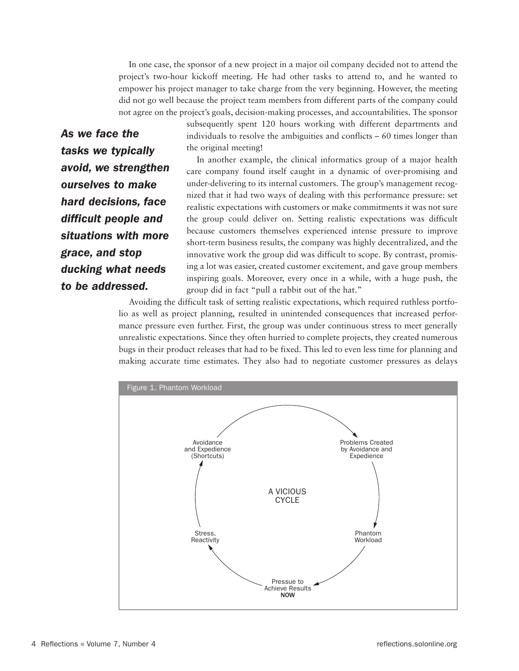In one case, the sponsor of a new project in a major oil company decided not to attend the project's two-hour kickoff meeting. He had other tasks to attend to, and he wanted to empower his project manager to take charge from the very beginning. However, the meeting did not go well because the project team members from different parts of the company could not agree on the project's goals, decision-making processes, and accountabilities. The sponsor

> subsequently spent 120 hours working with different departments and individuals to resolve the ambiguities and conflicts – 60 times longer than the original meeting!

*As we face the tasks we typically avoid, we strengthen ourselves to make hard decisions, face difficult people and situations with more grace, and stop ducking what needs to be addressed.*

In another example, the clinical informatics group of a major health care company found itself caught in a dynamic of over-promising and under-delivering to its internal customers. The group's management recognized that it had two ways of dealing with this performance pressure: set realistic expectations with customers or make commitments it was not sure the group could deliver on. Setting realistic expectations was difficult because customers themselves experienced intense pressure to improve short-term business results, the company was highly decentralized, and the innovative work the group did was difficult to scope. By contrast, promising a lot was easier, created customer excitement, and gave group members inspiring goals. Moreover, every once in a while, with a huge push, the group did in fact "pull a rabbit out of the hat."

Avoiding the difficult task of setting realistic expectations, which required ruthless portfolio as well as project planning, resulted in unintended consequences that increased performance pressure even further. First, the group was under continuous stress to meet generally unrealistic expectations. Since they often hurried to complete projects, they created numerous bugs in their product releases that had to be fixed. This led to even less time for planning and making accurate time estimates. They also had to negotiate customer pressures as delays

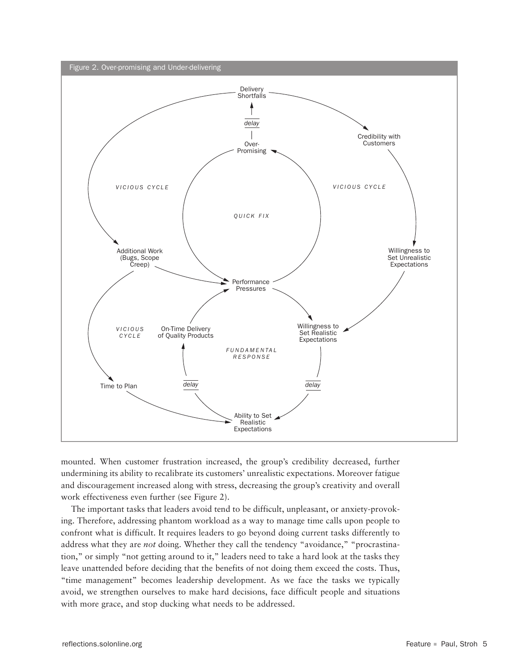

mounted. When customer frustration increased, the group's credibility decreased, further undermining its ability to recalibrate its customers' unrealistic expectations. Moreover fatigue and discouragement increased along with stress, decreasing the group's creativity and overall work effectiveness even further (see Figure 2).

The important tasks that leaders avoid tend to be difficult, unpleasant, or anxiety-provoking. Therefore, addressing phantom workload as a way to manage time calls upon people to confront what is difficult. It requires leaders to go beyond doing current tasks differently to address what they are *not* doing. Whether they call the tendency "avoidance," "procrastination," or simply "not getting around to it," leaders need to take a hard look at the tasks they leave unattended before deciding that the benefits of not doing them exceed the costs. Thus, "time management" becomes leadership development. As we face the tasks we typically avoid, we strengthen ourselves to make hard decisions, face difficult people and situations with more grace, and stop ducking what needs to be addressed.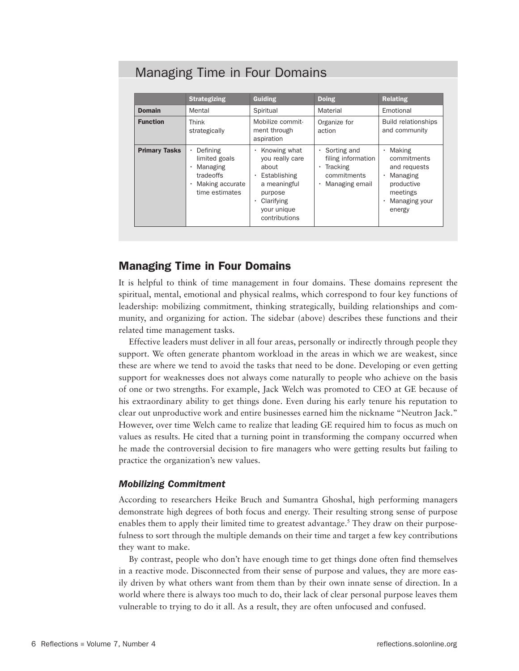|                      | <b>Strategizing</b>                                                                     | Guiding                                                                                                                                          | <b>Doing</b>                                                                                  | <b>Relating</b>                                                                                                         |
|----------------------|-----------------------------------------------------------------------------------------|--------------------------------------------------------------------------------------------------------------------------------------------------|-----------------------------------------------------------------------------------------------|-------------------------------------------------------------------------------------------------------------------------|
| <b>Domain</b>        | Mental                                                                                  | Spiritual                                                                                                                                        | Material                                                                                      | Emotional                                                                                                               |
| <b>Function</b>      | Think<br>strategically                                                                  | Mobilize commit-<br>ment through<br>aspiration                                                                                                   | Organize for<br>action                                                                        | <b>Build relationships</b><br>and community                                                                             |
| <b>Primary Tasks</b> | Defining<br>limited goals<br>Managing<br>tradeoffs<br>Making accurate<br>time estimates | Knowing what<br>٠<br>you really care<br>about<br>Establishing<br>٠<br>a meaningful<br>purpose<br>Clarifying<br>٠<br>your unique<br>contributions | Sorting and<br>٠<br>filing information<br>Tracking<br>٠<br>commitments<br>Managing email<br>٠ | <b>Making</b><br>٠<br>commitments<br>and requests<br>Managing<br>٠<br>productive<br>meetings<br>Managing your<br>energy |

## Managing Time in Four Domains

## Managing Time in Four Domains

It is helpful to think of time management in four domains. These domains represent the spiritual, mental, emotional and physical realms, which correspond to four key functions of leadership: mobilizing commitment, thinking strategically, building relationships and community, and organizing for action. The sidebar (above) describes these functions and their related time management tasks.

Effective leaders must deliver in all four areas, personally or indirectly through people they support. We often generate phantom workload in the areas in which we are weakest, since these are where we tend to avoid the tasks that need to be done. Developing or even getting support for weaknesses does not always come naturally to people who achieve on the basis of one or two strengths. For example, Jack Welch was promoted to CEO at GE because of his extraordinary ability to get things done. Even during his early tenure his reputation to clear out unproductive work and entire businesses earned him the nickname "Neutron Jack." However, over time Welch came to realize that leading GE required him to focus as much on values as results. He cited that a turning point in transforming the company occurred when he made the controversial decision to fire managers who were getting results but failing to practice the organization's new values.

## *Mobilizing Commitment*

According to researchers Heike Bruch and Sumantra Ghoshal, high performing managers demonstrate high degrees of both focus and energy. Their resulting strong sense of purpose enables them to apply their limited time to greatest advantage.<sup>5</sup> They draw on their purposefulness to sort through the multiple demands on their time and target a few key contributions they want to make.

By contrast, people who don't have enough time to get things done often find themselves in a reactive mode. Disconnected from their sense of purpose and values, they are more easily driven by what others want from them than by their own innate sense of direction. In a world where there is always too much to do, their lack of clear personal purpose leaves them vulnerable to trying to do it all. As a result, they are often unfocused and confused.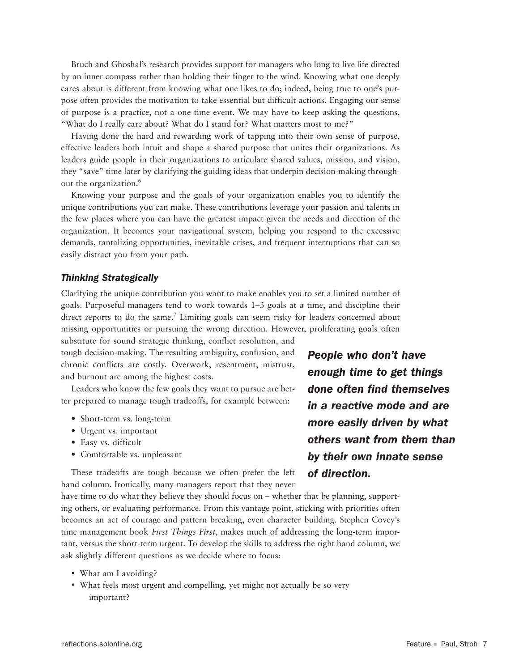Bruch and Ghoshal's research provides support for managers who long to live life directed by an inner compass rather than holding their finger to the wind. Knowing what one deeply cares about is different from knowing what one likes to do; indeed, being true to one's purpose often provides the motivation to take essential but difficult actions. Engaging our sense of purpose is a practice, not a one time event. We may have to keep asking the questions, "What do I really care about? What do I stand for? What matters most to me?"

Having done the hard and rewarding work of tapping into their own sense of purpose, effective leaders both intuit and shape a shared purpose that unites their organizations. As leaders guide people in their organizations to articulate shared values, mission, and vision, they "save" time later by clarifying the guiding ideas that underpin decision-making throughout the organization.<sup>6</sup>

Knowing your purpose and the goals of your organization enables you to identify the unique contributions you can make. These contributions leverage your passion and talents in the few places where you can have the greatest impact given the needs and direction of the organization. It becomes your navigational system, helping you respond to the excessive demands, tantalizing opportunities, inevitable crises, and frequent interruptions that can so easily distract you from your path.

#### *Thinking Strategically*

Clarifying the unique contribution you want to make enables you to set a limited number of goals. Purposeful managers tend to work towards 1–3 goals at a time, and discipline their direct reports to do the same.<sup>7</sup> Limiting goals can seem risky for leaders concerned about missing opportunities or pursuing the wrong direction. However, proliferating goals often

substitute for sound strategic thinking, conflict resolution, and tough decision-making. The resulting ambiguity, confusion, and chronic conflicts are costly. Overwork, resentment, mistrust, and burnout are among the highest costs.

Leaders who know the few goals they want to pursue are better prepared to manage tough tradeoffs, for example between:

- Short-term vs. long-term
- Urgent vs. important
- Easy vs. difficult
- Comfortable vs. unpleasant

These tradeoffs are tough because we often prefer the left hand column. Ironically, many managers report that they never

have time to do what they believe they should focus on – whether that be planning, supporting others, or evaluating performance. From this vantage point, sticking with priorities often becomes an act of courage and pattern breaking, even character building. Stephen Covey's time management book *First Things First*, makes much of addressing the long-term important, versus the short-term urgent. To develop the skills to address the right hand column, we ask slightly different questions as we decide where to focus:

- What am I avoiding?
- What feels most urgent and compelling, yet might not actually be so very important?

*People who don't have enough time to get things done often find themselves in a reactive mode and are more easily driven by what others want from them than by their own innate sense of direction.*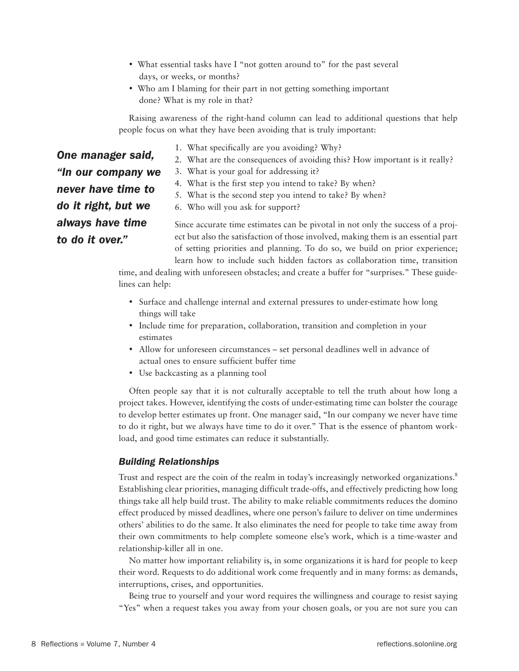- What essential tasks have I "not gotten around to" for the past several days, or weeks, or months?
- Who am I blaming for their part in not getting something important done? What is my role in that?

Raising awareness of the right-hand column can lead to additional questions that help people focus on what they have been avoiding that is truly important:

*One manager said, "In our company we never have time to do it right, but we always have time to do it over."*

- 1. What specifically are you avoiding? Why?
- 2. What are the consequences of avoiding this? How important is it really?
- 3. What is your goal for addressing it?
- 4. What is the first step you intend to take? By when?
- 5. What is the second step you intend to take? By when?
- 6. Who will you ask for support?

Since accurate time estimates can be pivotal in not only the success of a project but also the satisfaction of those involved, making them is an essential part of setting priorities and planning. To do so, we build on prior experience; learn how to include such hidden factors as collaboration time, transition

time, and dealing with unforeseen obstacles; and create a buffer for "surprises." These guidelines can help:

- Surface and challenge internal and external pressures to under-estimate how long things will take
- Include time for preparation, collaboration, transition and completion in your estimates
- Allow for unforeseen circumstances set personal deadlines well in advance of actual ones to ensure sufficient buffer time
- Use backcasting as a planning tool

Often people say that it is not culturally acceptable to tell the truth about how long a project takes. However, identifying the costs of under-estimating time can bolster the courage to develop better estimates up front. One manager said, "In our company we never have time to do it right, but we always have time to do it over." That is the essence of phantom workload, and good time estimates can reduce it substantially.

#### *Building Relationships*

Trust and respect are the coin of the realm in today's increasingly networked organizations.<sup>8</sup> Establishing clear priorities, managing difficult trade-offs, and effectively predicting how long things take all help build trust. The ability to make reliable commitments reduces the domino effect produced by missed deadlines, where one person's failure to deliver on time undermines others' abilities to do the same. It also eliminates the need for people to take time away from their own commitments to help complete someone else's work, which is a time-waster and relationship-killer all in one.

No matter how important reliability is, in some organizations it is hard for people to keep their word. Requests to do additional work come frequently and in many forms: as demands, interruptions, crises, and opportunities.

Being true to yourself and your word requires the willingness and courage to resist saying "Yes" when a request takes you away from your chosen goals, or you are not sure you can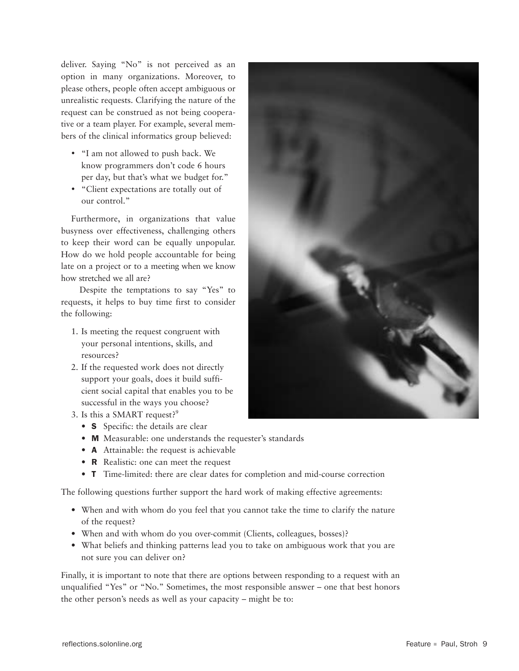deliver. Saying "No" is not perceived as an option in many organizations. Moreover, to please others, people often accept ambiguous or unrealistic requests. Clarifying the nature of the request can be construed as not being cooperative or a team player. For example, several members of the clinical informatics group believed:

- "I am not allowed to push back. We know programmers don't code 6 hours per day, but that's what we budget for."
- "Client expectations are totally out of our control."

Furthermore, in organizations that value busyness over effectiveness, challenging others to keep their word can be equally unpopular. How do we hold people accountable for being late on a project or to a meeting when we know how stretched we all are?

 Despite the temptations to say "Yes" to requests, it helps to buy time first to consider the following:

- 1. Is meeting the request congruent with your personal intentions, skills, and resources?
- 2. If the requested work does not directly support your goals, does it build sufficient social capital that enables you to be successful in the ways you choose?
- 3. Is this a SMART request?<sup>9</sup>
	- **S** Specific: the details are clear
	- M Measurable: one understands the requester's standards
	- **A** Attainable: the request is achievable
	- **R** Realistic: one can meet the request
	- T Time-limited: there are clear dates for completion and mid-course correction

The following questions further support the hard work of making effective agreements:

- When and with whom do you feel that you cannot take the time to clarify the nature of the request?
- When and with whom do you over-commit (Clients, colleagues, bosses)?
- What beliefs and thinking patterns lead you to take on ambiguous work that you are not sure you can deliver on?

Finally, it is important to note that there are options between responding to a request with an unqualified "Yes" or "No." Sometimes, the most responsible answer – one that best honors the other person's needs as well as your capacity – might be to:

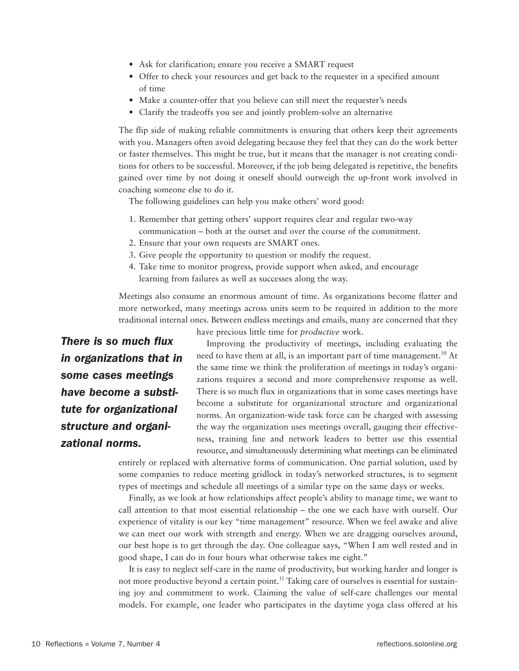- Ask for clarification; ensure you receive a SMART request
- Offer to check your resources and get back to the requester in a specified amount of time
- Make a counter-offer that you believe can still meet the requester's needs
- Clarify the tradeoffs you see and jointly problem-solve an alternative

The flip side of making reliable commitments is ensuring that others keep their agreements with you. Managers often avoid delegating because they feel that they can do the work better or faster themselves. This might be true, but it means that the manager is not creating conditions for others to be successful. Moreover, if the job being delegated is repetitive, the benefits gained over time by not doing it oneself should outweigh the up-front work involved in coaching someone else to do it.

The following guidelines can help you make others' word good:

- 1. Remember that getting others' support requires clear and regular two-way communication – both at the outset and over the course of the commitment.
- 2. Ensure that your own requests are SMART ones.
- 3. Give people the opportunity to question or modify the request.
- 4. Take time to monitor progress, provide support when asked, and encourage learning from failures as well as successes along the way.

Meetings also consume an enormous amount of time. As organizations become flatter and more networked, many meetings across units seem to be required in addition to the more traditional internal ones. Between endless meetings and emails, many are concerned that they

*There is so much flux in organizations that in some cases meetings have become a substitute for organizational structure and organizational norms.*

have precious little time for *productive* work.

Improving the productivity of meetings, including evaluating the need to have them at all, is an important part of time management.<sup>10</sup> At the same time we think the proliferation of meetings in today's organizations requires a second and more comprehensive response as well. There is so much flux in organizations that in some cases meetings have become a substitute for organizational structure and organizational norms. An organization-wide task force can be charged with assessing the way the organization uses meetings overall, gauging their effectiveness, training line and network leaders to better use this essential resource, and simultaneously determining what meetings can be eliminated

entirely or replaced with alternative forms of communication. One partial solution, used by some companies to reduce meeting gridlock in today's networked structures, is to segment types of meetings and schedule all meetings of a similar type on the same days or weeks.

Finally, as we look at how relationships affect people's ability to manage time, we want to call attention to that most essential relationship – the one we each have with ourself. Our experience of vitality is our key "time management" resource. When we feel awake and alive we can meet our work with strength and energy. When we are dragging ourselves around, our best hope is to get through the day. One colleague says, "When I am well rested and in good shape, I can do in four hours what otherwise takes me eight."

It is easy to neglect self-care in the name of productivity, but working harder and longer is not more productive beyond a certain point.<sup>11</sup> Taking care of ourselves is essential for sustaining joy and commitment to work. Claiming the value of self-care challenges our mental models. For example, one leader who participates in the daytime yoga class offered at his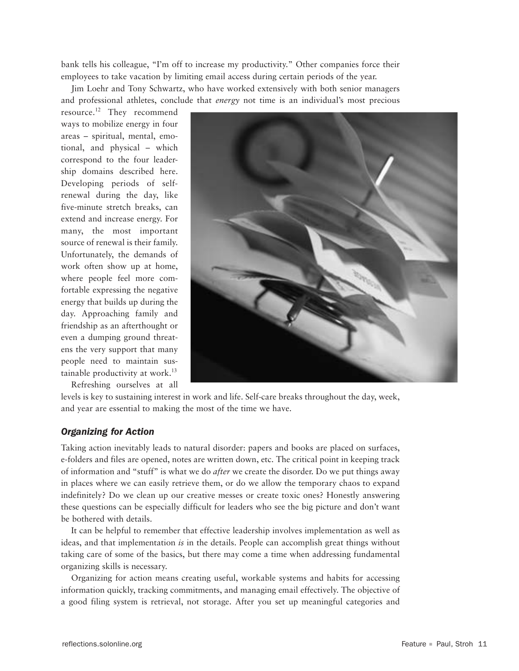bank tells his colleague, "I'm off to increase my productivity." Other companies force their employees to take vacation by limiting email access during certain periods of the year.

Jim Loehr and Tony Schwartz, who have worked extensively with both senior managers and professional athletes, conclude that *energy* not time is an individual's most precious

resource.<sup>12</sup> They recommend ways to mobilize energy in four areas – spiritual, mental, emotional, and physical – which correspond to the four leadership domains described here. Developing periods of selfrenewal during the day, like five-minute stretch breaks, can extend and increase energy. For many, the most important source of renewal is their family. Unfortunately, the demands of work often show up at home, where people feel more comfortable expressing the negative energy that builds up during the day. Approaching family and friendship as an afterthought or even a dumping ground threatens the very support that many people need to maintain sustainable productivity at work.<sup>13</sup> Refreshing ourselves at all

levels is key to sustaining interest in work and life. Self-care breaks throughout the day, week, and year are essential to making the most of the time we have.

#### *Organizing for Action*

Taking action inevitably leads to natural disorder: papers and books are placed on surfaces, e-folders and files are opened, notes are written down, etc. The critical point in keeping track of information and "stuff" is what we do *after* we create the disorder. Do we put things away in places where we can easily retrieve them, or do we allow the temporary chaos to expand indefinitely? Do we clean up our creative messes or create toxic ones? Honestly answering these questions can be especially difficult for leaders who see the big picture and don't want be bothered with details.

It can be helpful to remember that effective leadership involves implementation as well as ideas, and that implementation *is* in the details. People can accomplish great things without taking care of some of the basics, but there may come a time when addressing fundamental organizing skills is necessary.

Organizing for action means creating useful, workable systems and habits for accessing information quickly, tracking commitments, and managing email effectively. The objective of a good filing system is retrieval, not storage. After you set up meaningful categories and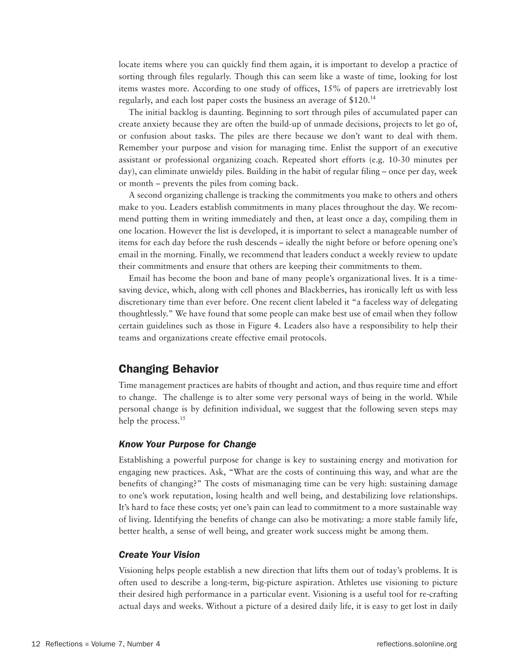locate items where you can quickly find them again, it is important to develop a practice of sorting through files regularly. Though this can seem like a waste of time, looking for lost items wastes more. According to one study of offices, 15% of papers are irretrievably lost regularly, and each lost paper costs the business an average of \$120.<sup>14</sup>

The initial backlog is daunting. Beginning to sort through piles of accumulated paper can create anxiety because they are often the build-up of unmade decisions, projects to let go of, or confusion about tasks. The piles are there because we don't want to deal with them. Remember your purpose and vision for managing time. Enlist the support of an executive assistant or professional organizing coach. Repeated short efforts (e.g. 10-30 minutes per day), can eliminate unwieldy piles. Building in the habit of regular filing – once per day, week or month – prevents the piles from coming back.

A second organizing challenge is tracking the commitments you make to others and others make to you. Leaders establish commitments in many places throughout the day. We recommend putting them in writing immediately and then, at least once a day, compiling them in one location. However the list is developed, it is important to select a manageable number of items for each day before the rush descends – ideally the night before or before opening one's email in the morning. Finally, we recommend that leaders conduct a weekly review to update their commitments and ensure that others are keeping their commitments to them.

Email has become the boon and bane of many people's organizational lives. It is a timesaving device, which, along with cell phones and Blackberries, has ironically left us with less discretionary time than ever before. One recent client labeled it "a faceless way of delegating thoughtlessly." We have found that some people can make best use of email when they follow certain guidelines such as those in Figure 4. Leaders also have a responsibility to help their teams and organizations create effective email protocols.

## Changing Behavior

Time management practices are habits of thought and action, and thus require time and effort to change. The challenge is to alter some very personal ways of being in the world. While personal change is by definition individual, we suggest that the following seven steps may help the process.<sup>15</sup>

#### *Know Your Purpose for Change*

Establishing a powerful purpose for change is key to sustaining energy and motivation for engaging new practices. Ask, "What are the costs of continuing this way, and what are the benefits of changing?" The costs of mismanaging time can be very high: sustaining damage to one's work reputation, losing health and well being, and destabilizing love relationships. It's hard to face these costs; yet one's pain can lead to commitment to a more sustainable way of living. Identifying the benefits of change can also be motivating: a more stable family life, better health, a sense of well being, and greater work success might be among them.

#### *Create Your Vision*

Visioning helps people establish a new direction that lifts them out of today's problems. It is often used to describe a long-term, big-picture aspiration. Athletes use visioning to picture their desired high performance in a particular event. Visioning is a useful tool for re-crafting actual days and weeks. Without a picture of a desired daily life, it is easy to get lost in daily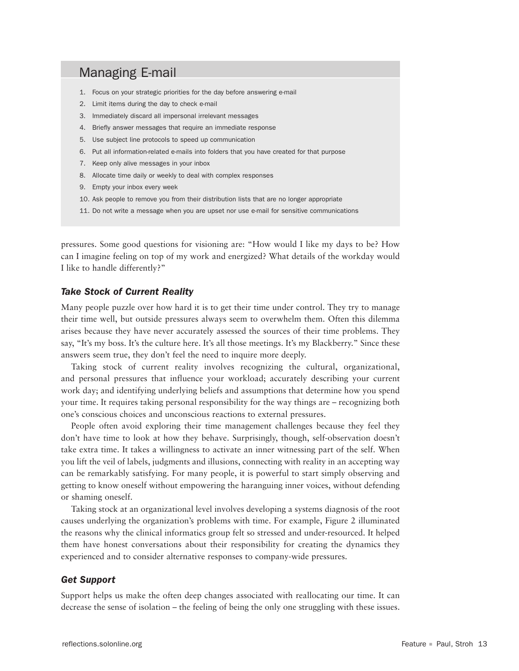## Managing E-mail

- 1. Focus on your strategic priorities for the day before answering e-mail
- 2. Limit items during the day to check e-mail
- 3. Immediately discard all impersonal irrelevant messages
- 4. Briefly answer messages that require an immediate response
- 5. Use subject line protocols to speed up communication
- 6. Put all information-related e-mails into folders that you have created for that purpose
- 7. Keep only alive messages in your inbox
- 8. Allocate time daily or weekly to deal with complex responses
- 9. Empty your inbox every week
- 10. Ask people to remove you from their distribution lists that are no longer appropriate
- 11. Do not write a message when you are upset nor use e-mail for sensitive communications

pressures. Some good questions for visioning are: "How would I like my days to be? How can I imagine feeling on top of my work and energized? What details of the workday would I like to handle differently?"

#### *Take Stock of Current Reality*

Many people puzzle over how hard it is to get their time under control. They try to manage their time well, but outside pressures always seem to overwhelm them. Often this dilemma arises because they have never accurately assessed the sources of their time problems. They say, "It's my boss. It's the culture here. It's all those meetings. It's my Blackberry." Since these answers seem true, they don't feel the need to inquire more deeply.

Taking stock of current reality involves recognizing the cultural, organizational, and personal pressures that influence your workload; accurately describing your current work day; and identifying underlying beliefs and assumptions that determine how you spend your time. It requires taking personal responsibility for the way things are – recognizing both one's conscious choices and unconscious reactions to external pressures.

People often avoid exploring their time management challenges because they feel they don't have time to look at how they behave. Surprisingly, though, self-observation doesn't take extra time. It takes a willingness to activate an inner witnessing part of the self. When you lift the veil of labels, judgments and illusions, connecting with reality in an accepting way can be remarkably satisfying. For many people, it is powerful to start simply observing and getting to know oneself without empowering the haranguing inner voices, without defending or shaming oneself.

Taking stock at an organizational level involves developing a systems diagnosis of the root causes underlying the organization's problems with time. For example, Figure 2 illuminated the reasons why the clinical informatics group felt so stressed and under-resourced. It helped them have honest conversations about their responsibility for creating the dynamics they experienced and to consider alternative responses to company-wide pressures.

#### *Get Support*

Support helps us make the often deep changes associated with reallocating our time. It can decrease the sense of isolation – the feeling of being the only one struggling with these issues.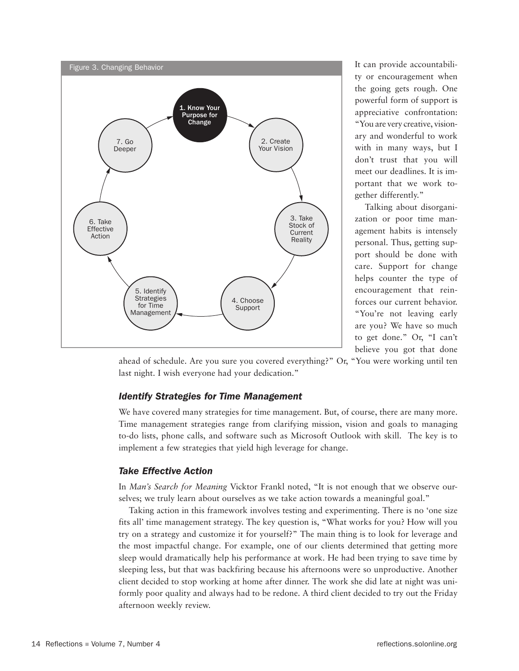

It can provide accountability or encouragement when the going gets rough. One powerful form of support is appreciative confrontation: "You are very creative, visionary and wonderful to work with in many ways, but I don't trust that you will meet our deadlines. It is important that we work together differently."

Talking about disorganization or poor time management habits is intensely personal. Thus, getting support should be done with care. Support for change helps counter the type of encouragement that reinforces our current behavior. "You're not leaving early are you? We have so much to get done." Or, "I can't believe you got that done

ahead of schedule. Are you sure you covered everything?" Or, "You were working until ten last night. I wish everyone had your dedication."

#### *Identify Strategies for Time Management*

We have covered many strategies for time management. But, of course, there are many more. Time management strategies range from clarifying mission, vision and goals to managing to-do lists, phone calls, and software such as Microsoft Outlook with skill. The key is to implement a few strategies that yield high leverage for change.

#### *Take Effective Action*

In *Man's Search for Meaning* Vicktor Frankl noted, "It is not enough that we observe ourselves; we truly learn about ourselves as we take action towards a meaningful goal."

Taking action in this framework involves testing and experimenting. There is no 'one size fits all' time management strategy. The key question is, "What works for you? How will you try on a strategy and customize it for yourself?" The main thing is to look for leverage and the most impactful change. For example, one of our clients determined that getting more sleep would dramatically help his performance at work. He had been trying to save time by sleeping less, but that was backfiring because his afternoons were so unproductive. Another client decided to stop working at home after dinner. The work she did late at night was uniformly poor quality and always had to be redone. A third client decided to try out the Friday afternoon weekly review.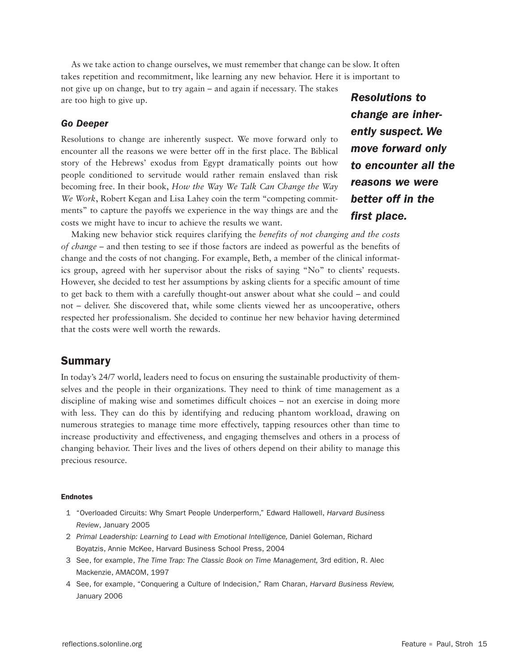As we take action to change ourselves, we must remember that change can be slow. It often takes repetition and recommitment, like learning any new behavior. Here it is important to not give up on change, but to try again – and again if necessary. The stakes are too high to give up.

#### *Go Deeper*

Resolutions to change are inherently suspect. We move forward only to encounter all the reasons we were better off in the first place. The Biblical story of the Hebrews' exodus from Egypt dramatically points out how people conditioned to servitude would rather remain enslaved than risk becoming free. In their book, *How the Way We Talk Can Change the Way We Work*, Robert Kegan and Lisa Lahey coin the term "competing commitments" to capture the payoffs we experience in the way things are and the costs we might have to incur to achieve the results we want.

*Resolutions to change are inherently suspect. We move forward only to encounter all the reasons we were better off in the first place.*

Making new behavior stick requires clarifying the *benefits of not changing and the costs of change* – and then testing to see if those factors are indeed as powerful as the benefits of change and the costs of not changing. For example, Beth, a member of the clinical informatics group, agreed with her supervisor about the risks of saying "No" to clients' requests. However, she decided to test her assumptions by asking clients for a specific amount of time to get back to them with a carefully thought-out answer about what she could – and could not – deliver. She discovered that, while some clients viewed her as uncooperative, others respected her professionalism. She decided to continue her new behavior having determined that the costs were well worth the rewards.

## **Summary**

In today's 24/7 world, leaders need to focus on ensuring the sustainable productivity of themselves and the people in their organizations. They need to think of time management as a discipline of making wise and sometimes difficult choices – not an exercise in doing more with less. They can do this by identifying and reducing phantom workload, drawing on numerous strategies to manage time more effectively, tapping resources other than time to increase productivity and effectiveness, and engaging themselves and others in a process of changing behavior. Their lives and the lives of others depend on their ability to manage this precious resource.

#### Endnotes

- 1 "Overloaded Circuits: Why Smart People Underperform," Edward Hallowell, *Harvard Business Review*, January 2005
- 2 *Primal Leadership: Learning to Lead with Emotional Intelligence,* Daniel Goleman, Richard Boyatzis, Annie McKee, Harvard Business School Press, 2004
- 3 See, for example, *The Time Trap: The Classic Book on Time Management,* 3rd edition, R. Alec Mackenzie, AMACOM, 1997
- 4 See, for example, "Conquering a Culture of Indecision," Ram Charan, *Harvard Business Review,*  January 2006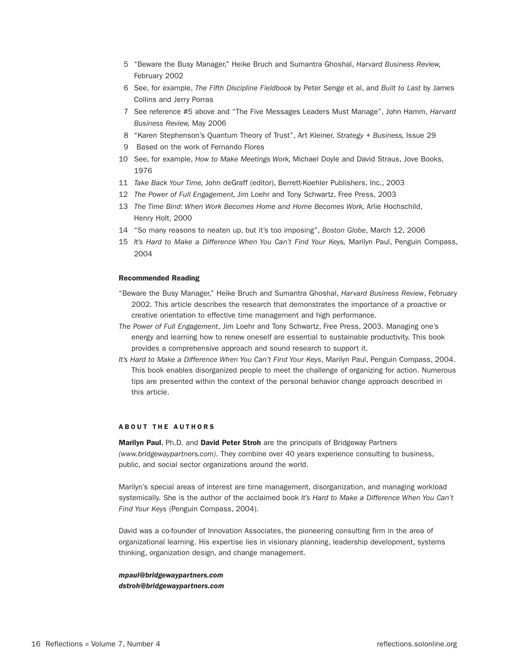- 5 "Beware the Busy Manager," Heike Bruch and Sumantra Ghoshal, *Harvard Business Review,* February 2002
- 6 See, for example, *The Fifth Discipline Fieldbook* by Peter Senge et al, and *Built to Last* by James Collins and Jerry Porras
- 7 See reference #5 above and "The Five Messages Leaders Must Manage", John Hamm, *Harvard Business Review,* May 2006
- 8 "Karen Stephenson's Quantum Theory of Trust", Art Kleiner, *Strategy + Business,* Issue 29
- 9 Based on the work of Fernando Flores
- 10 See, for example, *How to Make Meetings Work,* Michael Doyle and David Straus, Jove Books, 1976
- 11 *Take Back Your Time,* John deGraff (editor), Berrett-Koehler Publishers, Inc., 2003
- 12 *The Power of Full Engagement,* Jim Loehr and Tony Schwartz, Free Press, 2003
- 13 *The Time Bind: When Work Becomes Home and Home Becomes Work,* Arlie Hochschild, Henry Holt, 2000
- 14 "So many reasons to neaten up, but it's too imposing", *Boston Globe*, March 12, 2006
- 15 *It's Hard to Make a Difference When You Can't Find Your Keys,* Marilyn Paul, Penguin Compass, 2004

#### Recommended Reading

- "Beware the Busy Manager," Heike Bruch and Sumantra Ghoshal, *Harvard Business Review*, February 2002. This article describes the research that demonstrates the importance of a proactive or creative orientation to effective time management and high performance.
- *The Power of Full Engagement*, Jim Loehr and Tony Schwartz, Free Press, 2003. Managing one's energy and learning how to renew oneself are essential to sustainable productivity. This book provides a comprehensive approach and sound research to support it.
- *It's Hard to Make a Difference When You Can't Find Your Keys*, Marilyn Paul, Penguin Compass, 2004. This book enables disorganized people to meet the challenge of organizing for action. Numerous tips are presented within the context of the personal behavior change approach described in this article.

#### **ABOUT THE AUTHORS**

Marilyn Paul, Ph.D. and David Peter Stroh are the principals of Bridgeway Partners *(www.bridgewaypartners.com)*. They combine over 40 years experience consulting to business, public, and social sector organizations around the world.

Marilyn's special areas of interest are time management, disorganization, and managing workload systemically. She is the author of the acclaimed book *It's Hard to Make a Difference When You Can't Find Your Keys* (Penguin Compass, 2004).

David was a co-founder of Innovation Associates, the pioneering consulting firm in the area of organizational learning. His expertise lies in visionary planning, leadership development, systems thinking, organization design, and change management.

*mpaul@bridgewaypartners.com dstroh@bridgewaypartners.com*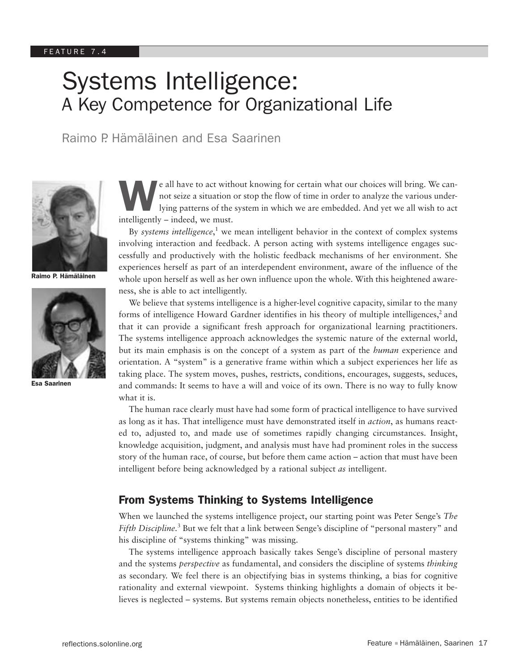# Systems Intelligence: A Key Competence for Organizational Life

Raimo P. Hämäläinen and Esa Saarinen



Raimo P. Hämäläinen



Esa Saarinen

e all have to act without knowing for certain what our choices will bring. We can-<br>not seize a situation or stop the flow of time in order to analyze the various under-<br>lying patterns of the system in which we are embedded not seize a situation or stop the flow of time in order to analyze the various underlying patterns of the system in which we are embedded. And yet we all wish to act intelligently – indeed, we must.

By *systems intelligence*,<sup>1</sup> we mean intelligent behavior in the context of complex systems involving interaction and feedback. A person acting with systems intelligence engages successfully and productively with the holistic feedback mechanisms of her environment. She experiences herself as part of an interdependent environment, aware of the influence of the whole upon herself as well as her own influence upon the whole. With this heightened awareness, she is able to act intelligently.

We believe that systems intelligence is a higher-level cognitive capacity, similar to the many forms of intelligence Howard Gardner identifies in his theory of multiple intelligences,<sup>2</sup> and that it can provide a significant fresh approach for organizational learning practitioners. The systems intelligence approach acknowledges the systemic nature of the external world, but its main emphasis is on the concept of a system as part of the *human* experience and orientation. A "system" is a generative frame within which a subject experiences her life as taking place. The system moves, pushes, restricts, conditions, encourages, suggests, seduces, and commands: It seems to have a will and voice of its own. There is no way to fully know what it is.

The human race clearly must have had some form of practical intelligence to have survived as long as it has. That intelligence must have demonstrated itself in *action*, as humans reacted to, adjusted to, and made use of sometimes rapidly changing circumstances. Insight, knowledge acquisition, judgment, and analysis must have had prominent roles in the success story of the human race, of course, but before them came action – action that must have been intelligent before being acknowledged by a rational subject *as* intelligent.

## From Systems Thinking to Systems Intelligence

When we launched the systems intelligence project, our starting point was Peter Senge's *The*  Fifth Discipline.<sup>3</sup> But we felt that a link between Senge's discipline of "personal mastery" and his discipline of "systems thinking" was missing.

The systems intelligence approach basically takes Senge's discipline of personal mastery and the systems *perspective* as fundamental, and considers the discipline of systems *thinking* as secondary. We feel there is an objectifying bias in systems thinking, a bias for cognitive rationality and external viewpoint. Systems thinking highlights a domain of objects it believes is neglected – systems. But systems remain objects nonetheless, entities to be identified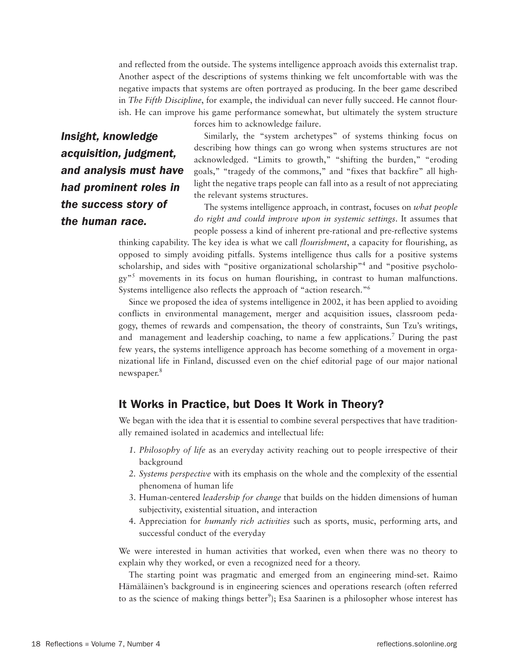and reflected from the outside. The systems intelligence approach avoids this externalist trap. Another aspect of the descriptions of systems thinking we felt uncomfortable with was the negative impacts that systems are often portrayed as producing. In the beer game described in *The Fifth Discipline*, for example, the individual can never fully succeed. He cannot flourish. He can improve his game performance somewhat, but ultimately the system structure

*Insight, knowledge acquisition, judgment, and analysis must have had prominent roles in the success story of the human race.*

forces him to acknowledge failure.

Similarly, the "system archetypes" of systems thinking focus on describing how things can go wrong when systems structures are not acknowledged. "Limits to growth," "shifting the burden," "eroding goals," "tragedy of the commons," and "fixes that backfire" all highlight the negative traps people can fall into as a result of not appreciating the relevant systems structures.

The systems intelligence approach, in contrast, focuses on *what people do right and could improve upon in systemic settings*. It assumes that people possess a kind of inherent pre-rational and pre-reflective systems

thinking capability. The key idea is what we call *flourishment*, a capacity for flourishing, as opposed to simply avoiding pitfalls. Systems intelligence thus calls for a positive systems scholarship, and sides with "positive organizational scholarship"<sup>4</sup> and "positive psychology<sup>"5</sup> movements in its focus on human flourishing, in contrast to human malfunctions. Systems intelligence also reflects the approach of "action research."6

Since we proposed the idea of systems intelligence in 2002, it has been applied to avoiding conflicts in environmental management, merger and acquisition issues, classroom pedagogy, themes of rewards and compensation, the theory of constraints, Sun Tzu's writings, and management and leadership coaching, to name a few applications.<sup>7</sup> During the past few years, the systems intelligence approach has become something of a movement in organizational life in Finland, discussed even on the chief editorial page of our major national newspaper.<sup>8</sup>

## It Works in Practice, but Does It Work in Theory?

We began with the idea that it is essential to combine several perspectives that have traditionally remained isolated in academics and intellectual life:

- *1. Philosophy of life* as an everyday activity reaching out to people irrespective of their background
- *2. Systems perspective* with its emphasis on the whole and the complexity of the essential phenomena of human life
- 3. Human-centered *leadership for change* that builds on the hidden dimensions of human subjectivity, existential situation, and interaction
- 4. Appreciation for *humanly rich activities* such as sports, music, performing arts, and successful conduct of the everyday

We were interested in human activities that worked, even when there was no theory to explain why they worked, or even a recognized need for a theory.

The starting point was pragmatic and emerged from an engineering mind-set. Raimo Hämäläinen's background is in engineering sciences and operations research (often referred to as the science of making things better<sup>9</sup>); Esa Saarinen is a philosopher whose interest has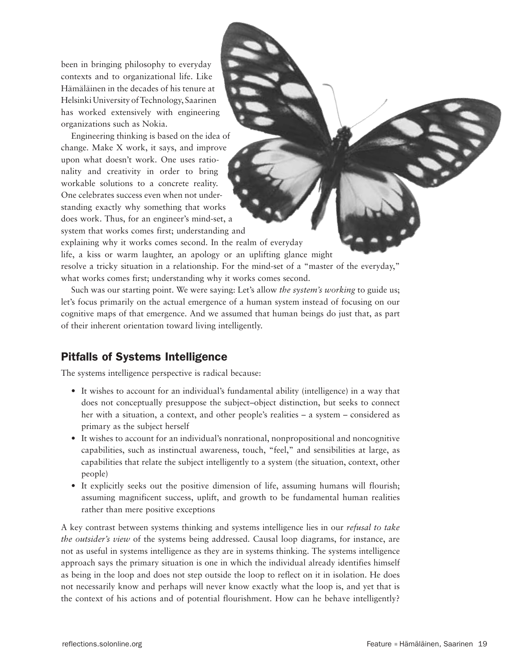been in bringing philosophy to everyday contexts and to organizational life. Like Hämäläinen in the decades of his tenure at Helsinki University of Technology, Saarinen has worked extensively with engineering organizations such as Nokia.

Engineering thinking is based on the idea of change. Make X work, it says, and improve upon what doesn't work. One uses rationality and creativity in order to bring workable solutions to a concrete reality. One celebrates success even when not understanding exactly why something that works does work. Thus, for an engineer's mind-set, a system that works comes first; understanding and explaining why it works comes second. In the realm of everyday life, a kiss or warm laughter, an apology or an uplifting glance might

resolve a tricky situation in a relationship. For the mind-set of a "master of the everyday," what works comes first; understanding why it works comes second.

Such was our starting point. We were saying: Let's allow *the system's working* to guide us; let's focus primarily on the actual emergence of a human system instead of focusing on our cognitive maps of that emergence. And we assumed that human beings do just that, as part of their inherent orientation toward living intelligently.

## Pitfalls of Systems Intelligence

The systems intelligence perspective is radical because:

- It wishes to account for an individual's fundamental ability (intelligence) in a way that does not conceptually presuppose the subject–object distinction, but seeks to connect her with a situation, a context, and other people's realities – a system – considered as primary as the subject herself
- It wishes to account for an individual's nonrational, nonpropositional and noncognitive capabilities, such as instinctual awareness, touch, "feel," and sensibilities at large, as capabilities that relate the subject intelligently to a system (the situation, context, other people)
- It explicitly seeks out the positive dimension of life, assuming humans will flourish; assuming magnificent success, uplift, and growth to be fundamental human realities rather than mere positive exceptions

A key contrast between systems thinking and systems intelligence lies in our *refusal to take the outsider's view* of the systems being addressed. Causal loop diagrams, for instance, are not as useful in systems intelligence as they are in systems thinking. The systems intelligence approach says the primary situation is one in which the individual already identifies himself as being in the loop and does not step outside the loop to reflect on it in isolation. He does not necessarily know and perhaps will never know exactly what the loop is, and yet that is the context of his actions and of potential flourishment. How can he behave intelligently?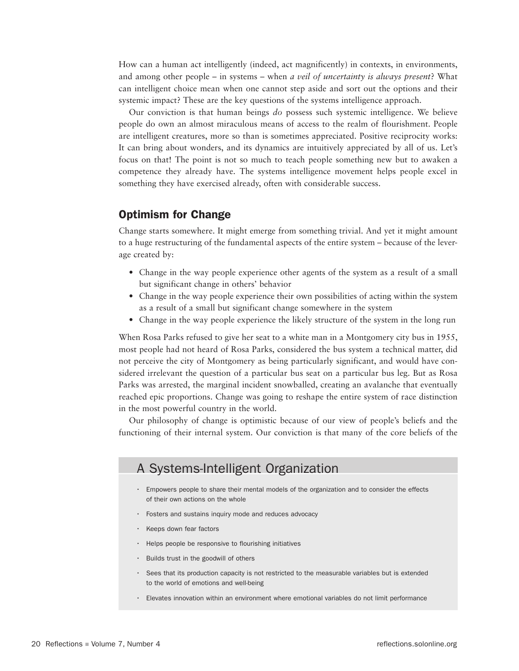How can a human act intelligently (indeed, act magnificently) in contexts, in environments, and among other people – in systems – when *a veil of uncertainty is always present*? What can intelligent choice mean when one cannot step aside and sort out the options and their systemic impact? These are the key questions of the systems intelligence approach.

Our conviction is that human beings *do* possess such systemic intelligence. We believe people do own an almost miraculous means of access to the realm of flourishment. People are intelligent creatures, more so than is sometimes appreciated. Positive reciprocity works: It can bring about wonders, and its dynamics are intuitively appreciated by all of us. Let's focus on that! The point is not so much to teach people something new but to awaken a competence they already have. The systems intelligence movement helps people excel in something they have exercised already, often with considerable success.

## Optimism for Change

Change starts somewhere. It might emerge from something trivial. And yet it might amount to a huge restructuring of the fundamental aspects of the entire system – because of the leverage created by:

- Change in the way people experience other agents of the system as a result of a small but significant change in others' behavior
- Change in the way people experience their own possibilities of acting within the system as a result of a small but significant change somewhere in the system
- Change in the way people experience the likely structure of the system in the long run

When Rosa Parks refused to give her seat to a white man in a Montgomery city bus in 1955, most people had not heard of Rosa Parks, considered the bus system a technical matter, did not perceive the city of Montgomery as being particularly significant, and would have considered irrelevant the question of a particular bus seat on a particular bus leg. But as Rosa Parks was arrested, the marginal incident snowballed, creating an avalanche that eventually reached epic proportions. Change was going to reshape the entire system of race distinction in the most powerful country in the world.

Our philosophy of change is optimistic because of our view of people's beliefs and the functioning of their internal system. Our conviction is that many of the core beliefs of the

## A Systems-Intelligent Organization

- Empowers people to share their mental models of the organization and to consider the effects of their own actions on the whole
- Fosters and sustains inquiry mode and reduces advocacy
- Keeps down fear factors
- Helps people be responsive to flourishing initiatives
- Builds trust in the goodwill of others
- Sees that its production capacity is not restricted to the measurable variables but is extended to the world of emotions and well-being
- Elevates innovation within an environment where emotional variables do not limit performance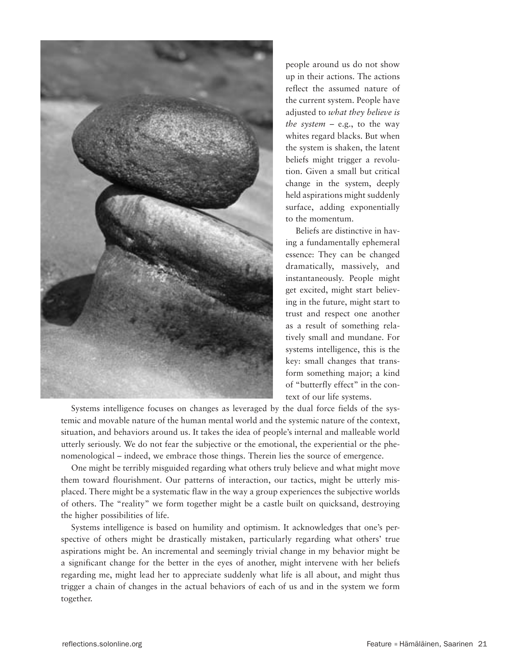

people around us do not show up in their actions. The actions reflect the assumed nature of the current system. People have adjusted to *what they believe is the system –* e.g., to the way whites regard blacks. But when the system is shaken, the latent beliefs might trigger a revolution. Given a small but critical change in the system, deeply held aspirations might suddenly surface, adding exponentially to the momentum.

Beliefs are distinctive in having a fundamentally ephemeral essence: They can be changed dramatically, massively, and instantaneously. People might get excited, might start believing in the future, might start to trust and respect one another as a result of something relatively small and mundane. For systems intelligence, this is the key: small changes that transform something major; a kind of "butterfly effect" in the context of our life systems.

Systems intelligence focuses on changes as leveraged by the dual force fields of the systemic and movable nature of the human mental world and the systemic nature of the context, situation, and behaviors around us. It takes the idea of people's internal and malleable world utterly seriously. We do not fear the subjective or the emotional, the experiential or the phenomenological *–* indeed, we embrace those things. Therein lies the source of emergence.

One might be terribly misguided regarding what others truly believe and what might move them toward flourishment. Our patterns of interaction, our tactics, might be utterly misplaced. There might be a systematic flaw in the way a group experiences the subjective worlds of others. The "reality" we form together might be a castle built on quicksand, destroying the higher possibilities of life.

Systems intelligence is based on humility and optimism. It acknowledges that one's perspective of others might be drastically mistaken, particularly regarding what others' true aspirations might be. An incremental and seemingly trivial change in my behavior might be a significant change for the better in the eyes of another, might intervene with her beliefs regarding me, might lead her to appreciate suddenly what life is all about, and might thus trigger a chain of changes in the actual behaviors of each of us and in the system we form together.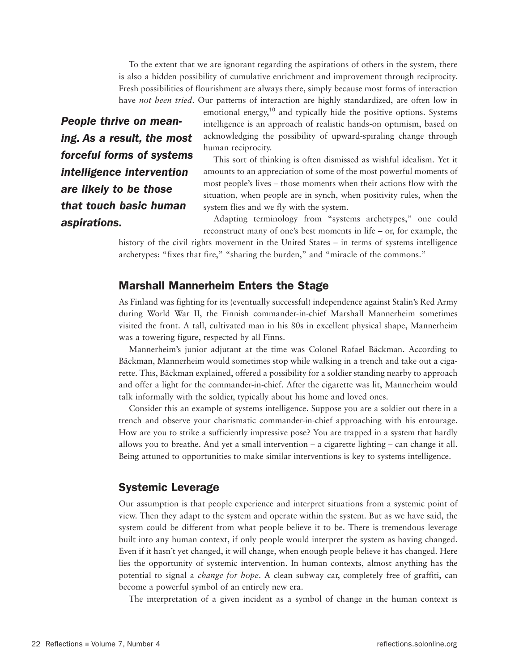To the extent that we are ignorant regarding the aspirations of others in the system, there is also a hidden possibility of cumulative enrichment and improvement through reciprocity. Fresh possibilities of flourishment are always there, simply because most forms of interaction have *not been tried*. Our patterns of interaction are highly standardized, are often low in

*People thrive on meaning. As a result, the most forceful forms of systems intelligence intervention are likely to be those that touch basic human aspirations.*

emotional energy,<sup>10</sup> and typically hide the positive options. Systems intelligence is an approach of realistic hands-on optimism, based on acknowledging the possibility of upward-spiraling change through human reciprocity.

This sort of thinking is often dismissed as wishful idealism. Yet it amounts to an appreciation of some of the most powerful moments of most people's lives – those moments when their actions flow with the situation, when people are in synch, when positivity rules, when the system flies and we fly with the system.

Adapting terminology from "systems archetypes," one could reconstruct many of one's best moments in life – or, for example, the

history of the civil rights movement in the United States – in terms of systems intelligence archetypes: "fixes that fire," "sharing the burden," and "miracle of the commons."

#### Marshall Mannerheim Enters the Stage

As Finland was fighting for its (eventually successful) independence against Stalin's Red Army during World War II, the Finnish commander-in-chief Marshall Mannerheim sometimes visited the front. A tall, cultivated man in his 80s in excellent physical shape, Mannerheim was a towering figure, respected by all Finns.

Mannerheim's junior adjutant at the time was Colonel Rafael Bäckman. According to Bäckman, Mannerheim would sometimes stop while walking in a trench and take out a cigarette. This, Bäckman explained, offered a possibility for a soldier standing nearby to approach and offer a light for the commander-in-chief. After the cigarette was lit, Mannerheim would talk informally with the soldier, typically about his home and loved ones.

Consider this an example of systems intelligence. Suppose you are a soldier out there in a trench and observe your charismatic commander-in-chief approaching with his entourage. How are you to strike a sufficiently impressive pose? You are trapped in a system that hardly allows you to breathe. And yet a small intervention – a cigarette lighting – can change it all. Being attuned to opportunities to make similar interventions is key to systems intelligence.

## Systemic Leverage

Our assumption is that people experience and interpret situations from a systemic point of view. Then they adapt to the system and operate within the system. But as we have said, the system could be different from what people believe it to be. There is tremendous leverage built into any human context, if only people would interpret the system as having changed. Even if it hasn't yet changed, it will change, when enough people believe it has changed. Here lies the opportunity of systemic intervention. In human contexts, almost anything has the potential to signal a *change for hope*. A clean subway car, completely free of graffiti, can become a powerful symbol of an entirely new era.

The interpretation of a given incident as a symbol of change in the human context is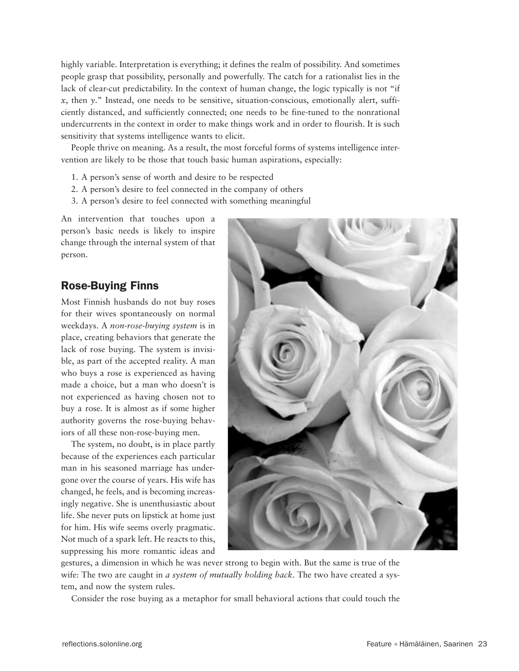highly variable. Interpretation is everything; it defines the realm of possibility. And sometimes people grasp that possibility, personally and powerfully. The catch for a rationalist lies in the lack of clear-cut predictability. In the context of human change, the logic typically is not "if *x*, then *y*." Instead, one needs to be sensitive, situation-conscious, emotionally alert, sufficiently distanced, and sufficiently connected; one needs to be fine-tuned to the nonrational undercurrents in the context in order to make things work and in order to flourish. It is such sensitivity that systems intelligence wants to elicit.

People thrive on meaning. As a result, the most forceful forms of systems intelligence intervention are likely to be those that touch basic human aspirations, especially:

- 1. A person's sense of worth and desire to be respected
- 2. A person's desire to feel connected in the company of others
- 3. A person's desire to feel connected with something meaningful

An intervention that touches upon a person's basic needs is likely to inspire change through the internal system of that person.

## Rose-Buying Finns

Most Finnish husbands do not buy roses for their wives spontaneously on normal weekdays. A *non-rose-buying system* is in place, creating behaviors that generate the lack of rose buying. The system is invisible, as part of the accepted reality. A man who buys a rose is experienced as having made a choice, but a man who doesn't is not experienced as having chosen not to buy a rose. It is almost as if some higher authority governs the rose-buying behaviors of all these non-rose-buying men.

The system, no doubt, is in place partly because of the experiences each particular man in his seasoned marriage has undergone over the course of years. His wife has changed, he feels, and is becoming increasingly negative. She is unenthusiastic about life. She never puts on lipstick at home just for him. His wife seems overly pragmatic. Not much of a spark left. He reacts to this, suppressing his more romantic ideas and



gestures, a dimension in which he was never strong to begin with. But the same is true of the wife: The two are caught in *a system of mutually holding back*. The two have created a system, and now the system rules.

Consider the rose buying as a metaphor for small behavioral actions that could touch the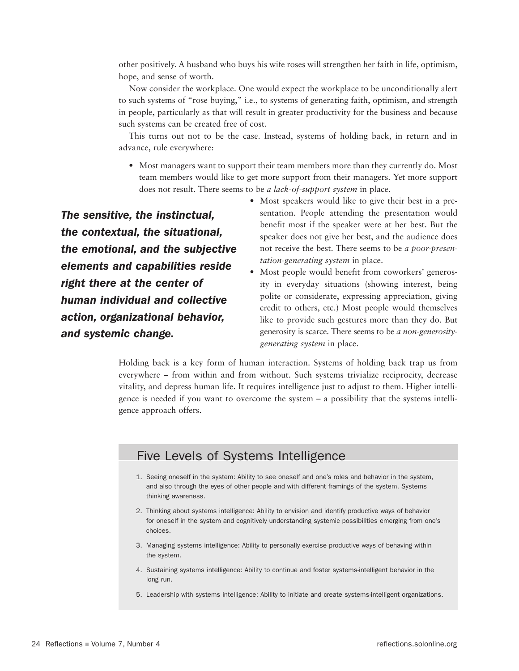other positively. A husband who buys his wife roses will strengthen her faith in life, optimism, hope, and sense of worth.

Now consider the workplace. One would expect the workplace to be unconditionally alert to such systems of "rose buying," i.e., to systems of generating faith, optimism, and strength in people, particularly as that will result in greater productivity for the business and because such systems can be created free of cost.

This turns out not to be the case. Instead, systems of holding back, in return and in advance, rule everywhere:

• Most managers want to support their team members more than they currently do. Most team members would like to get more support from their managers. Yet more support does not result. There seems to be *a lack-of-support system* in place.

*The sensitive, the instinctual, the contextual, the situational, the emotional, and the subjective elements and capabilities reside right there at the center of human individual and collective action, organizational behavior, and systemic change.*

- Most speakers would like to give their best in a presentation. People attending the presentation would benefit most if the speaker were at her best. But the speaker does not give her best, and the audience does not receive the best. There seems to be *a poor-presentation-generating system* in place.
- Most people would benefit from coworkers' generosity in everyday situations (showing interest, being polite or considerate, expressing appreciation, giving credit to others, etc.) Most people would themselves like to provide such gestures more than they do. But generosity is scarce. There seems to be *a non-generositygenerating system* in place.

Holding back is a key form of human interaction. Systems of holding back trap us from everywhere – from within and from without. Such systems trivialize reciprocity, decrease vitality, and depress human life. It requires intelligence just to adjust to them. Higher intelligence is needed if you want to overcome the system – a possibility that the systems intelligence approach offers.

## Five Levels of Systems Intelligence

- 1. Seeing oneself in the system: Ability to see oneself and one's roles and behavior in the system, and also through the eyes of other people and with different framings of the system. Systems thinking awareness.
- 2. Thinking about systems intelligence: Ability to envision and identify productive ways of behavior for oneself in the system and cognitively understanding systemic possibilities emerging from one's choices.
- 3. Managing systems intelligence: Ability to personally exercise productive ways of behaving within the system.
- 4. Sustaining systems intelligence: Ability to continue and foster systems-intelligent behavior in the long run.
- 5. Leadership with systems intelligence: Ability to initiate and create systems-intelligent organizations.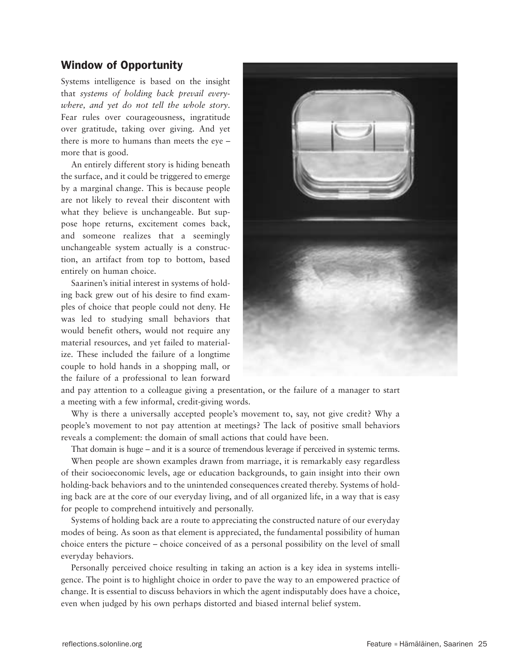## Window of Opportunity

Systems intelligence is based on the insight that *systems of holding back prevail everywhere, and yet do not tell the whole story*. Fear rules over courageousness, ingratitude over gratitude, taking over giving. And yet there is more to humans than meets the eye – more that is good.

An entirely different story is hiding beneath the surface, and it could be triggered to emerge by a marginal change. This is because people are not likely to reveal their discontent with what they believe is unchangeable. But suppose hope returns, excitement comes back, and someone realizes that a seemingly unchangeable system actually is a construction, an artifact from top to bottom, based entirely on human choice.

Saarinen's initial interest in systems of holding back grew out of his desire to find examples of choice that people could not deny. He was led to studying small behaviors that would benefit others, would not require any material resources, and yet failed to materialize. These included the failure of a longtime couple to hold hands in a shopping mall, or the failure of a professional to lean forward



and pay attention to a colleague giving a presentation, or the failure of a manager to start a meeting with a few informal, credit-giving words.

Why is there a universally accepted people's movement to, say, not give credit? Why a people's movement to not pay attention at meetings? The lack of positive small behaviors reveals a complement: the domain of small actions that could have been.

That domain is huge – and it is a source of tremendous leverage if perceived in systemic terms.

When people are shown examples drawn from marriage, it is remarkably easy regardless of their socioeconomic levels, age or education backgrounds, to gain insight into their own holding-back behaviors and to the unintended consequences created thereby. Systems of holding back are at the core of our everyday living, and of all organized life, in a way that is easy for people to comprehend intuitively and personally.

Systems of holding back are a route to appreciating the constructed nature of our everyday modes of being. As soon as that element is appreciated, the fundamental possibility of human choice enters the picture – choice conceived of as a personal possibility on the level of small everyday behaviors.

Personally perceived choice resulting in taking an action is a key idea in systems intelligence. The point is to highlight choice in order to pave the way to an empowered practice of change. It is essential to discuss behaviors in which the agent indisputably does have a choice, even when judged by his own perhaps distorted and biased internal belief system.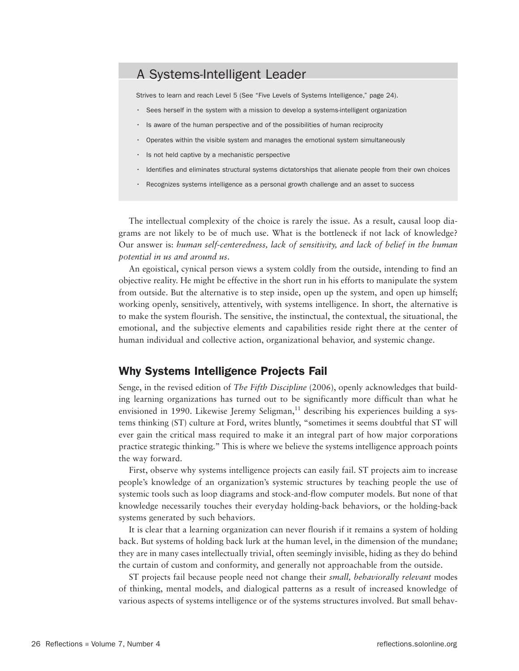## A Systems-Intelligent Leader

Strives to learn and reach Level 5 (See "Five Levels of Systems Intelligence," page 24).

- Sees herself in the system with a mission to develop a systems-intelligent organization
- Is aware of the human perspective and of the possibilities of human reciprocity
- Operates within the visible system and manages the emotional system simultaneously
- Is not held captive by a mechanistic perspective
- Identifies and eliminates structural systems dictatorships that alienate people from their own choices
- Recognizes systems intelligence as a personal growth challenge and an asset to success

The intellectual complexity of the choice is rarely the issue. As a result, causal loop diagrams are not likely to be of much use. What is the bottleneck if not lack of knowledge? Our answer is: *human self-centeredness, lack of sensitivity, and lack of belief in the human potential in us and around us*.

An egoistical, cynical person views a system coldly from the outside, intending to find an objective reality. He might be effective in the short run in his efforts to manipulate the system from outside. But the alternative is to step inside, open up the system, and open up himself; working openly, sensitively, attentively, with systems intelligence. In short, the alternative is to make the system flourish. The sensitive, the instinctual, the contextual, the situational, the emotional, and the subjective elements and capabilities reside right there at the center of human individual and collective action, organizational behavior, and systemic change.

## Why Systems Intelligence Projects Fail

Senge, in the revised edition of *The Fifth Discipline* (2006), openly acknowledges that building learning organizations has turned out to be significantly more difficult than what he envisioned in 1990. Likewise Jeremy Seligman, $<sup>11</sup>$  describing his experiences building a sys-</sup> tems thinking (ST) culture at Ford, writes bluntly, "sometimes it seems doubtful that ST will ever gain the critical mass required to make it an integral part of how major corporations practice strategic thinking." This is where we believe the systems intelligence approach points the way forward.

First, observe why systems intelligence projects can easily fail. ST projects aim to increase people's knowledge of an organization's systemic structures by teaching people the use of systemic tools such as loop diagrams and stock-and-flow computer models. But none of that knowledge necessarily touches their everyday holding-back behaviors, or the holding-back systems generated by such behaviors.

It is clear that a learning organization can never flourish if it remains a system of holding back. But systems of holding back lurk at the human level, in the dimension of the mundane; they are in many cases intellectually trivial, often seemingly invisible, hiding as they do behind the curtain of custom and conformity, and generally not approachable from the outside.

ST projects fail because people need not change their *small, behaviorally relevant* modes of thinking, mental models, and dialogical patterns as a result of increased knowledge of various aspects of systems intelligence or of the systems structures involved. But small behav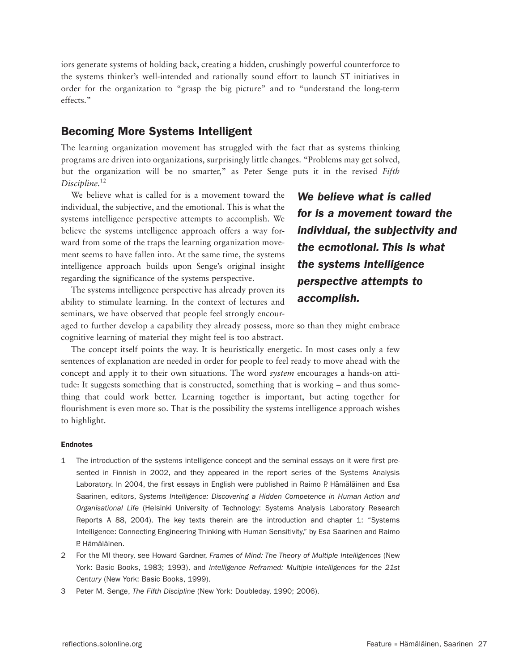iors generate systems of holding back, creating a hidden, crushingly powerful counterforce to the systems thinker's well-intended and rationally sound effort to launch ST initiatives in order for the organization to "grasp the big picture" and to "understand the long-term effects."

## Becoming More Systems Intelligent

The learning organization movement has struggled with the fact that as systems thinking programs are driven into organizations, surprisingly little changes. "Problems may get solved, but the organization will be no smarter," as Peter Senge puts it in the revised *Fifth Discipline.*<sup>12</sup>

We believe what is called for is a movement toward the individual, the subjective, and the emotional. This is what the systems intelligence perspective attempts to accomplish. We believe the systems intelligence approach offers a way forward from some of the traps the learning organization movement seems to have fallen into. At the same time, the systems intelligence approach builds upon Senge's original insight regarding the significance of the systems perspective.

The systems intelligence perspective has already proven its ability to stimulate learning. In the context of lectures and seminars, we have observed that people feel strongly encour*We believe what is called for is a movement toward the individual, the subjectivity and the ecmotional. This is what the systems intelligence perspective attempts to accomplish.*

aged to further develop a capability they already possess, more so than they might embrace cognitive learning of material they might feel is too abstract.

The concept itself points the way. It is heuristically energetic. In most cases only a few sentences of explanation are needed in order for people to feel ready to move ahead with the concept and apply it to their own situations. The word *system* encourages a hands-on attitude: It suggests something that is constructed, something that is working – and thus something that could work better. Learning together is important, but acting together for flourishment is even more so. That is the possibility the systems intelligence approach wishes to highlight.

#### Endnotes

- 1 The introduction of the systems intelligence concept and the seminal essays on it were first presented in Finnish in 2002, and they appeared in the report series of the Systems Analysis Laboratory. In 2004, the first essays in English were published in Raimo P. Hämäläinen and Esa Saarinen, editors, *Systems Intelligence: Discovering a Hidden Competence in Human Action and Organisational Life* (Helsinki University of Technology: Systems Analysis Laboratory Research Reports A 88, 2004). The key texts therein are the introduction and chapter 1: "Systems Intelligence: Connecting Engineering Thinking with Human Sensitivity," by Esa Saarinen and Raimo P. Hämäläinen.
- 2 For the MI theory, see Howard Gardner, *Frames of Mind: The Theory of Multiple Intelligences* (New York: Basic Books, 1983; 1993), and *Intelligence Reframed: Multiple Intelligences for the 21st Century* (New York: Basic Books, 1999).
- 3 Peter M. Senge, *The Fifth Discipline* (New York: Doubleday, 1990; 2006).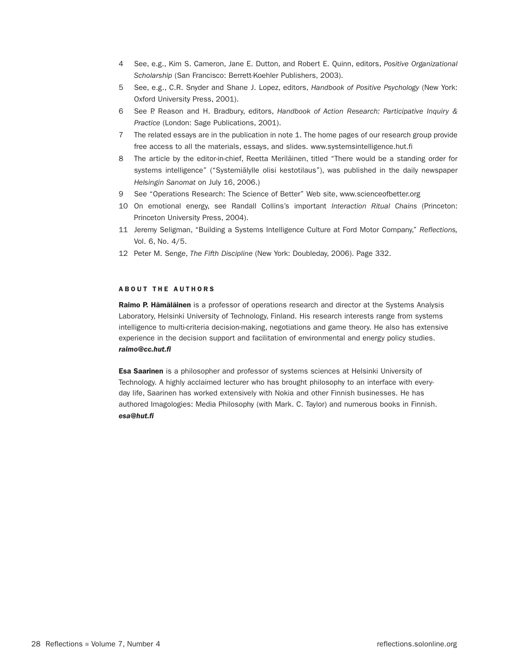- 4 See, e.g., Kim S. Cameron, Jane E. Dutton, and Robert E. Quinn, editors, *Positive Organizational Scholarship* (San Francisco: Berrett-Koehler Publishers, 2003).
- 5 See, e.g., C.R. Snyder and Shane J. Lopez, editors, *Handbook of Positive Psychology* (New York: Oxford University Press, 2001).
- 6 See P. Reason and H. Bradbury, editors, *Handbook of Action Research: Participative Inquiry & Practice* (London: Sage Publications, 2001).
- 7 The related essays are in the publication in note 1. The home pages of our research group provide free access to all the materials, essays, and slides. www.systemsintelligence.hut.fi
- 8 The article by the editor-in-chief, Reetta Meriläinen, titled "There would be a standing order for systems intelligence" ("Systemiälylle olisi kestotilaus"), was published in the daily newspaper *Helsingin Sanomat* on July 16, 2006.)
- 9 See "Operations Research: The Science of Better" Web site, www.scienceofbetter.org
- 10 On emotional energy, see Randall Collins's important *Interaction Ritual Chains* (Princeton: Princeton University Press, 2004).
- 11 Jeremy Seligman, "Building a Systems Intelligence Culture at Ford Motor Company," *Reflections,* Vol. 6, No. 4/5.
- 12 Peter M. Senge, *The Fifth Discipline* (New York: Doubleday, 2006). Page 332.

#### **ABOUT THE AUTHORS**

Raimo P. Hämäläinen is a professor of operations research and director at the Systems Analysis Laboratory, Helsinki University of Technology, Finland. His research interests range from systems intelligence to multi-criteria decision-making, negotiations and game theory. He also has extensive experience in the decision support and facilitation of environmental and energy policy studies. *raimo@cc.hut.fi*

Esa Saarinen is a philosopher and professor of systems sciences at Helsinki University of Technology. A highly acclaimed lecturer who has brought philosophy to an interface with everyday life, Saarinen has worked extensively with Nokia and other Finnish businesses. He has authored Imagologies: Media Philosophy (with Mark. C. Taylor) and numerous books in Finnish. *esa@hut.fi*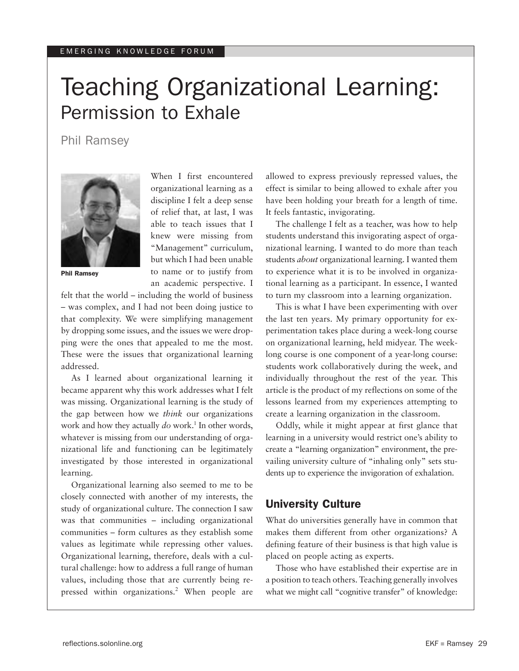# Teaching Organizational Learning: Permission to Exhale

Phil Ramsey



Phil Ramsey

When I first encountered organizational learning as a discipline I felt a deep sense of relief that, at last, I was able to teach issues that I knew were missing from "Management" curriculum, but which I had been unable to name or to justify from an academic perspective. I

felt that the world – including the world of business – was complex, and I had not been doing justice to that complexity. We were simplifying management by dropping some issues, and the issues we were dropping were the ones that appealed to me the most. These were the issues that organizational learning addressed.

As I learned about organizational learning it became apparent why this work addresses what I felt was missing. Organizational learning is the study of the gap between how we *think* our organizations work and how they actually *do* work.<sup>1</sup> In other words, whatever is missing from our understanding of organizational life and functioning can be legitimately investigated by those interested in organizational learning.

Organizational learning also seemed to me to be closely connected with another of my interests, the study of organizational culture. The connection I saw was that communities – including organizational communities – form cultures as they establish some values as legitimate while repressing other values. Organizational learning, therefore, deals with a cultural challenge: how to address a full range of human values, including those that are currently being repressed within organizations.<sup>2</sup> When people are

allowed to express previously repressed values, the effect is similar to being allowed to exhale after you have been holding your breath for a length of time. It feels fantastic, invigorating.

The challenge I felt as a teacher, was how to help students understand this invigorating aspect of organizational learning. I wanted to do more than teach students *about* organizational learning. I wanted them to experience what it is to be involved in organizational learning as a participant. In essence, I wanted to turn my classroom into a learning organization.

This is what I have been experimenting with over the last ten years. My primary opportunity for experimentation takes place during a week-long course on organizational learning, held midyear. The weeklong course is one component of a year-long course: students work collaboratively during the week, and individually throughout the rest of the year. This article is the product of my reflections on some of the lessons learned from my experiences attempting to create a learning organization in the classroom.

Oddly, while it might appear at first glance that learning in a university would restrict one's ability to create a "learning organization" environment, the prevailing university culture of "inhaling only" sets students up to experience the invigoration of exhalation.

## University Culture

What do universities generally have in common that makes them different from other organizations? A defining feature of their business is that high value is placed on people acting as experts.

Those who have established their expertise are in a position to teach others. Teaching generally involves what we might call "cognitive transfer" of knowledge: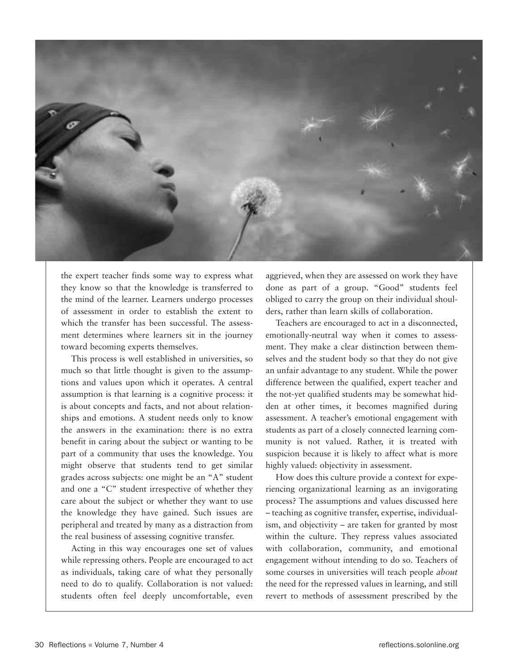

the expert teacher finds some way to express what they know so that the knowledge is transferred to the mind of the learner. Learners undergo processes of assessment in order to establish the extent to which the transfer has been successful. The assessment determines where learners sit in the journey toward becoming experts themselves.

This process is well established in universities, so much so that little thought is given to the assumptions and values upon which it operates. A central assumption is that learning is a cognitive process: it is about concepts and facts, and not about relationships and emotions. A student needs only to know the answers in the examination: there is no extra benefit in caring about the subject or wanting to be part of a community that uses the knowledge. You might observe that students tend to get similar grades across subjects: one might be an "A" student and one a "C" student irrespective of whether they care about the subject or whether they want to use the knowledge they have gained. Such issues are peripheral and treated by many as a distraction from the real business of assessing cognitive transfer.

Acting in this way encourages one set of values while repressing others. People are encouraged to act as individuals, taking care of what they personally need to do to qualify. Collaboration is not valued: students often feel deeply uncomfortable, even aggrieved, when they are assessed on work they have done as part of a group. "Good" students feel obliged to carry the group on their individual shoulders, rather than learn skills of collaboration.

Teachers are encouraged to act in a disconnected, emotionally-neutral way when it comes to assessment. They make a clear distinction between themselves and the student body so that they do not give an unfair advantage to any student. While the power difference between the qualified, expert teacher and the not-yet qualified students may be somewhat hidden at other times, it becomes magnified during assessment. A teacher's emotional engagement with students as part of a closely connected learning community is not valued. Rather, it is treated with suspicion because it is likely to affect what is more highly valued: objectivity in assessment.

How does this culture provide a context for experiencing organizational learning as an invigorating process? The assumptions and values discussed here – teaching as cognitive transfer, expertise, individualism, and objectivity – are taken for granted by most within the culture. They repress values associated with collaboration, community, and emotional engagement without intending to do so. Teachers of some courses in universities will teach people *about* the need for the repressed values in learning, and still revert to methods of assessment prescribed by the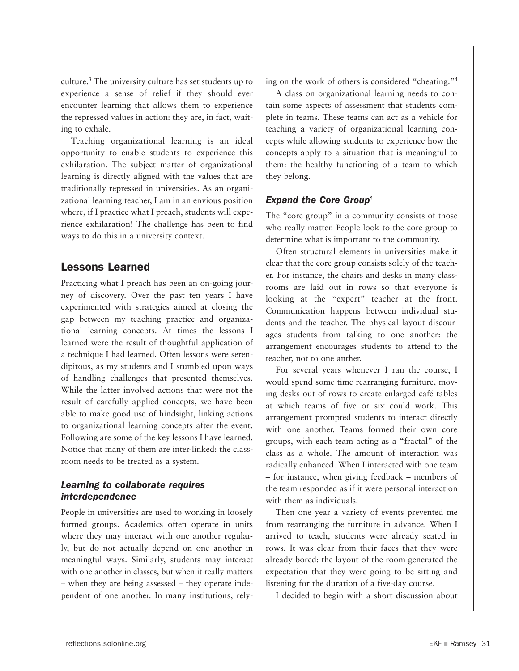culture.<sup>3</sup> The university culture has set students up to experience a sense of relief if they should ever encounter learning that allows them to experience the repressed values in action: they are, in fact, waiting to exhale.

Teaching organizational learning is an ideal opportunity to enable students to experience this exhilaration. The subject matter of organizational learning is directly aligned with the values that are traditionally repressed in universities. As an organizational learning teacher, I am in an envious position where, if I practice what I preach, students will experience exhilaration! The challenge has been to find ways to do this in a university context.

## Lessons Learned

Practicing what I preach has been an on-going journey of discovery. Over the past ten years I have experimented with strategies aimed at closing the gap between my teaching practice and organizational learning concepts. At times the lessons I learned were the result of thoughtful application of a technique I had learned. Often lessons were serendipitous, as my students and I stumbled upon ways of handling challenges that presented themselves. While the latter involved actions that were not the result of carefully applied concepts, we have been able to make good use of hindsight, linking actions to organizational learning concepts after the event. Following are some of the key lessons I have learned. Notice that many of them are inter-linked: the classroom needs to be treated as a system.

## *Learning to collaborate requires interdependence*

People in universities are used to working in loosely formed groups. Academics often operate in units where they may interact with one another regularly, but do not actually depend on one another in meaningful ways. Similarly, students may interact with one another in classes, but when it really matters – when they are being assessed – they operate independent of one another. In many institutions, relying on the work of others is considered "cheating."<sup>4</sup>

A class on organizational learning needs to contain some aspects of assessment that students complete in teams. These teams can act as a vehicle for teaching a variety of organizational learning concepts while allowing students to experience how the concepts apply to a situation that is meaningful to them: the healthy functioning of a team to which they belong.

## **Expand the Core Group<sup>5</sup>**

The "core group" in a community consists of those who really matter. People look to the core group to determine what is important to the community.

Often structural elements in universities make it clear that the core group consists solely of the teacher. For instance, the chairs and desks in many classrooms are laid out in rows so that everyone is looking at the "expert" teacher at the front. Communication happens between individual students and the teacher. The physical layout discourages students from talking to one another: the arrangement encourages students to attend to the teacher, not to one anther.

For several years whenever I ran the course, I would spend some time rearranging furniture, moving desks out of rows to create enlarged café tables at which teams of five or six could work. This arrangement prompted students to interact directly with one another. Teams formed their own core groups, with each team acting as a "fractal" of the class as a whole. The amount of interaction was radically enhanced. When I interacted with one team – for instance, when giving feedback – members of the team responded as if it were personal interaction with them as individuals.

Then one year a variety of events prevented me from rearranging the furniture in advance. When I arrived to teach, students were already seated in rows. It was clear from their faces that they were already bored: the layout of the room generated the expectation that they were going to be sitting and listening for the duration of a five-day course.

I decided to begin with a short discussion about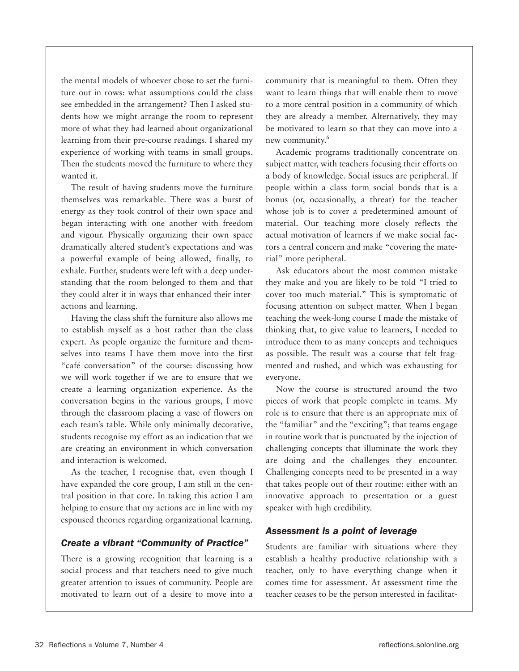the mental models of whoever chose to set the furniture out in rows: what assumptions could the class see embedded in the arrangement? Then I asked students how we might arrange the room to represent more of what they had learned about organizational learning from their pre-course readings. I shared my experience of working with teams in small groups. Then the students moved the furniture to where they wanted it.

The result of having students move the furniture themselves was remarkable. There was a burst of energy as they took control of their own space and began interacting with one another with freedom and vigour. Physically organizing their own space dramatically altered student's expectations and was a powerful example of being allowed, finally, to exhale. Further, students were left with a deep understanding that the room belonged to them and that they could alter it in ways that enhanced their interactions and learning.

Having the class shift the furniture also allows me to establish myself as a host rather than the class expert. As people organize the furniture and themselves into teams I have them move into the first "café conversation" of the course: discussing how we will work together if we are to ensure that we create a learning organization experience. As the conversation begins in the various groups, I move through the classroom placing a vase of flowers on each team's table. While only minimally decorative, students recognise my effort as an indication that we are creating an environment in which conversation and interaction is welcomed.

As the teacher, I recognise that, even though I have expanded the core group, I am still in the central position in that core. In taking this action I am helping to ensure that my actions are in line with my espoused theories regarding organizational learning.

#### *Create a vibrant "Community of Practice"*

There is a growing recognition that learning is a social process and that teachers need to give much greater attention to issues of community. People are motivated to learn out of a desire to move into a community that is meaningful to them. Often they want to learn things that will enable them to move to a more central position in a community of which they are already a member. Alternatively, they may be motivated to learn so that they can move into a new community.<sup>6</sup>

Academic programs traditionally concentrate on subject matter, with teachers focusing their efforts on a body of knowledge. Social issues are peripheral. If people within a class form social bonds that is a bonus (or, occasionally, a threat) for the teacher whose job is to cover a predetermined amount of material. Our teaching more closely reflects the actual motivation of learners if we make social factors a central concern and make "covering the material" more peripheral.

Ask educators about the most common mistake they make and you are likely to be told "I tried to cover too much material." This is symptomatic of focusing attention on subject matter. When I began teaching the week-long course I made the mistake of thinking that, to give value to learners, I needed to introduce them to as many concepts and techniques as possible. The result was a course that felt fragmented and rushed, and which was exhausting for everyone.

Now the course is structured around the two pieces of work that people complete in teams. My role is to ensure that there is an appropriate mix of the "familiar" and the "exciting"; that teams engage in routine work that is punctuated by the injection of challenging concepts that illuminate the work they are doing and the challenges they encounter. Challenging concepts need to be presented in a way that takes people out of their routine: either with an innovative approach to presentation or a guest speaker with high credibility.

#### *Assessment is a point of leverage*

Students are familiar with situations where they establish a healthy productive relationship with a teacher, only to have everything change when it comes time for assessment. At assessment time the teacher ceases to be the person interested in facilitat-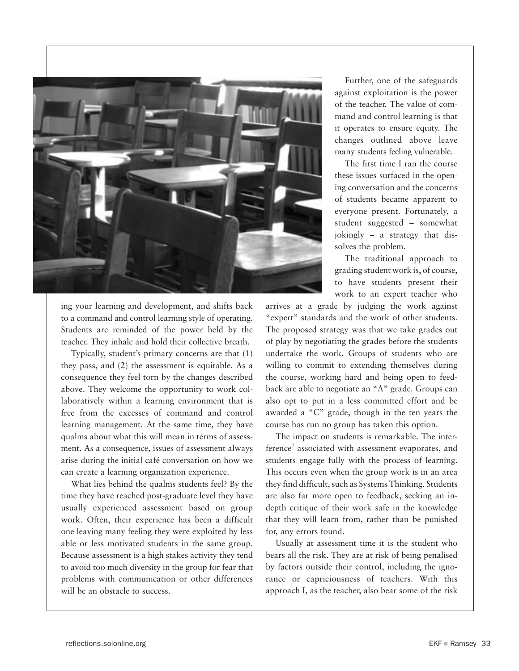

ing your learning and development, and shifts back to a command and control learning style of operating. Students are reminded of the power held by the teacher. They inhale and hold their collective breath.

Typically, student's primary concerns are that (1) they pass, and (2) the assessment is equitable. As a consequence they feel torn by the changes described above. They welcome the opportunity to work collaboratively within a learning environment that is free from the excesses of command and control learning management. At the same time, they have qualms about what this will mean in terms of assessment. As a consequence, issues of assessment always arise during the initial café conversation on how we can create a learning organization experience.

What lies behind the qualms students feel? By the time they have reached post-graduate level they have usually experienced assessment based on group work. Often, their experience has been a difficult one leaving many feeling they were exploited by less able or less motivated students in the same group. Because assessment is a high stakes activity they tend to avoid too much diversity in the group for fear that problems with communication or other differences will be an obstacle to success.

Further, one of the safeguards against exploitation is the power of the teacher. The value of command and control learning is that it operates to ensure equity. The changes outlined above leave many students feeling vulnerable.

The first time I ran the course these issues surfaced in the opening conversation and the concerns of students became apparent to everyone present. Fortunately, a student suggested – somewhat jokingly – a strategy that dissolves the problem.

The traditional approach to grading student work is, of course, to have students present their work to an expert teacher who

arrives at a grade by judging the work against "expert" standards and the work of other students. The proposed strategy was that we take grades out of play by negotiating the grades before the students undertake the work. Groups of students who are willing to commit to extending themselves during the course, working hard and being open to feedback are able to negotiate an "A" grade. Groups can also opt to put in a less committed effort and be awarded a "C" grade, though in the ten years the course has run no group has taken this option.

The impact on students is remarkable. The interference<sup>7</sup> associated with assessment evaporates, and students engage fully with the process of learning. This occurs even when the group work is in an area they find difficult, such as Systems Thinking. Students are also far more open to feedback, seeking an indepth critique of their work safe in the knowledge that they will learn from, rather than be punished for, any errors found.

Usually at assessment time it is the student who bears all the risk. They are at risk of being penalised by factors outside their control, including the ignorance or capriciousness of teachers. With this approach I, as the teacher, also bear some of the risk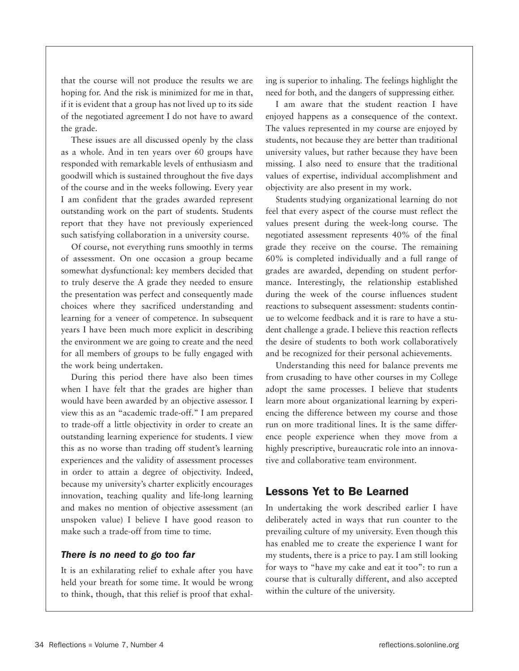that the course will not produce the results we are hoping for. And the risk is minimized for me in that, if it is evident that a group has not lived up to its side of the negotiated agreement I do not have to award the grade.

These issues are all discussed openly by the class as a whole. And in ten years over 60 groups have responded with remarkable levels of enthusiasm and goodwill which is sustained throughout the five days of the course and in the weeks following. Every year I am confident that the grades awarded represent outstanding work on the part of students. Students report that they have not previously experienced such satisfying collaboration in a university course.

Of course, not everything runs smoothly in terms of assessment. On one occasion a group became somewhat dysfunctional: key members decided that to truly deserve the A grade they needed to ensure the presentation was perfect and consequently made choices where they sacrificed understanding and learning for a veneer of competence. In subsequent years I have been much more explicit in describing the environment we are going to create and the need for all members of groups to be fully engaged with the work being undertaken.

During this period there have also been times when I have felt that the grades are higher than would have been awarded by an objective assessor. I view this as an "academic trade-off." I am prepared to trade-off a little objectivity in order to create an outstanding learning experience for students. I view this as no worse than trading off student's learning experiences and the validity of assessment processes in order to attain a degree of objectivity. Indeed, because my university's charter explicitly encourages innovation, teaching quality and life-long learning and makes no mention of objective assessment (an unspoken value) I believe I have good reason to make such a trade-off from time to time.

#### *There is no need to go too far*

It is an exhilarating relief to exhale after you have held your breath for some time. It would be wrong to think, though, that this relief is proof that exhaling is superior to inhaling. The feelings highlight the need for both, and the dangers of suppressing either.

I am aware that the student reaction I have enjoyed happens as a consequence of the context. The values represented in my course are enjoyed by students, not because they are better than traditional university values, but rather because they have been missing. I also need to ensure that the traditional values of expertise, individual accomplishment and objectivity are also present in my work.

Students studying organizational learning do not feel that every aspect of the course must reflect the values present during the week-long course. The negotiated assessment represents 40% of the final grade they receive on the course. The remaining 60% is completed individually and a full range of grades are awarded, depending on student performance. Interestingly, the relationship established during the week of the course influences student reactions to subsequent assessment: students continue to welcome feedback and it is rare to have a student challenge a grade. I believe this reaction reflects the desire of students to both work collaboratively and be recognized for their personal achievements.

Understanding this need for balance prevents me from crusading to have other courses in my College adopt the same processes. I believe that students learn more about organizational learning by experiencing the difference between my course and those run on more traditional lines. It is the same difference people experience when they move from a highly prescriptive, bureaucratic role into an innovative and collaborative team environment.

## Lessons Yet to Be Learned

In undertaking the work described earlier I have deliberately acted in ways that run counter to the prevailing culture of my university. Even though this has enabled me to create the experience I want for my students, there is a price to pay. I am still looking for ways to "have my cake and eat it too": to run a course that is culturally different, and also accepted within the culture of the university.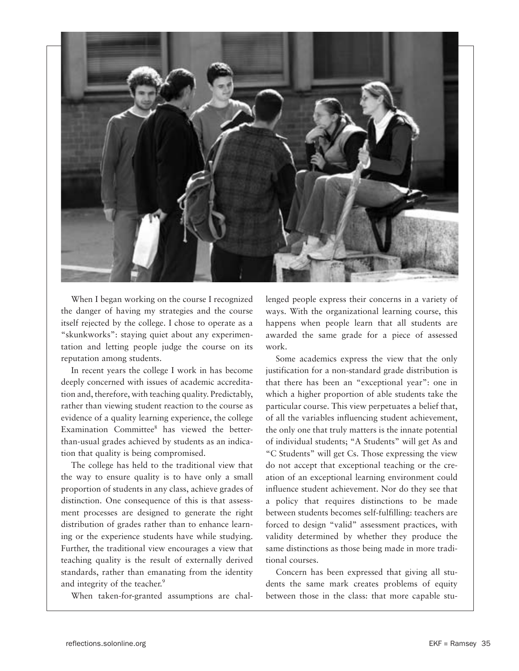

When I began working on the course I recognized the danger of having my strategies and the course itself rejected by the college. I chose to operate as a "skunkworks": staying quiet about any experimentation and letting people judge the course on its reputation among students.

In recent years the college I work in has become deeply concerned with issues of academic accreditation and, therefore, with teaching quality. Predictably, rather than viewing student reaction to the course as evidence of a quality learning experience, the college Examination Committee8 has viewed the betterthan-usual grades achieved by students as an indication that quality is being compromised.

The college has held to the traditional view that the way to ensure quality is to have only a small proportion of students in any class, achieve grades of distinction. One consequence of this is that assessment processes are designed to generate the right distribution of grades rather than to enhance learning or the experience students have while studying. Further, the traditional view encourages a view that teaching quality is the result of externally derived standards, rather than emanating from the identity and integrity of the teacher.<sup>9</sup>

When taken-for-granted assumptions are chal-

lenged people express their concerns in a variety of ways. With the organizational learning course, this happens when people learn that all students are awarded the same grade for a piece of assessed work.

Some academics express the view that the only justification for a non-standard grade distribution is that there has been an "exceptional year": one in which a higher proportion of able students take the particular course. This view perpetuates a belief that, of all the variables influencing student achievement, the only one that truly matters is the innate potential of individual students; "A Students" will get As and "C Students" will get Cs. Those expressing the view do not accept that exceptional teaching or the creation of an exceptional learning environment could influence student achievement. Nor do they see that a policy that requires distinctions to be made between students becomes self-fulfilling: teachers are forced to design "valid" assessment practices, with validity determined by whether they produce the same distinctions as those being made in more traditional courses.

Concern has been expressed that giving all students the same mark creates problems of equity between those in the class: that more capable stu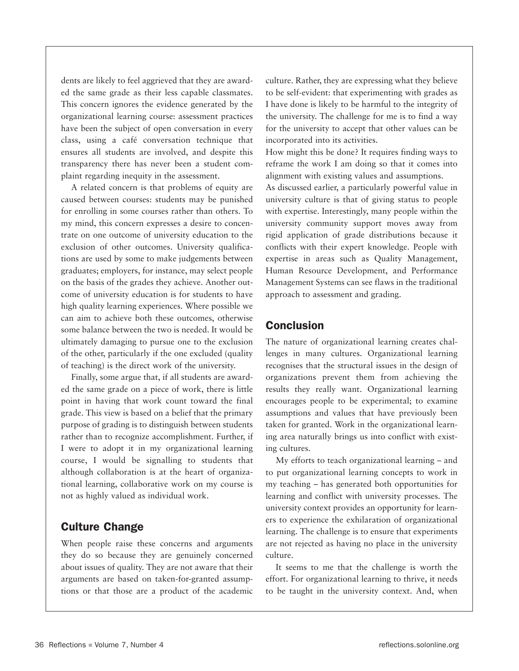dents are likely to feel aggrieved that they are awarded the same grade as their less capable classmates. This concern ignores the evidence generated by the organizational learning course: assessment practices have been the subject of open conversation in every class, using a café conversation technique that ensures all students are involved, and despite this transparency there has never been a student complaint regarding inequity in the assessment.

A related concern is that problems of equity are caused between courses: students may be punished for enrolling in some courses rather than others. To my mind, this concern expresses a desire to concentrate on one outcome of university education to the exclusion of other outcomes. University qualifications are used by some to make judgements between graduates; employers, for instance, may select people on the basis of the grades they achieve. Another outcome of university education is for students to have high quality learning experiences. Where possible we can aim to achieve both these outcomes, otherwise some balance between the two is needed. It would be ultimately damaging to pursue one to the exclusion of the other, particularly if the one excluded (quality of teaching) is the direct work of the university.

Finally, some argue that, if all students are awarded the same grade on a piece of work, there is little point in having that work count toward the final grade. This view is based on a belief that the primary purpose of grading is to distinguish between students rather than to recognize accomplishment. Further, if I were to adopt it in my organizational learning course, I would be signalling to students that although collaboration is at the heart of organizational learning, collaborative work on my course is not as highly valued as individual work.

## Culture Change

When people raise these concerns and arguments they do so because they are genuinely concerned about issues of quality. They are not aware that their arguments are based on taken-for-granted assumptions or that those are a product of the academic culture. Rather, they are expressing what they believe to be self-evident: that experimenting with grades as I have done is likely to be harmful to the integrity of the university. The challenge for me is to find a way for the university to accept that other values can be incorporated into its activities.

How might this be done? It requires finding ways to reframe the work I am doing so that it comes into alignment with existing values and assumptions.

As discussed earlier, a particularly powerful value in university culture is that of giving status to people with expertise. Interestingly, many people within the university community support moves away from rigid application of grade distributions because it conflicts with their expert knowledge. People with expertise in areas such as Quality Management, Human Resource Development, and Performance Management Systems can see flaws in the traditional approach to assessment and grading.

## Conclusion

The nature of organizational learning creates challenges in many cultures. Organizational learning recognises that the structural issues in the design of organizations prevent them from achieving the results they really want. Organizational learning encourages people to be experimental; to examine assumptions and values that have previously been taken for granted. Work in the organizational learning area naturally brings us into conflict with existing cultures.

My efforts to teach organizational learning – and to put organizational learning concepts to work in my teaching – has generated both opportunities for learning and conflict with university processes. The university context provides an opportunity for learners to experience the exhilaration of organizational learning. The challenge is to ensure that experiments are not rejected as having no place in the university culture.

It seems to me that the challenge is worth the effort. For organizational learning to thrive, it needs to be taught in the university context. And, when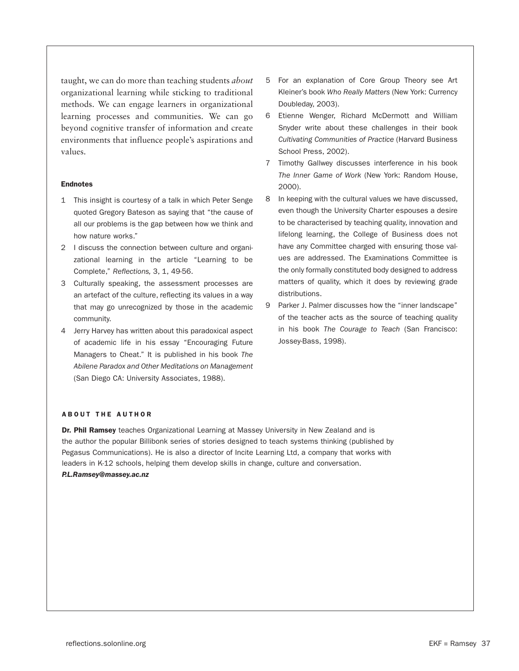taught, we can do more than teaching students *about*  organizational learning while sticking to traditional methods. We can engage learners in organizational learning processes and communities. We can go beyond cognitive transfer of information and create environments that influence people's aspirations and values.

#### Endnotes

- 1 This insight is courtesy of a talk in which Peter Senge quoted Gregory Bateson as saying that "the cause of all our problems is the gap between how we think and how nature works."
- 2 I discuss the connection between culture and organizational learning in the article "Learning to be Complete," *Reflections,* 3, 1, 49-56.
- 3 Culturally speaking, the assessment processes are an artefact of the culture, reflecting its values in a way that may go unrecognized by those in the academic community.
- 4 Jerry Harvey has written about this paradoxical aspect of academic life in his essay "Encouraging Future Managers to Cheat." It is published in his book *The Abilene Paradox and Other Meditations on Management* (San Diego CA: University Associates, 1988).
- 5 For an explanation of Core Group Theory see Art Kleiner's book *Who Really Matters* (New York: Currency Doubleday, 2003).
- 6 Etienne Wenger, Richard McDermott and William Snyder write about these challenges in their book *Cultivating Communities of Practice* (Harvard Business School Press, 2002).
- 7 Timothy Gallwey discusses interference in his book *The Inner Game of Work* (New York: Random House, 2000).
- 8 In keeping with the cultural values we have discussed, even though the University Charter espouses a desire to be characterised by teaching quality, innovation and lifelong learning, the College of Business does not have any Committee charged with ensuring those values are addressed. The Examinations Committee is the only formally constituted body designed to address matters of quality, which it does by reviewing grade distributions.
- 9 Parker J. Palmer discusses how the "inner landscape" of the teacher acts as the source of teaching quality in his book *The Courage to Teach* (San Francisco: Jossey-Bass, 1998).

#### **ABOUT THE AUTHOR**

Dr. Phil Ramsey teaches Organizational Learning at Massey University in New Zealand and is the author the popular Billibonk series of stories designed to teach systems thinking (published by Pegasus Communications). He is also a director of Incite Learning Ltd, a company that works with leaders in K-12 schools, helping them develop skills in change, culture and conversation. *P.L.Ramsey@massey.ac.nz*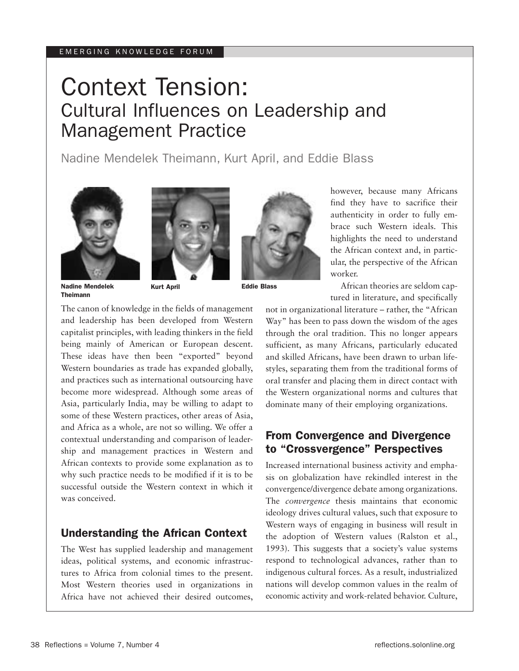#### emerging knowledge forum

# Context Tension: Cultural Influences on Leadership and Management Practice

Nadine Mendelek Theimann, Kurt April, and Eddie Blass





Nadine Mendelek Theimann

Kurt April Eddie Blass

The canon of knowledge in the fields of management and leadership has been developed from Western capitalist principles, with leading thinkers in the field being mainly of American or European descent. These ideas have then been "exported" beyond Western boundaries as trade has expanded globally, and practices such as international outsourcing have become more widespread. Although some areas of Asia, particularly India, may be willing to adapt to some of these Western practices, other areas of Asia, and Africa as a whole, are not so willing. We offer a contextual understanding and comparison of leadership and management practices in Western and African contexts to provide some explanation as to why such practice needs to be modified if it is to be successful outside the Western context in which it was conceived.

## Understanding the African Context

The West has supplied leadership and management ideas, political systems, and economic infrastructures to Africa from colonial times to the present. Most Western theories used in organizations in Africa have not achieved their desired outcomes,



however, because many Africans find they have to sacrifice their authenticity in order to fully embrace such Western ideals. This highlights the need to understand the African context and, in particular, the perspective of the African worker.

African theories are seldom captured in literature, and specifically

not in organizational literature – rather, the "African Way" has been to pass down the wisdom of the ages through the oral tradition. This no longer appears sufficient, as many Africans, particularly educated and skilled Africans, have been drawn to urban lifestyles, separating them from the traditional forms of oral transfer and placing them in direct contact with the Western organizational norms and cultures that dominate many of their employing organizations.

## From Convergence and Divergence to "Crossvergence" Perspectives

Increased international business activity and emphasis on globalization have rekindled interest in the convergence/divergence debate among organizations. The *convergence* thesis maintains that economic ideology drives cultural values, such that exposure to Western ways of engaging in business will result in the adoption of Western values (Ralston et al., 1993). This suggests that a society's value systems respond to technological advances, rather than to indigenous cultural forces. As a result, industrialized nations will develop common values in the realm of economic activity and work-related behavior. Culture,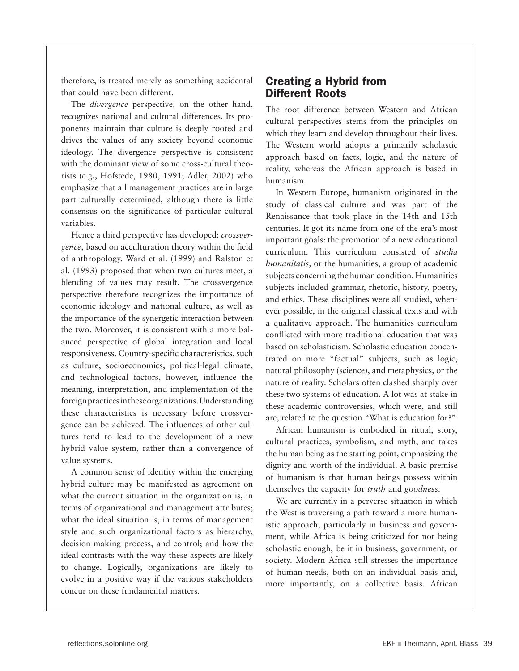therefore, is treated merely as something accidental that could have been different.

The *divergence* perspective*,* on the other hand, recognizes national and cultural differences. Its proponents maintain that culture is deeply rooted and drives the values of any society beyond economic ideology. The divergence perspective is consistent with the dominant view of some cross-cultural theorists (e.g**.,** Hofstede, 1980, 1991; Adler, 2002) who emphasize that all management practices are in large part culturally determined, although there is little consensus on the significance of particular cultural variables.

Hence a third perspective has developed: *crossvergence,* based on acculturation theory within the field of anthropology. Ward et al. (1999) and Ralston et al. (1993) proposed that when two cultures meet, a blending of values may result. The crossvergence perspective therefore recognizes the importance of economic ideology and national culture, as well as the importance of the synergetic interaction between the two. Moreover, it is consistent with a more balanced perspective of global integration and local responsiveness. Country-specific characteristics, such as culture, socioeconomics, political-legal climate, and technological factors, however, influence the meaning, interpretation, and implementation of the foreign practices in these organizations. Understanding these characteristics is necessary before crossvergence can be achieved. The influences of other cultures tend to lead to the development of a new hybrid value system, rather than a convergence of value systems.

A common sense of identity within the emerging hybrid culture may be manifested as agreement on what the current situation in the organization is, in terms of organizational and management attributes; what the ideal situation is, in terms of management style and such organizational factors as hierarchy, decision-making process, and control; and how the ideal contrasts with the way these aspects are likely to change. Logically, organizations are likely to evolve in a positive way if the various stakeholders concur on these fundamental matters.

## Creating a Hybrid from Different Roots

The root difference between Western and African cultural perspectives stems from the principles on which they learn and develop throughout their lives. The Western world adopts a primarily scholastic approach based on facts, logic, and the nature of reality, whereas the African approach is based in humanism.

In Western Europe, humanism originated in the study of classical culture and was part of the Renaissance that took place in the 14th and 15th centuries. It got its name from one of the era's most important goals: the promotion of a new educational curriculum. This curriculum consisted of *studia humanitatis,* or the humanities, a group of academic subjects concerning the human condition. Humanities subjects included grammar, rhetoric, history, poetry, and ethics. These disciplines were all studied, whenever possible, in the original classical texts and with a qualitative approach. The humanities curriculum conflicted with more traditional education that was based on scholasticism. Scholastic education concentrated on more "factual" subjects, such as logic, natural philosophy (science), and metaphysics, or the nature of reality. Scholars often clashed sharply over these two systems of education. A lot was at stake in these academic controversies, which were, and still are, related to the question "What is education for?"

African humanism is embodied in ritual, story, cultural practices, symbolism, and myth, and takes the human being as the starting point, emphasizing the dignity and worth of the individual. A basic premise of humanism is that human beings possess within themselves the capacity for *truth* and *goodness*.

We are currently in a perverse situation in which the West is traversing a path toward a more humanistic approach, particularly in business and government, while Africa is being criticized for not being scholastic enough, be it in business, government, or society. Modern Africa still stresses the importance of human needs, both on an individual basis and, more importantly, on a collective basis. African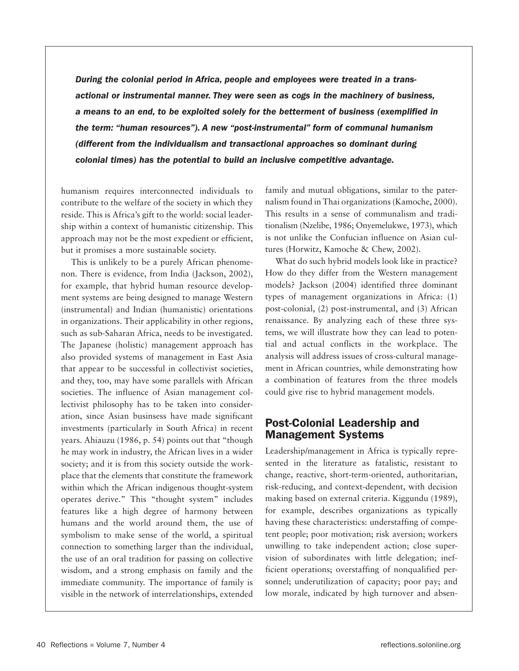*During the colonial period in Africa, people and employees were treated in a transactional or instrumental manner. They were seen as cogs in the machinery of business, a means to an end, to be exploited solely for the betterment of business (exemplified in the term: "human resources"). A new "post-instrumental" form of communal humanism (different from the individualism and transactional approaches so dominant during colonial times) has the potential to build an inclusive competitive advantage.*

humanism requires interconnected individuals to contribute to the welfare of the society in which they reside. This is Africa's gift to the world: social leadership within a context of humanistic citizenship. This approach may not be the most expedient or efficient, but it promises a more sustainable society.

This is unlikely to be a purely African phenomenon. There is evidence, from India (Jackson, 2002), for example, that hybrid human resource development systems are being designed to manage Western (instrumental) and Indian (humanistic) orientations in organizations. Their applicability in other regions, such as sub-Saharan Africa, needs to be investigated. The Japanese (holistic) management approach has also provided systems of management in East Asia that appear to be successful in collectivist societies, and they, too, may have some parallels with African societies. The influence of Asian management collectivist philosophy has to be taken into consideration, since Asian businsess have made significant investments (particularly in South Africa) in recent years. Ahiauzu (1986, p. 54) points out that "though he may work in industry, the African lives in a wider society; and it is from this society outside the workplace that the elements that constitute the framework within which the African indigenous thought-system operates derive." This "thought system" includes features like a high degree of harmony between humans and the world around them, the use of symbolism to make sense of the world, a spiritual connection to something larger than the individual, the use of an oral tradition for passing on collective wisdom, and a strong emphasis on family and the immediate community. The importance of family is visible in the network of interrelationships, extended

family and mutual obligations, similar to the paternalism found in Thai organizations (Kamoche, 2000). This results in a sense of communalism and traditionalism (Nzelibe, 1986; Onyemelukwe, 1973), which is not unlike the Confucian influence on Asian cultures (Horwitz, Kamoche & Chew, 2002).

What do such hybrid models look like in practice? How do they differ from the Western management models? Jackson (2004) identified three dominant types of management organizations in Africa: (1) post-colonial, (2) post-instrumental, and (3) African renaissance. By analyzing each of these three systems, we will illustrate how they can lead to potential and actual conflicts in the workplace. The analysis will address issues of cross-cultural management in African countries, while demonstrating how a combination of features from the three models could give rise to hybrid management models.

## Post-Colonial Leadership and Management Systems

Leadership/management in Africa is typically represented in the literature as fatalistic, resistant to change, reactive, short-term-oriented, authoritarian, risk-reducing, and context-dependent, with decision making based on external criteria. Kiggundu (1989), for example, describes organizations as typically having these characteristics: understaffing of competent people; poor motivation; risk aversion; workers unwilling to take independent action; close supervision of subordinates with little delegation; inefficient operations; overstaffing of nonqualified personnel; underutilization of capacity; poor pay; and low morale, indicated by high turnover and absen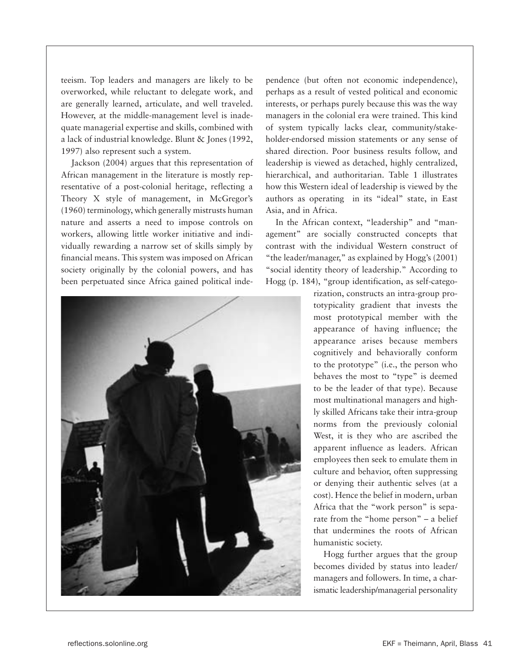teeism. Top leaders and managers are likely to be overworked, while reluctant to delegate work, and are generally learned, articulate, and well traveled. However, at the middle-management level is inadequate managerial expertise and skills, combined with a lack of industrial knowledge. Blunt & Jones (1992, 1997) also represent such a system.

Jackson (2004) argues that this representation of African management in the literature is mostly representative of a post-colonial heritage, reflecting a Theory X style of management, in McGregor's (1960) terminology, which generally mistrusts human nature and asserts a need to impose controls on workers, allowing little worker initiative and individually rewarding a narrow set of skills simply by financial means. This system was imposed on African society originally by the colonial powers, and has been perpetuated since Africa gained political inde-



pendence (but often not economic independence), perhaps as a result of vested political and economic interests, or perhaps purely because this was the way managers in the colonial era were trained. This kind of system typically lacks clear, community/stakeholder-endorsed mission statements or any sense of shared direction. Poor business results follow, and leadership is viewed as detached, highly centralized, hierarchical, and authoritarian. Table 1 illustrates how this Western ideal of leadership is viewed by the authors as operating in its "ideal" state, in East Asia, and in Africa.

In the African context, "leadership" and "management" are socially constructed concepts that contrast with the individual Western construct of "the leader/manager," as explained by Hogg's (2001) "social identity theory of leadership." According to Hogg (p. 184), "group identification, as self-catego-

> rization, constructs an intra-group prototypicality gradient that invests the most prototypical member with the appearance of having influence; the appearance arises because members cognitively and behaviorally conform to the prototype" (i.e., the person who behaves the most to "type" is deemed to be the leader of that type). Because most multinational managers and highly skilled Africans take their intra-group norms from the previously colonial West, it is they who are ascribed the apparent influence as leaders. African employees then seek to emulate them in culture and behavior, often suppressing or denying their authentic selves (at a cost). Hence the belief in modern, urban Africa that the "work person" is separate from the "home person" – a belief that undermines the roots of African humanistic society.

> Hogg further argues that the group becomes divided by status into leader/ managers and followers. In time, a charismatic leadership/managerial personality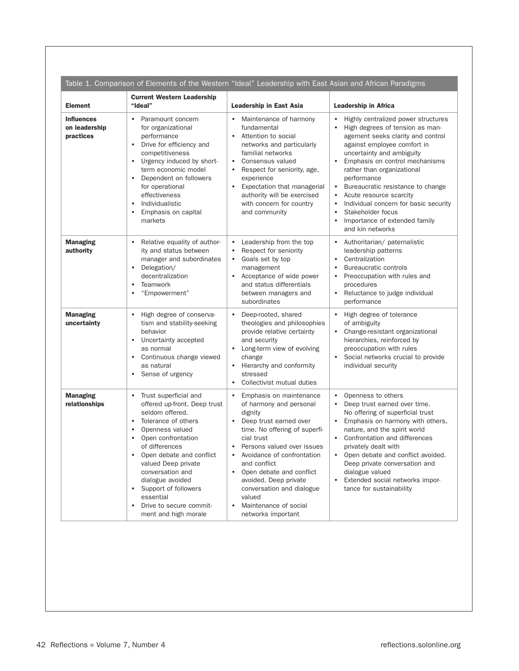| Table 1. Comparison of Elements of the Western "Ideal" Leadership with East Asian and African Paradigms |                                                                                                                                                                                                                                                                                                                                                                                                   |                                                                                                                                                                                                                                                                                                                                                                                                                     |                                                                                                                                                                                                                                                                                                                                                                                                                                                                                                                                      |
|---------------------------------------------------------------------------------------------------------|---------------------------------------------------------------------------------------------------------------------------------------------------------------------------------------------------------------------------------------------------------------------------------------------------------------------------------------------------------------------------------------------------|---------------------------------------------------------------------------------------------------------------------------------------------------------------------------------------------------------------------------------------------------------------------------------------------------------------------------------------------------------------------------------------------------------------------|--------------------------------------------------------------------------------------------------------------------------------------------------------------------------------------------------------------------------------------------------------------------------------------------------------------------------------------------------------------------------------------------------------------------------------------------------------------------------------------------------------------------------------------|
| <b>Element</b>                                                                                          | <b>Current Western Leadership</b><br>"Ideal"                                                                                                                                                                                                                                                                                                                                                      | Leadership in East Asia                                                                                                                                                                                                                                                                                                                                                                                             | <b>Leadership in Africa</b>                                                                                                                                                                                                                                                                                                                                                                                                                                                                                                          |
| <b>Influences</b><br>on leadership<br>practices                                                         | Paramount concern<br>$\bullet$<br>for organizational<br>performance<br>Drive for efficiency and<br>$\bullet$<br>competitiveness<br>Urgency induced by short-<br>$\bullet$<br>term economic model<br>Dependent on followers<br>$\bullet$<br>for operational<br>effectiveness<br>Individualistic<br>$\bullet$<br>Emphasis on capital<br>markets                                                     | Maintenance of harmony<br>fundamental<br>Attention to social<br>networks and particularly<br>familial networks<br>Consensus valued<br>$\bullet$<br>Respect for seniority, age,<br>$\bullet$<br>experience<br>• Expectation that managerial<br>authority will be exercised<br>with concern for country<br>and community                                                                                              | $\bullet$<br>Highly centralized power structures<br>High degrees of tension as man-<br>$\bullet$<br>agement seeks clarity and control<br>against employee comfort in<br>uncertainty and ambiguity<br>Emphasis on control mechanisms<br>$\bullet$<br>rather than organizational<br>performance<br>Bureaucratic resistance to change<br>Acute resource scarcity<br>$\bullet$<br>Individual concern for basic security<br>$\bullet$<br>Stakeholder focus<br>$\bullet$<br>Importance of extended family<br>$\bullet$<br>and kin networks |
| <b>Managing</b><br>authority                                                                            | Relative equality of author-<br>ity and status between<br>manager and subordinates<br>Delegation/<br>$\bullet$<br>decentralization<br><b>Teamwork</b><br>$\bullet$<br>"Empowerment"                                                                                                                                                                                                               | Leadership from the top<br>$\bullet$<br>Respect for seniority<br>$\bullet$<br>Goals set by top<br>$\bullet$<br>management<br>Acceptance of wide power<br>$\bullet$<br>and status differentials<br>between managers and<br>subordinates                                                                                                                                                                              | Authoritarian/ paternalistic<br>$\bullet$<br>leadership patterns<br>Centralization<br>$\bullet$<br>Bureaucratic controls<br>$\bullet$<br>Preoccupation with rules and<br>$\bullet$<br>procedures<br>Reluctance to judge individual<br>$\bullet$<br>performance                                                                                                                                                                                                                                                                       |
| <b>Managing</b><br>uncertainty                                                                          | High degree of conserva-<br>tism and stability-seeking<br>behavior<br>Uncertainty accepted<br>$\bullet$<br>as normal<br>Continuous change viewed<br>$\bullet$<br>as natural<br>Sense of urgency<br>$\bullet$                                                                                                                                                                                      | $\bullet$<br>Deep-rooted, shared<br>theologies and philosophies<br>provide relative certainty<br>and security<br>Long-term view of evolving<br>change<br>Hierarchy and conformity<br>$\bullet$<br>stressed<br>Collectivist mutual duties<br>$\bullet$                                                                                                                                                               | $\bullet$<br>High degree of tolerance<br>of ambiguity<br>Change-resistant organizational<br>$\bullet$<br>hierarchies, reinforced by<br>preoccupation with rules<br>$\bullet$<br>Social networks crucial to provide<br>individual security                                                                                                                                                                                                                                                                                            |
| <b>Managing</b><br>relationships                                                                        | Trust superficial and<br>offered up-front. Deep trust<br>seldom offered.<br>Tolerance of others<br>$\bullet$<br>Openness valued<br>Open confrontation<br>$\bullet$<br>of differences<br>Open debate and conflict<br>valued Deep private<br>conversation and<br>dialogue avoided<br>Support of followers<br>$\bullet$<br>essential<br>Drive to secure commit-<br>$\bullet$<br>ment and high morale | Emphasis on maintenance<br>$\bullet$<br>of harmony and personal<br>dignity<br>• Deep trust earned over<br>time. No offering of superfi-<br>cial trust<br>Persons valued over issues<br>Avoidance of confrontation<br>$\bullet$<br>and conflict<br>Open debate and conflict<br>$\bullet$<br>avoided. Deep private<br>conversation and dialogue<br>valued<br>Maintenance of social<br>$\bullet$<br>networks important | $\bullet$<br>Openness to others<br>Deep trust earned over time.<br>$\bullet$<br>No offering of superficial trust<br>Emphasis on harmony with others,<br>$\bullet$<br>nature, and the spirit world<br>Confrontation and differences<br>$\bullet$<br>privately dealt with<br>Open debate and conflict avoided.<br>$\bullet$<br>Deep private conversation and<br>dialogue valued<br>Extended social networks impor-<br>$\bullet$<br>tance for sustainability                                                                            |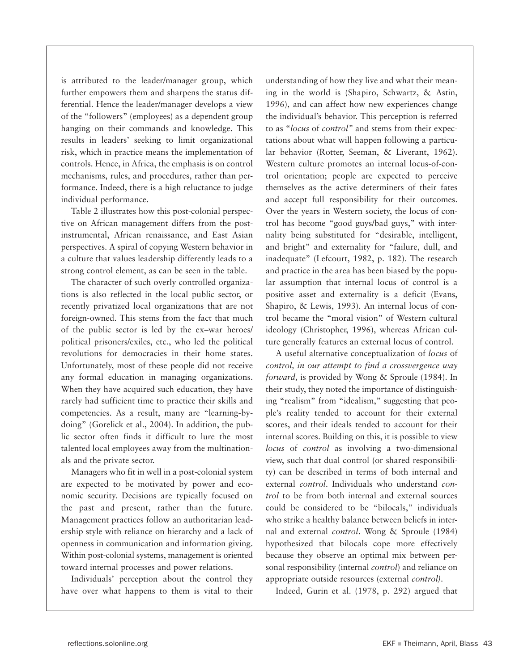is attributed to the leader/manager group, which further empowers them and sharpens the status differential. Hence the leader/manager develops a view of the "followers" (employees) as a dependent group hanging on their commands and knowledge. This results in leaders' seeking to limit organizational risk, which in practice means the implementation of controls. Hence, in Africa, the emphasis is on control mechanisms, rules, and procedures, rather than performance. Indeed, there is a high reluctance to judge individual performance.

Table 2 illustrates how this post-colonial perspective on African management differs from the postinstrumental, African renaissance, and East Asian perspectives. A spiral of copying Western behavior in a culture that values leadership differently leads to a strong control element, as can be seen in the table.

The character of such overly controlled organizations is also reflected in the local public sector, or recently privatized local organizations that are not foreign-owned. This stems from the fact that much of the public sector is led by the ex–war heroes/ political prisoners/exiles, etc., who led the political revolutions for democracies in their home states. Unfortunately, most of these people did not receive any formal education in managing organizations. When they have acquired such education, they have rarely had sufficient time to practice their skills and competencies. As a result, many are "learning-bydoing" (Gorelick et al., 2004). In addition, the public sector often finds it difficult to lure the most talented local employees away from the multinationals and the private sector.

Managers who fit in well in a post-colonial system are expected to be motivated by power and economic security. Decisions are typically focused on the past and present, rather than the future. Management practices follow an authoritarian leadership style with reliance on hierarchy and a lack of openness in communication and information giving. Within post-colonial systems, management is oriented toward internal processes and power relations.

Individuals' perception about the control they have over what happens to them is vital to their

understanding of how they live and what their meaning in the world is (Shapiro, Schwartz, & Astin, 1996), and can affect how new experiences change the individual's behavior. This perception is referred to as "*locus* of *control"* and stems from their expectations about what will happen following a particular behavior (Rotter, Seeman, & Liverant, 1962). Western culture promotes an internal locus-of-control orientation; people are expected to perceive themselves as the active determiners of their fates and accept full responsibility for their outcomes. Over the years in Western society, the locus of control has become "good guys/bad guys," with internality being substituted for "desirable, intelligent, and bright" and externality for "failure, dull, and inadequate" (Lefcourt, 1982, p. 182). The research and practice in the area has been biased by the popular assumption that internal locus of control is a positive asset and externality is a deficit (Evans, Shapiro, & Lewis, 1993). An internal locus of control became the "moral vision" of Western cultural ideology (Christopher, 1996), whereas African culture generally features an external locus of control.

A useful alternative conceptualization of *locus* of *control, in our attempt to find a crossvergence way forward,* is provided by Wong & Sproule (1984). In their study, they noted the importance of distinguishing "realism" from "idealism," suggesting that people's reality tended to account for their external scores, and their ideals tended to account for their internal scores. Building on this, it is possible to view *locus* of *control* as involving a two-dimensional view, such that dual control (or shared responsibility) can be described in terms of both internal and external *control*. Individuals who understand *control* to be from both internal and external sources could be considered to be "bilocals," individuals who strike a healthy balance between beliefs in internal and external *control*. Wong & Sproule (1984) hypothesized that bilocals cope more effectively because they observe an optimal mix between personal responsibility (internal *control*) and reliance on appropriate outside resources (external *control)*.

Indeed, Gurin et al. (1978, p. 292) argued that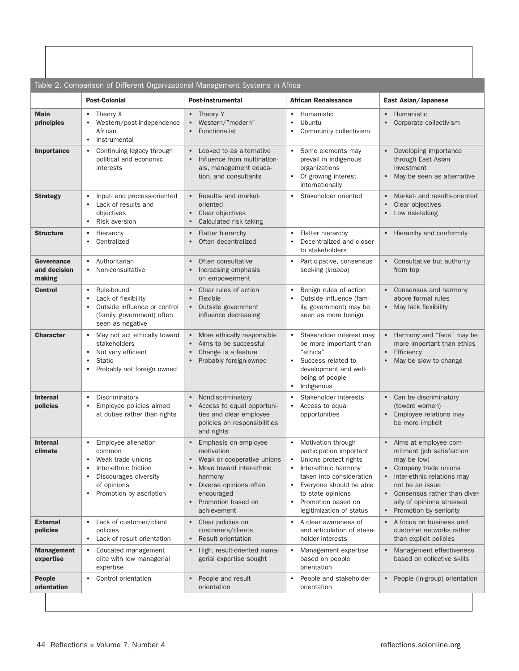|                                      | Table 2. Comparison of Different Organizational Management Systems in Africa                                                                                                                            |                                                                                                                                                                                                                                                       |                                                                                                                                                                                                                                                                                  |                                                                                                                                                                                                                                                             |
|--------------------------------------|---------------------------------------------------------------------------------------------------------------------------------------------------------------------------------------------------------|-------------------------------------------------------------------------------------------------------------------------------------------------------------------------------------------------------------------------------------------------------|----------------------------------------------------------------------------------------------------------------------------------------------------------------------------------------------------------------------------------------------------------------------------------|-------------------------------------------------------------------------------------------------------------------------------------------------------------------------------------------------------------------------------------------------------------|
|                                      | <b>Post-Colonial</b>                                                                                                                                                                                    | <b>Post-Instrumental</b>                                                                                                                                                                                                                              | <b>African Renaissance</b>                                                                                                                                                                                                                                                       | East Asian/Japanese                                                                                                                                                                                                                                         |
| <b>Main</b><br>principles            | Theory X<br>$\bullet$<br>Western/post-independence<br>$\bullet$<br>African<br>Instrumental<br>$\bullet$                                                                                                 | Theory Y<br>$\bullet$<br>Western/"modern"<br>$\bullet$<br>Functionalist<br>$\bullet$                                                                                                                                                                  | Humanistic<br>$\bullet$<br>Ubuntu<br>٠<br>Community collectivism<br>٠                                                                                                                                                                                                            | Humanistic<br>Corporate collectivism<br>$\bullet$                                                                                                                                                                                                           |
| <b>Importance</b>                    | Continuing legacy through<br>$\bullet$<br>political and economic<br>interests                                                                                                                           | Looked to as alternative<br>$\bullet$<br>Influence from multination-<br>$\bullet$<br>als, management educa-<br>tion, and consultants                                                                                                                  | $\bullet$<br>Some elements may<br>prevail in indigenous<br>organizations<br>Of growing interest<br>$\bullet$<br>internationally                                                                                                                                                  | Developing importance<br>$\bullet$<br>through East Asian<br>investment<br>May be seen as alternative<br>$\bullet$                                                                                                                                           |
| <b>Strategy</b>                      | Input- and process-oriented<br>$\bullet$<br>Lack of results and<br>$\bullet$<br>objectives<br>Risk aversion<br>$\bullet$                                                                                | Results- and market-<br>$\bullet$<br>oriented<br>Clear objectives<br>$\bullet$<br>Calculated risk taking<br>$\bullet$                                                                                                                                 | Stakeholder oriented<br>$\bullet$                                                                                                                                                                                                                                                | Market- and results-oriented<br>$\bullet$<br>Clear objectives<br>Low risk-taking<br>$\bullet$                                                                                                                                                               |
| <b>Structure</b>                     | Hierarchy<br>$\bullet$<br>Centralized<br>$\bullet$                                                                                                                                                      | Flatter hierarchy<br>$\bullet$<br>Often decentralized<br>$\bullet$                                                                                                                                                                                    | Flatter hierarchy<br>$\bullet$<br>Decentralized and closer<br>to stakeholders                                                                                                                                                                                                    | Hierarchy and conformity<br>$\bullet$                                                                                                                                                                                                                       |
| Governance<br>and decision<br>making | Authoritarian<br>$\bullet$<br>Non-consultative<br>$\bullet$                                                                                                                                             | Often consultative<br>$\bullet$<br>Increasing emphasis<br>$\bullet$<br>on empowerment                                                                                                                                                                 | Participative, consensus<br>seeking (indaba)                                                                                                                                                                                                                                     | Consultative but authority<br>from top                                                                                                                                                                                                                      |
| <b>Control</b>                       | Rule-bound<br>$\bullet$<br>Lack of flexibility<br>$\bullet$<br>Outside influence or control<br>٠<br>(family, government) often<br>seen as negative                                                      | Clear rules of action<br>$\bullet$<br>Flexible<br>$\bullet$<br>Outside government<br>$\bullet$<br>influence decreasing                                                                                                                                | Benign rules of action<br>Outside influence (fam-<br>$\bullet$<br>ily, government) may be<br>seen as more benign                                                                                                                                                                 | • Consensus and harmony<br>above formal rules<br>May lack flexibility                                                                                                                                                                                       |
| <b>Character</b>                     | May not act ethically toward<br>$\bullet$<br>stakeholders<br>Not very efficient<br>$\bullet$<br><b>Static</b><br>$\bullet$<br>Probably not foreign owned<br>$\bullet$                                   | More ethically responsible<br>$\bullet$<br>Aims to be successful<br>$\bullet$<br>Change is a feature<br>$\bullet$<br>Probably foreign-owned<br>$\bullet$                                                                                              | Stakeholder interest may<br>$\bullet$<br>be more important than<br>"ethics"<br>Success related to<br>$\bullet$<br>development and well-<br>being of people<br>Indigenous<br>$\bullet$                                                                                            | Harmony and "face" may be<br>more important than ethics<br>Efficiency<br>May be slow to change<br>$\bullet$                                                                                                                                                 |
| <b>Internal</b><br>policies          | Discriminatory<br>$\bullet$<br>Employee policies aimed<br>$\bullet$<br>at duties rather than rights                                                                                                     | Nondiscriminatory<br>$\bullet$<br>Access to equal opportuni-<br>$\bullet$<br>ties and clear employee<br>policies on responsibilities<br>and rights                                                                                                    | Stakeholder interests<br>$\bullet$<br>Access to equal<br>$\bullet$<br>opportunities                                                                                                                                                                                              | • Can be discriminatory<br>(toward women)<br>Employee relations may<br>$\bullet$<br>be more implicit                                                                                                                                                        |
| <b>Internal</b><br>climate           | Employee alienation<br>$\bullet$<br>common<br>Weak trade unions<br>$\bullet$<br>Inter-ethnic friction<br>٠<br>Discourages diversity<br>$\bullet$<br>of opinions<br>Promotion by ascription<br>$\bullet$ | Emphasis on employee<br>$\bullet$<br>motivation<br>Weak or cooperative unions<br>$\bullet$<br>Move toward inter-ethnic<br>$\bullet$<br>harmony<br>Diverse opinions often<br>$\bullet$<br>encouraged<br>Promotion based on<br>$\bullet$<br>achievement | Motivation through<br>$\bullet$<br>participation important<br>Unions protect rights<br>Inter-ethnic harmony<br>$\bullet$<br>taken into consideration<br>Everyone should be able<br>$\bullet$<br>to state opinions<br>Promotion based on<br>$\bullet$<br>legitimization of status | Aims at employee com-<br>$\bullet$<br>mitment (job satisfaction<br>may be low)<br>Company trade unions<br>Inter-ethnic relations may<br>not be an issue<br>Consensus rather than diver-<br>sity of opinions stressed<br>Promotion by seniority<br>$\bullet$ |
| <b>External</b><br>policies          | Lack of customer/client<br>$\bullet$<br>policies<br>Lack of result orientation<br>$\bullet$                                                                                                             | Clear policies on<br>$\bullet$<br>customers/clients<br>Result orientation<br>$\bullet$                                                                                                                                                                | A clear awareness of<br>$\bullet$<br>and articulation of stake-<br>holder interests                                                                                                                                                                                              | A focus on business and<br>$\bullet$<br>customer networks rather<br>than explicit policies                                                                                                                                                                  |
| <b>Management</b><br>expertise       | Educated management<br>٠<br>elite with low managerial<br>expertise                                                                                                                                      | High, result-oriented mana-<br>gerial expertise sought                                                                                                                                                                                                | Management expertise<br>based on people<br>orientation                                                                                                                                                                                                                           | Management effectiveness<br>based on collective skills                                                                                                                                                                                                      |
| <b>People</b><br>orientation         | Control orientation<br>$\bullet$                                                                                                                                                                        | People and result<br>$\bullet$<br>orientation                                                                                                                                                                                                         | People and stakeholder<br>orientation                                                                                                                                                                                                                                            | People (in-group) orientation<br>$\bullet$                                                                                                                                                                                                                  |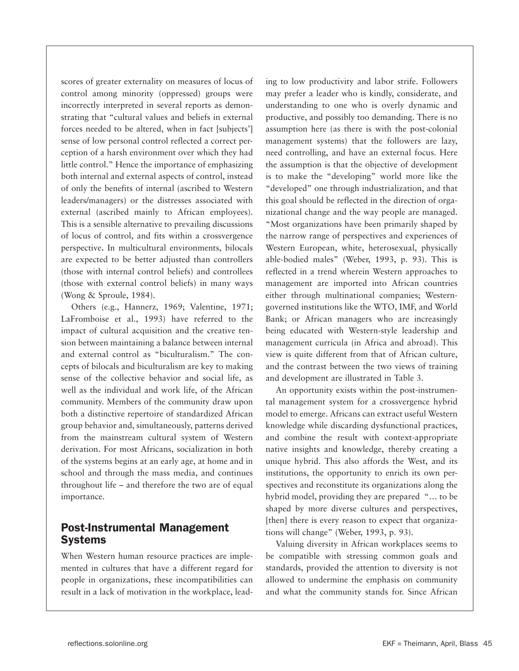scores of greater externality on measures of locus of control among minority (oppressed) groups were incorrectly interpreted in several reports as demonstrating that "cultural values and beliefs in external forces needed to be altered, when in fact [subjects'] sense of low personal control reflected a correct perception of a harsh environment over which they had little control." Hence the importance of emphasizing both internal and external aspects of control, instead of only the benefits of internal (ascribed to Western leaders/managers) or the distresses associated with external (ascribed mainly to African employees). This is a sensible alternative to prevailing discussions of locus of control, and fits within a crossvergence perspective**.** In multicultural environments, bilocals are expected to be better adjusted than controllers (those with internal control beliefs) and controllees (those with external control beliefs) in many ways (Wong & Sproule, 1984).

Others (e.g., Hannerz, 1969; Valentine, 1971; LaFromboise et al., 1993) have referred to the impact of cultural acquisition and the creative tension between maintaining a balance between internal and external control as "biculturalism." The concepts of bilocals and biculturalism are key to making sense of the collective behavior and social life, as well as the individual and work life, of the African community. Members of the community draw upon both a distinctive repertoire of standardized African group behavior and, simultaneously, patterns derived from the mainstream cultural system of Western derivation. For most Africans, socialization in both of the systems begins at an early age, at home and in school and through the mass media, and continues throughout life – and therefore the two are of equal importance.

## Post-Instrumental Management Systems

When Western human resource practices are implemented in cultures that have a different regard for people in organizations, these incompatibilities can result in a lack of motivation in the workplace, lead-

ing to low productivity and labor strife. Followers may prefer a leader who is kindly, considerate, and understanding to one who is overly dynamic and productive, and possibly too demanding. There is no assumption here (as there is with the post-colonial management systems) that the followers are lazy, need controlling, and have an external focus. Here the assumption is that the objective of development is to make the "developing" world more like the "developed" one through industrialization, and that this goal should be reflected in the direction of organizational change and the way people are managed. "Most organizations have been primarily shaped by the narrow range of perspectives and experiences of Western European, white, heterosexual, physically able-bodied males" (Weber, 1993, p. 93). This is reflected in a trend wherein Western approaches to management are imported into African countries either through multinational companies; Westerngoverned institutions like the WTO, IMF, and World Bank; or African managers who are increasingly being educated with Western-style leadership and management curricula (in Africa and abroad). This view is quite different from that of African culture, and the contrast between the two views of training and development are illustrated in Table 3.

An opportunity exists within the post-instrumental management system for a crossvergence hybrid model to emerge. Africans can extract useful Western knowledge while discarding dysfunctional practices, and combine the result with context-appropriate native insights and knowledge, thereby creating a unique hybrid. This also affords the West, and its institutions, the opportunity to enrich its own perspectives and reconstitute its organizations along the hybrid model, providing they are prepared "… to be shaped by more diverse cultures and perspectives, [then] there is every reason to expect that organizations will change" (Weber, 1993, p. 93).

Valuing diversity in African workplaces seems to be compatible with stressing common goals and standards, provided the attention to diversity is not allowed to undermine the emphasis on community and what the community stands for. Since African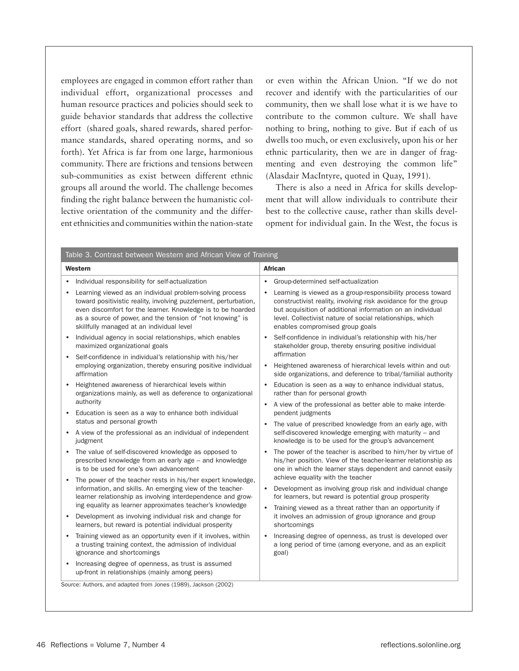employees are engaged in common effort rather than individual effort, organizational processes and human resource practices and policies should seek to guide behavior standards that address the collective effort (shared goals, shared rewards, shared performance standards, shared operating norms, and so forth). Yet Africa is far from one large, harmonious community. There are frictions and tensions between sub-communities as exist between different ethnic groups all around the world. The challenge becomes finding the right balance between the humanistic collective orientation of the community and the different ethnicities and communities within the nation-state

or even within the African Union. "If we do not recover and identify with the particularities of our community, then we shall lose what it is we have to contribute to the common culture. We shall have nothing to bring, nothing to give. But if each of us dwells too much, or even exclusively, upon his or her ethnic particularity, then we are in danger of fragmenting and even destroying the common life" (Alasdair MacIntyre, quoted in Quay, 1991).

There is also a need in Africa for skills development that will allow individuals to contribute their best to the collective cause, rather than skills development for individual gain. In the West, the focus is

| Table 3. Contrast between Western and African View of Training                                                                                                                                                                                                                                        |                                                                                                                                                                                                                                                                                             |  |  |  |
|-------------------------------------------------------------------------------------------------------------------------------------------------------------------------------------------------------------------------------------------------------------------------------------------------------|---------------------------------------------------------------------------------------------------------------------------------------------------------------------------------------------------------------------------------------------------------------------------------------------|--|--|--|
| Western                                                                                                                                                                                                                                                                                               | <b>African</b>                                                                                                                                                                                                                                                                              |  |  |  |
| Individual responsibility for self-actualization                                                                                                                                                                                                                                                      | Group-determined self-actualization                                                                                                                                                                                                                                                         |  |  |  |
| Learning viewed as an individual problem-solving process<br>toward positivistic reality, involving puzzlement, perturbation,<br>even discomfort for the learner. Knowledge is to be hoarded<br>as a source of power, and the tension of "not knowing" is<br>skillfully managed at an individual level | Learning is viewed as a group-responsibility process toward<br>constructivist reality, involving risk avoidance for the group<br>but acquisition of additional information on an individual<br>level. Collectivist nature of social relationships, which<br>enables compromised group goals |  |  |  |
| Individual agency in social relationships, which enables<br>maximized organizational goals                                                                                                                                                                                                            | Self-confidence in individual's relationship with his/her<br>$\bullet$<br>stakeholder group, thereby ensuring positive individual<br>affirmation                                                                                                                                            |  |  |  |
| Self-confidence in individual's relationship with his/her<br>$\bullet$<br>employing organization, thereby ensuring positive individual<br>affirmation                                                                                                                                                 | Heightened awareness of hierarchical levels within and out-<br>$\bullet$<br>side organizations, and deference to tribal/familial authority                                                                                                                                                  |  |  |  |
| Heightened awareness of hierarchical levels within<br>organizations mainly, as well as deference to organizational                                                                                                                                                                                    | Education is seen as a way to enhance individual status,<br>$\bullet$<br>rather than for personal growth                                                                                                                                                                                    |  |  |  |
| authority<br>Education is seen as a way to enhance both individual<br>$\bullet$                                                                                                                                                                                                                       | A view of the professional as better able to make interde-<br>pendent judgments                                                                                                                                                                                                             |  |  |  |
| status and personal growth                                                                                                                                                                                                                                                                            | The value of prescribed knowledge from an early age, with                                                                                                                                                                                                                                   |  |  |  |
| A view of the professional as an individual of independent<br>judgment                                                                                                                                                                                                                                | self-discovered knowledge emerging with maturity - and<br>knowledge is to be used for the group's advancement                                                                                                                                                                               |  |  |  |
| The value of self-discovered knowledge as opposed to<br>prescribed knowledge from an early age - and knowledge<br>is to be used for one's own advancement                                                                                                                                             | The power of the teacher is ascribed to him/her by virtue of<br>his/her position. View of the teacher-learner relationship as<br>one in which the learner stays dependent and cannot easily                                                                                                 |  |  |  |
| The power of the teacher rests in his/her expert knowledge,                                                                                                                                                                                                                                           | achieve equality with the teacher                                                                                                                                                                                                                                                           |  |  |  |
| information, and skills. An emerging view of the teacher-<br>learner relationship as involving interdependence and grow-                                                                                                                                                                              | Development as involving group risk and individual change<br>for learners, but reward is potential group prosperity                                                                                                                                                                         |  |  |  |
| ing equality as learner approximates teacher's knowledge                                                                                                                                                                                                                                              | Training viewed as a threat rather than an opportunity if                                                                                                                                                                                                                                   |  |  |  |
| Development as involving individual risk and change for<br>learners, but reward is potential individual prosperity                                                                                                                                                                                    | it involves an admission of group ignorance and group<br>shortcomings                                                                                                                                                                                                                       |  |  |  |
| Training viewed as an opportunity even if it involves, within<br>a trusting training context, the admission of individual<br>ignorance and shortcomings                                                                                                                                               | Increasing degree of openness, as trust is developed over<br>a long period of time (among everyone, and as an explicit<br>goal)                                                                                                                                                             |  |  |  |
| Increasing degree of openness, as trust is assumed<br>up-front in relationships (mainly among peers)                                                                                                                                                                                                  |                                                                                                                                                                                                                                                                                             |  |  |  |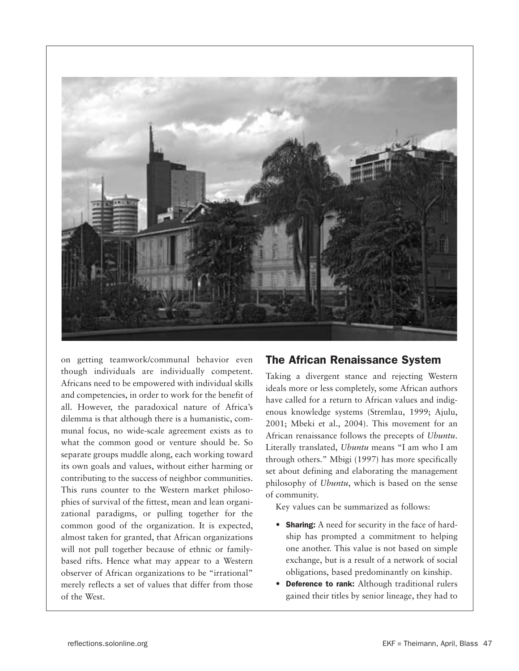

on getting teamwork/communal behavior even though individuals are individually competent. Africans need to be empowered with individual skills and competencies, in order to work for the benefit of all. However, the paradoxical nature of Africa's dilemma is that although there is a humanistic, communal focus, no wide-scale agreement exists as to what the common good or venture should be. So separate groups muddle along, each working toward its own goals and values, without either harming or contributing to the success of neighbor communities. This runs counter to the Western market philosophies of survival of the fittest, mean and lean organizational paradigms, or pulling together for the common good of the organization. It is expected, almost taken for granted, that African organizations will not pull together because of ethnic or familybased rifts. Hence what may appear to a Western observer of African organizations to be "irrational" merely reflects a set of values that differ from those of the West.

## The African Renaissance System

Taking a divergent stance and rejecting Western ideals more or less completely, some African authors have called for a return to African values and indigenous knowledge systems (Stremlau, 1999; Ajulu, 2001; Mbeki et al., 2004). This movement for an African renaissance follows the precepts of *Ubuntu*. Literally translated, *Ubuntu* means "I am who I am through others." Mbigi (1997) has more specifically set about defining and elaborating the management philosophy of *Ubuntu*, which is based on the sense of community.

Key values can be summarized as follows:

- **Sharing:** A need for security in the face of hardship has prompted a commitment to helping one another. This value is not based on simple exchange, but is a result of a network of social obligations, based predominantly on kinship.
- **•** Deference to rank: Although traditional rulers gained their titles by senior lineage, they had to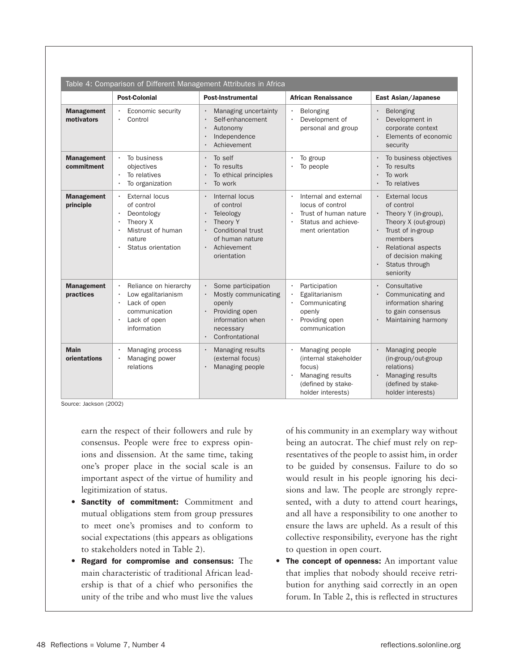|                                 | <b>Post-Colonial</b>                                                                                                                                                         | <b>Post-Instrumental</b>                                                                                                                        | <b>African Renaissance</b>                                                                                                                | East Asian/Japanese                                                                                                                                                                                                      |
|---------------------------------|------------------------------------------------------------------------------------------------------------------------------------------------------------------------------|-------------------------------------------------------------------------------------------------------------------------------------------------|-------------------------------------------------------------------------------------------------------------------------------------------|--------------------------------------------------------------------------------------------------------------------------------------------------------------------------------------------------------------------------|
| <b>Management</b><br>motivators | Economic security<br>$\bullet$<br>Control<br>$\bullet$                                                                                                                       | Managing uncertainty<br>Self-enhancement<br>Autonomy<br>$\bullet$<br>Independence<br>$\cdot$<br>Achievement                                     | Belonging<br>$\ddot{\phantom{0}}$<br>Development of<br>personal and group                                                                 | Belonging<br>Development in<br>corporate context<br>Elements of economic<br>$\ddot{\phantom{0}}$<br>security                                                                                                             |
| <b>Management</b><br>commitment | To business<br>$\bullet$<br>objectives<br>To relatives<br>To organization<br>$\ddot{\phantom{0}}$                                                                            | To self<br>$\bullet$<br>To results<br>To ethical principles<br>To work                                                                          | To group<br>To people                                                                                                                     | To business objectives<br>To results<br>To work<br>To relatives                                                                                                                                                          |
| <b>Management</b><br>principle  | External locus<br>$\bullet$<br>of control<br>Deontology<br>$\bullet$<br>Theory X<br>$\bullet$<br>Mistrust of human<br>$\bullet$<br>nature<br>Status orientation<br>$\bullet$ | Internal locus<br>of control<br>Teleology<br>Theory Y<br><b>Conditional trust</b><br>of human nature<br>Achievement<br>$\bullet$<br>orientation | Internal and external<br>locus of control<br>Trust of human nature<br>Status and achieve-<br>ment orientation                             | External locus<br>of control<br>Theory Y (in-group),<br>Theory X (out-group)<br>Trust of in-group<br>members<br><b>Relational aspects</b><br>$\bullet$<br>of decision making<br>Status through<br>$\bullet$<br>seniority |
| <b>Management</b><br>practices  | Reliance on hierarchy<br>Low egalitarianism<br>$\ddot{\phantom{0}}$<br>Lack of open<br>$\bullet$<br>communication<br>Lack of open<br>$\bullet$<br>information                | Some participation<br>Mostly communicating<br>openly<br>Providing open<br>information when<br>necessary<br>Confrontational<br>$\bullet$         | Participation<br>Egalitarianism<br>Communicating<br>openly<br>Providing open<br>communication                                             | Consultative<br>Communicating and<br>information sharing<br>to gain consensus<br>Maintaining harmony                                                                                                                     |
| <b>Main</b><br>orientations     | Managing process<br>$\bullet$<br>Managing power<br>$\bullet$<br>relations                                                                                                    | Managing results<br>$\bullet$<br>(external focus)<br>Managing people                                                                            | Managing people<br>(internal stakeholder<br>focus)<br>Managing results<br>$\ddot{\phantom{0}}$<br>(defined by stake-<br>holder interests) | Managing people<br>(in-group/out-group<br>relations)<br>Managing results<br>$\bullet$<br>(defined by stake-<br>holder interests)                                                                                         |

Source: Jackson (2002)

earn the respect of their followers and rule by consensus. People were free to express opinions and dissension. At the same time, taking one's proper place in the social scale is an important aspect of the virtue of humility and legitimization of status.

- **•** Sanctity of commitment: Commitment and mutual obligations stem from group pressures to meet one's promises and to conform to social expectations (this appears as obligations to stakeholders noted in Table 2).
- **•** Regard for compromise and consensus: The main characteristic of traditional African leadership is that of a chief who personifies the unity of the tribe and who must live the values

of his community in an exemplary way without being an autocrat. The chief must rely on representatives of the people to assist him, in order to be guided by consensus. Failure to do so would result in his people ignoring his decisions and law. The people are strongly represented, with a duty to attend court hearings, and all have a responsibility to one another to ensure the laws are upheld. As a result of this collective responsibility, everyone has the right to question in open court.

**•** The concept of openness: An important value that implies that nobody should receive retribution for anything said correctly in an open forum. In Table 2, this is reflected in structures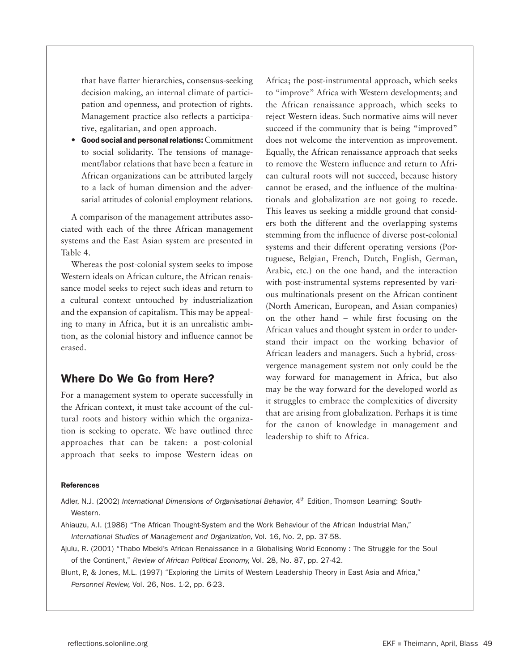that have flatter hierarchies, consensus-seeking decision making, an internal climate of participation and openness, and protection of rights. Management practice also reflects a participative, egalitarian, and open approach.

**•** Good social and personal relations:Commitment to social solidarity. The tensions of management/labor relations that have been a feature in African organizations can be attributed largely to a lack of human dimension and the adversarial attitudes of colonial employment relations.

A comparison of the management attributes associated with each of the three African management systems and the East Asian system are presented in Table 4.

Whereas the post-colonial system seeks to impose Western ideals on African culture, the African renaissance model seeks to reject such ideas and return to a cultural context untouched by industrialization and the expansion of capitalism. This may be appealing to many in Africa, but it is an unrealistic ambition, as the colonial history and influence cannot be erased.

## Where Do We Go from Here?

For a management system to operate successfully in the African context, it must take account of the cultural roots and history within which the organization is seeking to operate. We have outlined three approaches that can be taken: a post-colonial approach that seeks to impose Western ideas on

Africa; the post-instrumental approach, which seeks to "improve" Africa with Western developments; and the African renaissance approach, which seeks to reject Western ideas. Such normative aims will never succeed if the community that is being "improved" does not welcome the intervention as improvement. Equally, the African renaissance approach that seeks to remove the Western influence and return to African cultural roots will not succeed, because history cannot be erased, and the influence of the multinationals and globalization are not going to recede. This leaves us seeking a middle ground that considers both the different and the overlapping systems stemming from the influence of diverse post-colonial systems and their different operating versions (Portuguese, Belgian, French, Dutch, English, German, Arabic, etc.) on the one hand, and the interaction with post-instrumental systems represented by various multinationals present on the African continent (North American, European, and Asian companies) on the other hand – while first focusing on the African values and thought system in order to understand their impact on the working behavior of African leaders and managers. Such a hybrid, crossvergence management system not only could be the way forward for management in Africa, but also may be the way forward for the developed world as it struggles to embrace the complexities of diversity that are arising from globalization. Perhaps it is time for the canon of knowledge in management and leadership to shift to Africa.

#### References

- Adler, N.J. (2002) International Dimensions of Organisational Behavior, 4<sup>th</sup> Edition, Thomson Learning: South-Western.
- Ahiauzu, A.I. (1986) "The African Thought-System and the Work Behaviour of the African Industrial Man," *International Studies of Management and Organization,* Vol. 16, No. 2, pp. 37-58.
- Ajulu, R. (2001) "Thabo Mbeki's African Renaissance in a Globalising World Economy : The Struggle for the Soul of the Continent," *Review of African Political Economy,* Vol. 28, No. 87, pp. 27-42.
- Blunt, P., & Jones, M.L. (1997) "Exploring the Limits of Western Leadership Theory in East Asia and Africa," *Personnel Review,* Vol. 26, Nos. 1-2, pp. 6-23.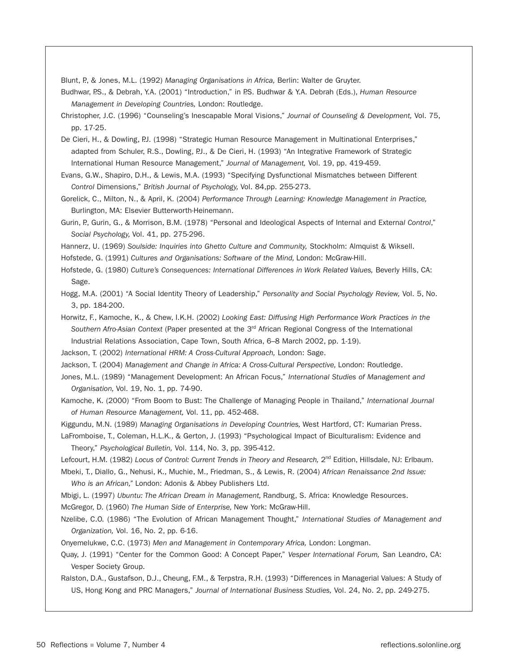Blunt, P., & Jones, M.L. (1992) *Managing Organisations in Africa,* Berlin: Walter de Gruyter.

Budhwar, P.S., & Debrah, Y.A. (2001) "Introduction," in P.S. Budhwar & Y.A. Debrah (Eds.), *Human Resource Management in Developing Countries,* London: Routledge.

Christopher, J.C. (1996) "Counseling's Inescapable Moral Visions," *Journal of Counseling & Development,* Vol. 75, pp. 17-25.

De Cieri, H., & Dowling, P.J. (1998) "Strategic Human Resource Management in Multinational Enterprises," adapted from Schuler, R.S., Dowling, P.J., & De Cieri, H. (1993) "An Integrative Framework of Strategic International Human Resource Management," *Journal of Management,* Vol. 19, pp. 419-459.

Evans, G.W., Shapiro, D.H., & Lewis, M.A. (1993) "Specifying Dysfunctional Mismatches between Different *Control* Dimensions," *British Journal of Psychology,* Vol. 84,pp. 255-273.

Gorelick, C., Milton, N., & April, K. (2004) *Performance Through Learning: Knowledge Management in Practice,* Burlington, MA: Elsevier Butterworth-Heinemann.

Gurin, P., Gurin, G., & Morrison, B.M. (1978) "Personal and Ideological Aspects of Internal and Externa*l Control*," *Social Psychology,* Vol. 41, pp. 275-296.

Hannerz, U. (1969) *Soulside: Inquiries into Ghetto Culture and Community,* Stockholm: Almquist & Wiksell.

Hofstede, G. (1991) *Cultures and Organisations: Software of the Mind,* London: McGraw-Hill.

- Hofstede, G. (1980) *Culture's Consequences: International Differences in Work Related Values,* Beverly Hills, CA: Sage.
- Hogg, M.A. (2001) "A Social Identity Theory of Leadership," *Personality and Social Psychology Review,* Vol. 5, No. 3, pp. 184-200.

Horwitz, F., Kamoche, K., & Chew, I.K.H. (2002) *Looking East: Diffusing High Performance Work Practices in the Southern Afro-Asian Context* (Paper presented at the 3rd African Regional Congress of the International Industrial Relations Association, Cape Town, South Africa, 6–8 March 2002, pp. 1-19).

Jackson, T. (2002) *International HRM: A Cross-Cultural Approach,* London: Sage.

Jackson, T. (2004) *Management and Change in Africa: A Cross-Cultural Perspective,* London: Routledge.

Jones, M.L. (1989) "Management Development: An African Focus," *International Studies of Management and Organisation,* Vol. 19, No. 1, pp. 74-90.

Kamoche, K. (2000) "From Boom to Bust: The Challenge of Managing People in Thailand," *International Journal of Human Resource Management,* Vol. 11, pp. 452-468.

Kiggundu, M.N. (1989) *Managing Organisations in Developing Countries,* West Hartford, CT: Kumarian Press.

LaFromboise, T., Coleman, H.L.K., & Gerton, J. (1993) "Psychological Impact of Biculturalism: Evidence and Theory," *Psychological Bulletin,* Vol. 114, No. 3, pp. 395-412.

Lefcourt, H.M. (1982) Locus of Control: Current Trends in Theory and Research, 2<sup>nd</sup> Edition, Hillsdale, NJ: Erlbaum.

Mbeki, T., Diallo, G., Nehusi, K., Muchie, M., Friedman, S., & Lewis, R. (2004) *African Renaissance 2nd Issue: Who is an African,"* London: Adonis & Abbey Publishers Ltd.

Mbigi, L. (1997) *Ubuntu: The African Dream in Management,* Randburg, S. Africa: Knowledge Resources.

McGregor, D. (1960) *The Human Side of Enterprise,* New York: McGraw-Hill.

Nzelibe, C.O. (1986) "The Evolution of African Management Thought," *International Studies of Management and Organization,* Vol. 16, No. 2, pp. 6-16.

Onyemelukwe, C.C. (1973) *Men and Management in Contemporary Africa,* London: Longman.

Quay, J. (1991) "Center for the Common Good: A Concept Paper," *Vesper International Forum,* San Leandro, CA: Vesper Society Group.

Ralston, D.A., Gustafson, D.J., Cheung, F.M., & Terpstra, R.H. (1993) "Differences in Managerial Values: A Study of US, Hong Kong and PRC Managers," *Journal of International Business Studies,* Vol. 24, No. 2, pp. 249-275.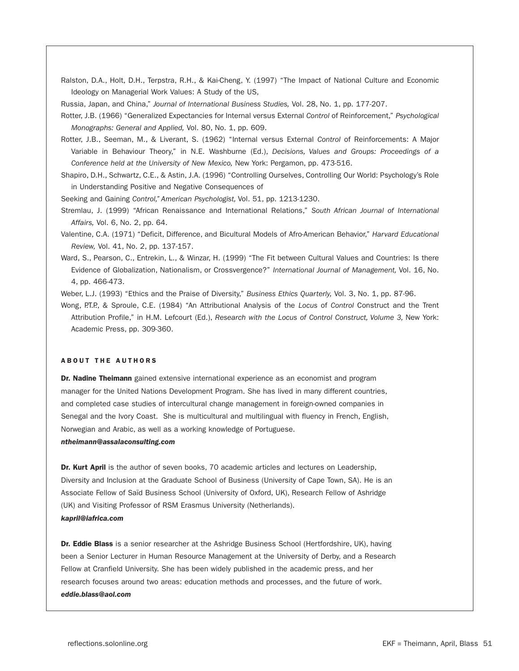Ralston, D.A., Holt, D.H., Terpstra, R.H., & Kai-Cheng, Y. (1997) "The Impact of National Culture and Economic Ideology on Managerial Work Values: A Study of the US,

Russia, Japan, and China," *Journal of International Business Studies,* Vol. 28, No. 1, pp. 177-207.

- Rotter, J.B. (1966) "Generalized Expectancies for Internal versus External *Control* of Reinforcement," *Psychological Monographs: General and Applied,* Vol. 80, No. 1, pp. 609.
- Rotter, J.B., Seeman, M., & Liverant, S. (1962) "Internal versus External *Control* of Reinforcements: A Major Variable in Behaviour Theory," in N.E. Washburne (Ed.), *Decisions, Values and Groups: Proceedings of a Conference held at the University of New Mexico,* New York: Pergamon, pp. 473-516.
- Shapiro, D.H., Schwartz, C.E., & Astin, J.A. (1996) "Controlling Ourselves, Controlling Our World: Psychology's Role in Understanding Positive and Negative Consequences of

Seeking and Gaining *Control," American Psychologist,* Vol. 51, pp. 1213-1230.

- Stremlau, J. (1999) "African Renaissance and International Relations," *South African Journal of International Affairs,* Vol. 6, No. 2, pp. 64.
- Valentine, C.A. (1971) "Deficit, Difference, and Bicultural Models of Afro-American Behavior," *Harvard Educational Review,* Vol. 41, No. 2, pp. 137-157.
- Ward, S., Pearson, C., Entrekin, L., & Winzar, H. (1999) "The Fit between Cultural Values and Countries: Is there Evidence of Globalization, Nationalism, or Crossvergence?" *International Journal of Management,* Vol. 16, No. 4, pp. 466-473.

Weber, L.J. (1993) "Ethics and the Praise of Diversity," *Business Ethics Quarterly,* Vol. 3, No. 1, pp. 87-96.

Wong, P.T.P., & Sproule, C.E. (1984) "An Attributional Analysis of the *Locus* of *Control* Construct and the Trent Attribution Profile," in H.M. Lefcourt (Ed.), *Research with the Locus of Control Construct, Volume 3, New York:* Academic Press, pp. 309-360.

#### **ABOUT THE AUTHORS**

**Dr. Nadine Theimann** gained extensive international experience as an economist and program manager for the United Nations Development Program. She has lived in many different countries, and completed case studies of intercultural change management in foreign-owned companies in Senegal and the Ivory Coast. She is multicultural and multilingual with fluency in French, English, Norwegian and Arabic, as well as a working knowledge of Portuguese.

#### *ntheimann@assalaconsulting.com*

Dr. Kurt April is the author of seven books, 70 academic articles and lectures on Leadership, Diversity and Inclusion at the Graduate School of Business (University of Cape Town, SA). He is an Associate Fellow of Saïd Business School (University of Oxford, UK), Research Fellow of Ashridge (UK) and Visiting Professor of RSM Erasmus University (Netherlands). *kapril@iafrica.com*

Dr. Eddie Blass is a senior researcher at the Ashridge Business School (Hertfordshire, UK), having been a Senior Lecturer in Human Resource Management at the University of Derby, and a Research Fellow at Cranfield University. She has been widely published in the academic press, and her research focuses around two areas: education methods and processes, and the future of work. *eddie.blass@aol.com*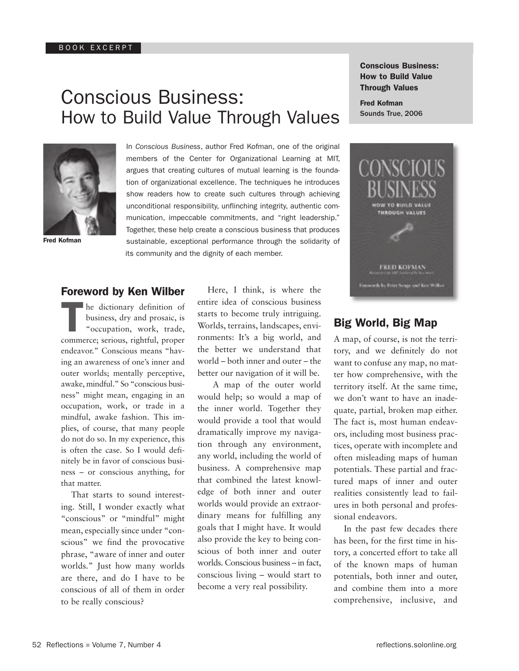## Conscious Business: How to Build Value Through Values



In *Conscious Business*, author Fred Kofman, one of the original members of the Center for Organizational Learning at MIT, argues that creating cultures of mutual learning is the foundation of organizational excellence. The techniques he introduces show readers how to create such cultures through achieving unconditional responsibility, unflinching integrity, authentic communication, impeccable commitments, and "right leadership." Together, these help create a conscious business that produces sustainable, exceptional performance through the solidarity of its community and the dignity of each member.

Fred Kofman

#### Foreword by Ken Wilber

T he dictionary definition of business, dry and prosaic, is "occupation, work, trade, commerce; serious, rightful, proper endeavor." Conscious means "having an awareness of one's inner and outer worlds; mentally perceptive, awake, mindful." So "conscious business" might mean, engaging in an occupation, work, or trade in a mindful, awake fashion. This implies, of course, that many people do not do so. In my experience, this is often the case. So I would definitely be in favor of conscious business – or conscious anything, for that matter.

That starts to sound interesting. Still, I wonder exactly what "conscious" or "mindful" might mean, especially since under "conscious" we find the provocative phrase, "aware of inner and outer worlds." Just how many worlds are there, and do I have to be conscious of all of them in order to be really conscious?

Here, I think, is where the entire idea of conscious business starts to become truly intriguing. Worlds, terrains, landscapes, environments: It's a big world, and the better we understand that world – both inner and outer – the better our navigation of it will be.

A map of the outer world would help; so would a map of the inner world. Together they would provide a tool that would dramatically improve my navigation through any environment, any world, including the world of business. A comprehensive map that combined the latest knowledge of both inner and outer worlds would provide an extraordinary means for fulfilling any goals that I might have. It would also provide the key to being conscious of both inner and outer worlds. Conscious business – in fact, conscious living – would start to become a very real possibility.

Conscious Business: How to Build Value Through Values

Fred Kofman Sounds True, 2006



## Big World, Big Map

A map, of course, is not the territory, and we definitely do not want to confuse any map, no matter how comprehensive, with the territory itself. At the same time, we don't want to have an inadequate, partial, broken map either. The fact is, most human endeavors, including most business practices, operate with incomplete and often misleading maps of human potentials. These partial and fractured maps of inner and outer realities consistently lead to failures in both personal and professional endeavors.

In the past few decades there has been, for the first time in history, a concerted effort to take all of the known maps of human potentials, both inner and outer, and combine them into a more comprehensive, inclusive, and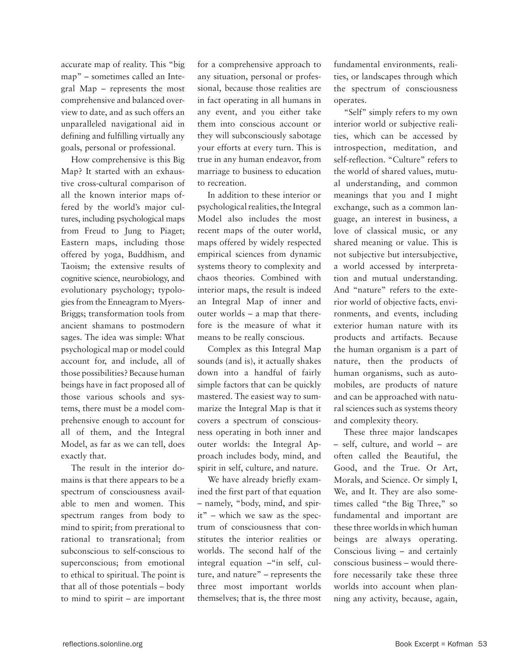accurate map of reality. This "big map" – sometimes called an Integral Map – represents the most comprehensive and balanced overview to date, and as such offers an unparalleled navigational aid in defining and fulfilling virtually any goals, personal or professional.

How comprehensive is this Big Map? It started with an exhaustive cross-cultural comparison of all the known interior maps offered by the world's major cultures, including psychological maps from Freud to Jung to Piaget; Eastern maps, including those offered by yoga, Buddhism, and Taoism; the extensive results of cognitive science, neurobiology, and evolutionary psychology; typologies from the Enneagram to Myers-Briggs; transformation tools from ancient shamans to postmodern sages. The idea was simple: What psychological map or model could account for, and include, all of those possibilities? Because human beings have in fact proposed all of those various schools and systems, there must be a model comprehensive enough to account for all of them, and the Integral Model, as far as we can tell, does exactly that.

The result in the interior domains is that there appears to be a spectrum of consciousness available to men and women. This spectrum ranges from body to mind to spirit; from prerational to rational to transrational; from subconscious to self-conscious to superconscious; from emotional to ethical to spiritual. The point is that all of those potentials – body to mind to spirit – are important for a comprehensive approach to any situation, personal or professional, because those realities are in fact operating in all humans in any event, and you either take them into conscious account or they will subconsciously sabotage your efforts at every turn. This is true in any human endeavor, from marriage to business to education to recreation.

In addition to these interior or psychological realities, the Integral Model also includes the most recent maps of the outer world, maps offered by widely respected empirical sciences from dynamic systems theory to complexity and chaos theories. Combined with interior maps, the result is indeed an Integral Map of inner and outer worlds – a map that therefore is the measure of what it means to be really conscious.

Complex as this Integral Map sounds (and is), it actually shakes down into a handful of fairly simple factors that can be quickly mastered. The easiest way to summarize the Integral Map is that it covers a spectrum of consciousness operating in both inner and outer worlds: the Integral Approach includes body, mind, and spirit in self, culture, and nature.

We have already briefly examined the first part of that equation – namely, "body, mind, and spirit" – which we saw as the spectrum of consciousness that constitutes the interior realities or worlds. The second half of the integral equation –"in self, culture, and nature" – represents the three most important worlds themselves; that is, the three most

fundamental environments, realities, or landscapes through which the spectrum of consciousness operates.

"Self" simply refers to my own interior world or subjective realities, which can be accessed by introspection, meditation, and self-reflection. "Culture" refers to the world of shared values, mutual understanding, and common meanings that you and I might exchange, such as a common language, an interest in business, a love of classical music, or any shared meaning or value. This is not subjective but intersubjective, a world accessed by interpretation and mutual understanding. And "nature" refers to the exterior world of objective facts, environments, and events, including exterior human nature with its products and artifacts. Because the human organism is a part of nature, then the products of human organisms, such as automobiles, are products of nature and can be approached with natural sciences such as systems theory and complexity theory.

These three major landscapes – self, culture, and world – are often called the Beautiful, the Good, and the True. Or Art, Morals, and Science. Or simply I, We, and It. They are also sometimes called "the Big Three," so fundamental and important are these three worlds in which human beings are always operating. Conscious living – and certainly conscious business – would therefore necessarily take these three worlds into account when planning any activity, because, again,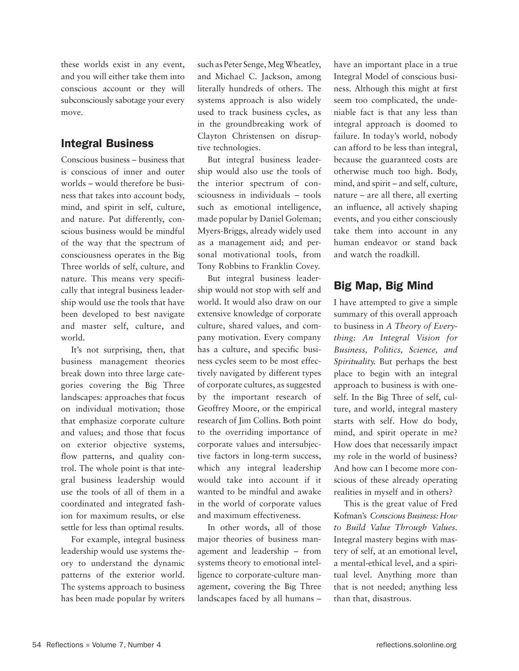these worlds exist in any event, and you will either take them into conscious account or they will subconsciously sabotage your every move.

## Integral Business

Conscious business – business that is conscious of inner and outer worlds – would therefore be business that takes into account body, mind, and spirit in self, culture, and nature. Put differently, conscious business would be mindful of the way that the spectrum of consciousness operates in the Big Three worlds of self, culture, and nature. This means very specifically that integral business leadership would use the tools that have been developed to best navigate and master self, culture, and world.

It's not surprising, then, that business management theories break down into three large categories covering the Big Three landscapes: approaches that focus on individual motivation; those that emphasize corporate culture and values; and those that focus on exterior objective systems, flow patterns, and quality control. The whole point is that integral business leadership would use the tools of all of them in a coordinated and integrated fashion for maximum results, or else settle for less than optimal results.

For example, integral business leadership would use systems theory to understand the dynamic patterns of the exterior world. The systems approach to business has been made popular by writers such as Peter Senge, Meg Wheatley, and Michael C. Jackson, among literally hundreds of others. The systems approach is also widely used to track business cycles, as in the groundbreaking work of Clayton Christensen on disruptive technologies.

But integral business leadership would also use the tools of the interior spectrum of consciousness in individuals – tools such as emotional intelligence, made popular by Daniel Goleman; Myers-Briggs, already widely used as a management aid; and personal motivational tools, from Tony Robbins to Franklin Covey.

But integral business leadership would not stop with self and world. It would also draw on our extensive knowledge of corporate culture, shared values, and company motivation. Every company has a culture, and specific business cycles seem to be most effectively navigated by different types of corporate cultures, as suggested by the important research of Geoffrey Moore, or the empirical research of Jim Collins. Both point to the overriding importance of corporate values and intersubjective factors in long-term success, which any integral leadership would take into account if it wanted to be mindful and awake in the world of corporate values and maximum effectiveness.

In other words, all of those major theories of business management and leadership – from systems theory to emotional intelligence to corporate-culture management, covering the Big Three landscapes faced by all humans – have an important place in a true Integral Model of conscious business. Although this might at first seem too complicated, the undeniable fact is that any less than integral approach is doomed to failure. In today's world, nobody can afford to be less than integral, because the guaranteed costs are otherwise much too high. Body, mind, and spirit – and self, culture, nature – are all there, all exerting an influence, all actively shaping events, and you either consciously take them into account in any human endeavor or stand back and watch the roadkill.

## Big Map, Big Mind

I have attempted to give a simple summary of this overall approach to business in *A Theory of Everything: An Integral Vision for Business, Politics, Science, and Spirituality.* But perhaps the best place to begin with an integral approach to business is with oneself. In the Big Three of self, culture, and world, integral mastery starts with self. How do body, mind, and spirit operate in me? How does that necessarily impact my role in the world of business? And how can I become more conscious of these already operating realities in myself and in others?

This is the great value of Fred Kofman's *Conscious Business: How to Build Value Through Values.* Integral mastery begins with mastery of self, at an emotional level, a mental-ethical level, and a spiritual level. Anything more than that is not needed; anything less than that, disastrous.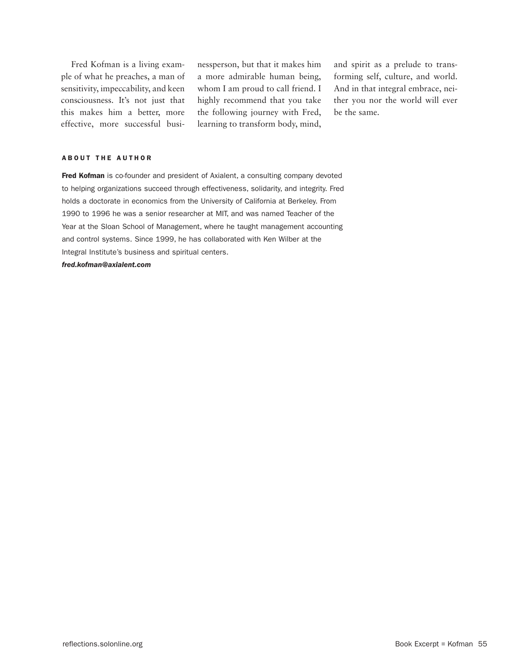Fred Kofman is a living example of what he preaches, a man of sensitivity, impeccability, and keen consciousness. It's not just that this makes him a better, more effective, more successful businessperson, but that it makes him a more admirable human being, whom I am proud to call friend. I highly recommend that you take the following journey with Fred, learning to transform body, mind,

and spirit as a prelude to transforming self, culture, and world. And in that integral embrace, neither you nor the world will ever be the same.

#### **ABOUT THE AUTHOR**

Fred Kofman is co-founder and president of Axialent, a consulting company devoted to helping organizations succeed through effectiveness, solidarity, and integrity. Fred holds a doctorate in economics from the University of California at Berkeley. From 1990 to 1996 he was a senior researcher at MIT, and was named Teacher of the Year at the Sloan School of Management, where he taught management accounting and control systems. Since 1999, he has collaborated with Ken Wilber at the Integral Institute's business and spiritual centers.

#### *fred.kofman@axialent.com*